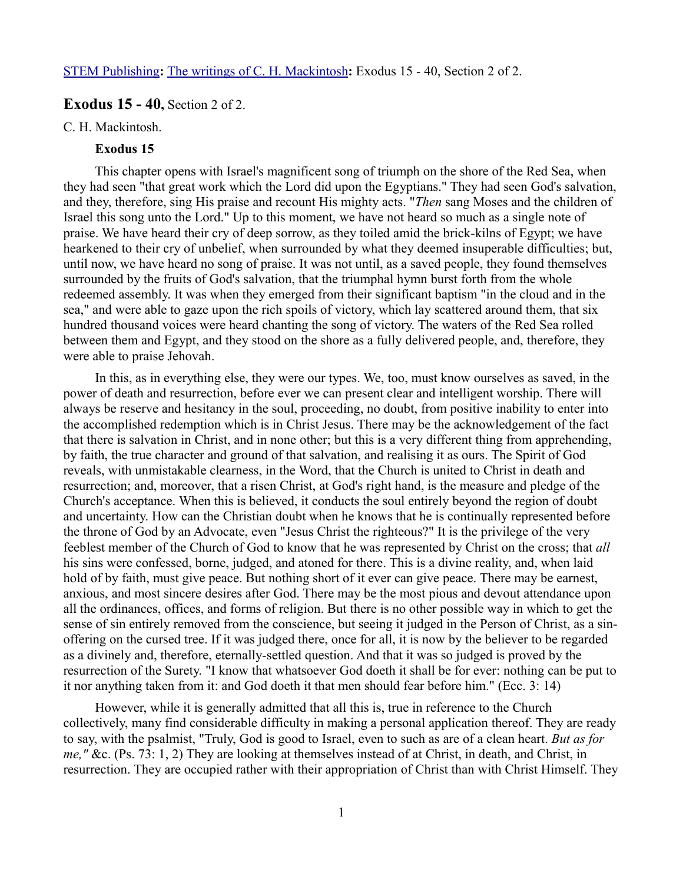## **Exodus 15 - 40, Section 2 of 2.**

#### C. H. Mackintosh.

## **Exodus 15**

This chapter opens with Israel's magnificent song of triumph on the shore of the Red Sea, when they had seen "that great work which the Lord did upon the Egyptians." They had seen God's salvation, and they, therefore, sing His praise and recount His mighty acts. "*Then* sang Moses and the children of Israel this song unto the Lord." Up to this moment, we have not heard so much as a single note of praise. We have heard their cry of deep sorrow, as they toiled amid the brick-kilns of Egypt; we have hearkened to their cry of unbelief, when surrounded by what they deemed insuperable difficulties; but, until now, we have heard no song of praise. It was not until, as a saved people, they found themselves surrounded by the fruits of God's salvation, that the triumphal hymn burst forth from the whole redeemed assembly. It was when they emerged from their significant baptism "in the cloud and in the sea," and were able to gaze upon the rich spoils of victory, which lay scattered around them, that six hundred thousand voices were heard chanting the song of victory. The waters of the Red Sea rolled between them and Egypt, and they stood on the shore as a fully delivered people, and, therefore, they were able to praise Jehovah.

In this, as in everything else, they were our types. We, too, must know ourselves as saved, in the power of death and resurrection, before ever we can present clear and intelligent worship. There will always be reserve and hesitancy in the soul, proceeding, no doubt, from positive inability to enter into the accomplished redemption which is in Christ Jesus. There may be the acknowledgement of the fact that there is salvation in Christ, and in none other; but this is a very different thing from apprehending, by faith, the true character and ground of that salvation, and realising it as ours. The Spirit of God reveals, with unmistakable clearness, in the Word, that the Church is united to Christ in death and resurrection; and, moreover, that a risen Christ, at God's right hand, is the measure and pledge of the Church's acceptance. When this is believed, it conducts the soul entirely beyond the region of doubt and uncertainty. How can the Christian doubt when he knows that he is continually represented before the throne of God by an Advocate, even "Jesus Christ the righteous?" It is the privilege of the very feeblest member of the Church of God to know that he was represented by Christ on the cross; that *all* his sins were confessed, borne, judged, and atoned for there. This is a divine reality, and, when laid hold of by faith, must give peace. But nothing short of it ever can give peace. There may be earnest, anxious, and most sincere desires after God. There may be the most pious and devout attendance upon all the ordinances, offices, and forms of religion. But there is no other possible way in which to get the sense of sin entirely removed from the conscience, but seeing it judged in the Person of Christ, as a sinoffering on the cursed tree. If it was judged there, once for all, it is now by the believer to be regarded as a divinely and, therefore, eternally-settled question. And that it was so judged is proved by the resurrection of the Surety. "I know that whatsoever God doeth it shall be for ever: nothing can be put to it nor anything taken from it: and God doeth it that men should fear before him." (Ecc. 3: 14)

However, while it is generally admitted that all this is, true in reference to the Church collectively, many find considerable difficulty in making a personal application thereof. They are ready to say, with the psalmist, "Truly, God is good to Israel, even to such as are of a clean heart. *But as for me,"* &c. (Ps. 73: 1, 2) They are looking at themselves instead of at Christ, in death, and Christ, in resurrection. They are occupied rather with their appropriation of Christ than with Christ Himself. They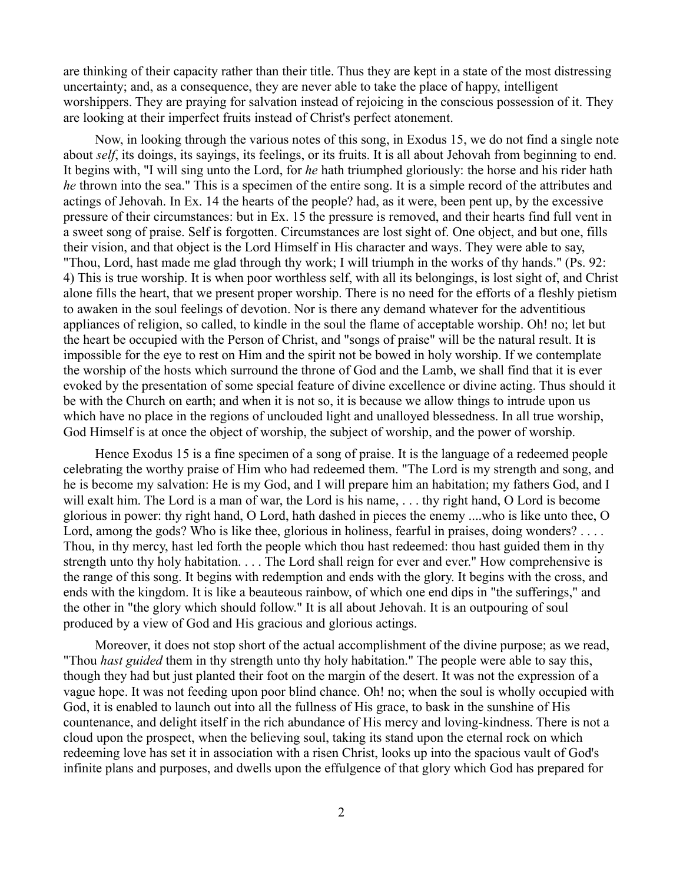are thinking of their capacity rather than their title. Thus they are kept in a state of the most distressing uncertainty; and, as a consequence, they are never able to take the place of happy, intelligent worshippers. They are praying for salvation instead of rejoicing in the conscious possession of it. They are looking at their imperfect fruits instead of Christ's perfect atonement.

Now, in looking through the various notes of this song, in Exodus 15, we do not find a single note about *self*, its doings, its sayings, its feelings, or its fruits. It is all about Jehovah from beginning to end. It begins with, "I will sing unto the Lord, for *he* hath triumphed gloriously: the horse and his rider hath *he* thrown into the sea." This is a specimen of the entire song. It is a simple record of the attributes and actings of Jehovah. In Ex. 14 the hearts of the people? had, as it were, been pent up, by the excessive pressure of their circumstances: but in Ex. 15 the pressure is removed, and their hearts find full vent in a sweet song of praise. Self is forgotten. Circumstances are lost sight of. One object, and but one, fills their vision, and that object is the Lord Himself in His character and ways. They were able to say, "Thou, Lord, hast made me glad through thy work; I will triumph in the works of thy hands." (Ps. 92: 4) This is true worship. It is when poor worthless self, with all its belongings, is lost sight of, and Christ alone fills the heart, that we present proper worship. There is no need for the efforts of a fleshly pietism to awaken in the soul feelings of devotion. Nor is there any demand whatever for the adventitious appliances of religion, so called, to kindle in the soul the flame of acceptable worship. Oh! no; let but the heart be occupied with the Person of Christ, and "songs of praise" will be the natural result. It is impossible for the eye to rest on Him and the spirit not be bowed in holy worship. If we contemplate the worship of the hosts which surround the throne of God and the Lamb, we shall find that it is ever evoked by the presentation of some special feature of divine excellence or divine acting. Thus should it be with the Church on earth; and when it is not so, it is because we allow things to intrude upon us which have no place in the regions of unclouded light and unalloyed blessedness. In all true worship, God Himself is at once the object of worship, the subject of worship, and the power of worship.

Hence Exodus 15 is a fine specimen of a song of praise. It is the language of a redeemed people celebrating the worthy praise of Him who had redeemed them. "The Lord is my strength and song, and he is become my salvation: He is my God, and I will prepare him an habitation; my fathers God, and I will exalt him. The Lord is a man of war, the Lord is his name, ... thy right hand, O Lord is become glorious in power: thy right hand, O Lord, hath dashed in pieces the enemy ....who is like unto thee, O Lord, among the gods? Who is like thee, glorious in holiness, fearful in praises, doing wonders? . . . . Thou, in thy mercy, hast led forth the people which thou hast redeemed: thou hast guided them in thy strength unto thy holy habitation. . . . The Lord shall reign for ever and ever." How comprehensive is the range of this song. It begins with redemption and ends with the glory. It begins with the cross, and ends with the kingdom. It is like a beauteous rainbow, of which one end dips in "the sufferings," and the other in "the glory which should follow." It is all about Jehovah. It is an outpouring of soul produced by a view of God and His gracious and glorious actings.

Moreover, it does not stop short of the actual accomplishment of the divine purpose; as we read, "Thou *hast guided* them in thy strength unto thy holy habitation." The people were able to say this, though they had but just planted their foot on the margin of the desert. It was not the expression of a vague hope. It was not feeding upon poor blind chance. Oh! no; when the soul is wholly occupied with God, it is enabled to launch out into all the fullness of His grace, to bask in the sunshine of His countenance, and delight itself in the rich abundance of His mercy and loving-kindness. There is not a cloud upon the prospect, when the believing soul, taking its stand upon the eternal rock on which redeeming love has set it in association with a risen Christ, looks up into the spacious vault of God's infinite plans and purposes, and dwells upon the effulgence of that glory which God has prepared for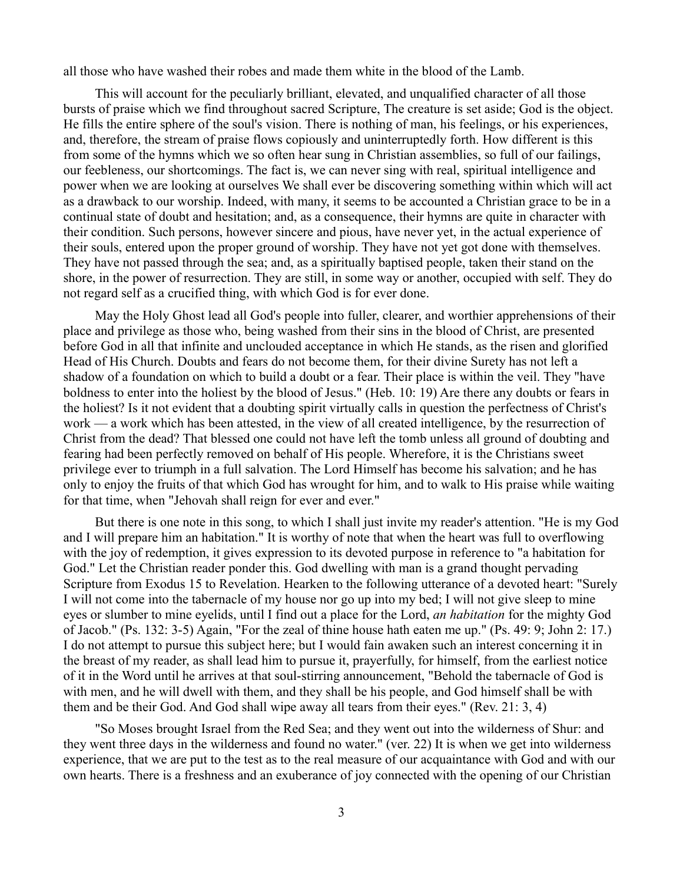all those who have washed their robes and made them white in the blood of the Lamb.

This will account for the peculiarly brilliant, elevated, and unqualified character of all those bursts of praise which we find throughout sacred Scripture, The creature is set aside; God is the object. He fills the entire sphere of the soul's vision. There is nothing of man, his feelings, or his experiences, and, therefore, the stream of praise flows copiously and uninterruptedly forth. How different is this from some of the hymns which we so often hear sung in Christian assemblies, so full of our failings, our feebleness, our shortcomings. The fact is, we can never sing with real, spiritual intelligence and power when we are looking at ourselves We shall ever be discovering something within which will act as a drawback to our worship. Indeed, with many, it seems to be accounted a Christian grace to be in a continual state of doubt and hesitation; and, as a consequence, their hymns are quite in character with their condition. Such persons, however sincere and pious, have never yet, in the actual experience of their souls, entered upon the proper ground of worship. They have not yet got done with themselves. They have not passed through the sea; and, as a spiritually baptised people, taken their stand on the shore, in the power of resurrection. They are still, in some way or another, occupied with self. They do not regard self as a crucified thing, with which God is for ever done.

May the Holy Ghost lead all God's people into fuller, clearer, and worthier apprehensions of their place and privilege as those who, being washed from their sins in the blood of Christ, are presented before God in all that infinite and unclouded acceptance in which He stands, as the risen and glorified Head of His Church. Doubts and fears do not become them, for their divine Surety has not left a shadow of a foundation on which to build a doubt or a fear. Their place is within the veil. They "have boldness to enter into the holiest by the blood of Jesus." (Heb. 10: 19) Are there any doubts or fears in the holiest? Is it not evident that a doubting spirit virtually calls in question the perfectness of Christ's work — a work which has been attested, in the view of all created intelligence, by the resurrection of Christ from the dead? That blessed one could not have left the tomb unless all ground of doubting and fearing had been perfectly removed on behalf of His people. Wherefore, it is the Christians sweet privilege ever to triumph in a full salvation. The Lord Himself has become his salvation; and he has only to enjoy the fruits of that which God has wrought for him, and to walk to His praise while waiting for that time, when "Jehovah shall reign for ever and ever."

But there is one note in this song, to which I shall just invite my reader's attention. "He is my God and I will prepare him an habitation." It is worthy of note that when the heart was full to overflowing with the joy of redemption, it gives expression to its devoted purpose in reference to "a habitation for God." Let the Christian reader ponder this. God dwelling with man is a grand thought pervading Scripture from Exodus 15 to Revelation. Hearken to the following utterance of a devoted heart: "Surely I will not come into the tabernacle of my house nor go up into my bed; I will not give sleep to mine eyes or slumber to mine eyelids, until I find out a place for the Lord, *an habitation* for the mighty God of Jacob." (Ps. 132: 3-5) Again, "For the zeal of thine house hath eaten me up." (Ps. 49: 9; John 2: 17.) I do not attempt to pursue this subject here; but I would fain awaken such an interest concerning it in the breast of my reader, as shall lead him to pursue it, prayerfully, for himself, from the earliest notice of it in the Word until he arrives at that soul-stirring announcement, "Behold the tabernacle of God is with men, and he will dwell with them, and they shall be his people, and God himself shall be with them and be their God. And God shall wipe away all tears from their eyes." (Rev. 21: 3, 4)

"So Moses brought Israel from the Red Sea; and they went out into the wilderness of Shur: and they went three days in the wilderness and found no water." (ver. 22) It is when we get into wilderness experience, that we are put to the test as to the real measure of our acquaintance with God and with our own hearts. There is a freshness and an exuberance of joy connected with the opening of our Christian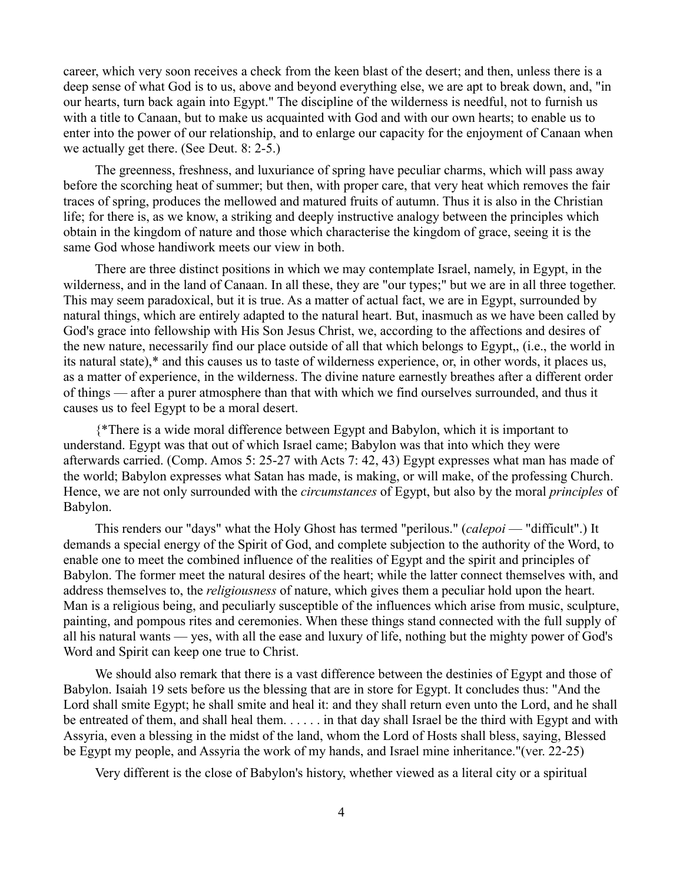career, which very soon receives a check from the keen blast of the desert; and then, unless there is a deep sense of what God is to us, above and beyond everything else, we are apt to break down, and, "in our hearts, turn back again into Egypt." The discipline of the wilderness is needful, not to furnish us with a title to Canaan, but to make us acquainted with God and with our own hearts; to enable us to enter into the power of our relationship, and to enlarge our capacity for the enjoyment of Canaan when we actually get there. (See Deut. 8: 2-5.)

The greenness, freshness, and luxuriance of spring have peculiar charms, which will pass away before the scorching heat of summer; but then, with proper care, that very heat which removes the fair traces of spring, produces the mellowed and matured fruits of autumn. Thus it is also in the Christian life; for there is, as we know, a striking and deeply instructive analogy between the principles which obtain in the kingdom of nature and those which characterise the kingdom of grace, seeing it is the same God whose handiwork meets our view in both.

There are three distinct positions in which we may contemplate Israel, namely, in Egypt, in the wilderness, and in the land of Canaan. In all these, they are "our types;" but we are in all three together. This may seem paradoxical, but it is true. As a matter of actual fact, we are in Egypt, surrounded by natural things, which are entirely adapted to the natural heart. But, inasmuch as we have been called by God's grace into fellowship with His Son Jesus Christ, we, according to the affections and desires of the new nature, necessarily find our place outside of all that which belongs to Egypt,, (i.e., the world in its natural state),\* and this causes us to taste of wilderness experience, or, in other words, it places us, as a matter of experience, in the wilderness. The divine nature earnestly breathes after a different order of things — after a purer atmosphere than that with which we find ourselves surrounded, and thus it causes us to feel Egypt to be a moral desert.

{\*There is a wide moral difference between Egypt and Babylon, which it is important to understand. Egypt was that out of which Israel came; Babylon was that into which they were afterwards carried. (Comp. Amos 5: 25-27 with Acts 7: 42, 43) Egypt expresses what man has made of the world; Babylon expresses what Satan has made, is making, or will make, of the professing Church. Hence, we are not only surrounded with the *circumstances* of Egypt, but also by the moral *principles* of Babylon.

This renders our "days" what the Holy Ghost has termed "perilous." (*calepoi* — "difficult".) It demands a special energy of the Spirit of God, and complete subjection to the authority of the Word, to enable one to meet the combined influence of the realities of Egypt and the spirit and principles of Babylon. The former meet the natural desires of the heart; while the latter connect themselves with, and address themselves to, the *religiousness* of nature, which gives them a peculiar hold upon the heart. Man is a religious being, and peculiarly susceptible of the influences which arise from music, sculpture, painting, and pompous rites and ceremonies. When these things stand connected with the full supply of all his natural wants — yes, with all the ease and luxury of life, nothing but the mighty power of God's Word and Spirit can keep one true to Christ.

We should also remark that there is a vast difference between the destinies of Egypt and those of Babylon. Isaiah 19 sets before us the blessing that are in store for Egypt. It concludes thus: "And the Lord shall smite Egypt; he shall smite and heal it: and they shall return even unto the Lord, and he shall be entreated of them, and shall heal them. . . . . . in that day shall Israel be the third with Egypt and with Assyria, even a blessing in the midst of the land, whom the Lord of Hosts shall bless, saying, Blessed be Egypt my people, and Assyria the work of my hands, and Israel mine inheritance."(ver. 22-25)

Very different is the close of Babylon's history, whether viewed as a literal city or a spiritual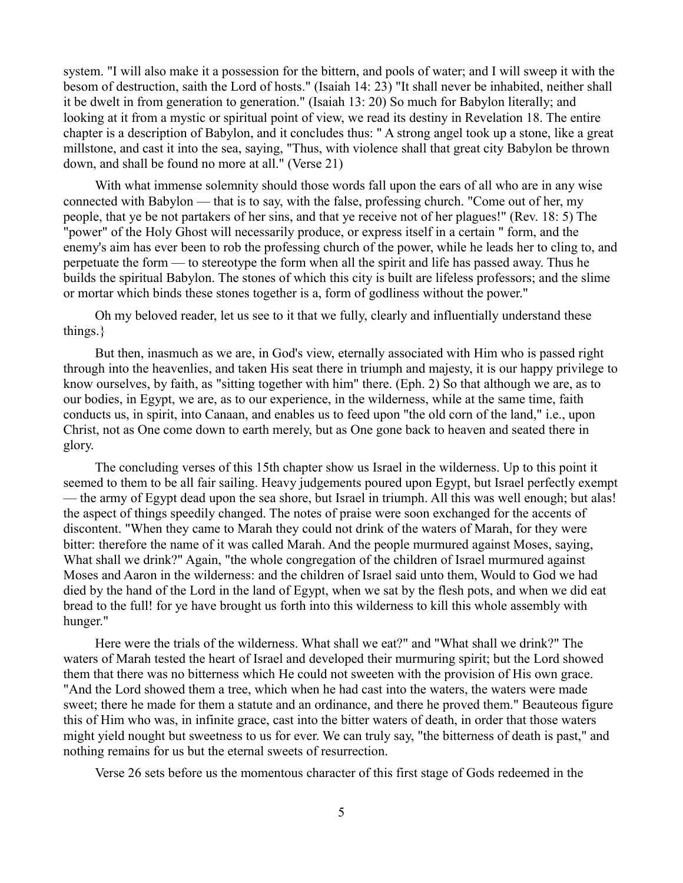system. "I will also make it a possession for the bittern, and pools of water; and I will sweep it with the besom of destruction, saith the Lord of hosts." (Isaiah 14: 23) "It shall never be inhabited, neither shall it be dwelt in from generation to generation." (Isaiah 13: 20) So much for Babylon literally; and looking at it from a mystic or spiritual point of view, we read its destiny in Revelation 18. The entire chapter is a description of Babylon, and it concludes thus: " A strong angel took up a stone, like a great millstone, and cast it into the sea, saying, "Thus, with violence shall that great city Babylon be thrown down, and shall be found no more at all." (Verse 21)

With what immense solemnity should those words fall upon the ears of all who are in any wise connected with Babylon — that is to say, with the false, professing church. "Come out of her, my people, that ye be not partakers of her sins, and that ye receive not of her plagues!" (Rev. 18: 5) The "power" of the Holy Ghost will necessarily produce, or express itself in a certain " form, and the enemy's aim has ever been to rob the professing church of the power, while he leads her to cling to, and perpetuate the form — to stereotype the form when all the spirit and life has passed away. Thus he builds the spiritual Babylon. The stones of which this city is built are lifeless professors; and the slime or mortar which binds these stones together is a, form of godliness without the power."

Oh my beloved reader, let us see to it that we fully, clearly and influentially understand these things.}

But then, inasmuch as we are, in God's view, eternally associated with Him who is passed right through into the heavenlies, and taken His seat there in triumph and majesty, it is our happy privilege to know ourselves, by faith, as "sitting together with him" there. (Eph. 2) So that although we are, as to our bodies, in Egypt, we are, as to our experience, in the wilderness, while at the same time, faith conducts us, in spirit, into Canaan, and enables us to feed upon "the old corn of the land," i.e., upon Christ, not as One come down to earth merely, but as One gone back to heaven and seated there in glory.

The concluding verses of this 15th chapter show us Israel in the wilderness. Up to this point it seemed to them to be all fair sailing. Heavy judgements poured upon Egypt, but Israel perfectly exempt — the army of Egypt dead upon the sea shore, but Israel in triumph. All this was well enough; but alas! the aspect of things speedily changed. The notes of praise were soon exchanged for the accents of discontent. "When they came to Marah they could not drink of the waters of Marah, for they were bitter: therefore the name of it was called Marah. And the people murmured against Moses, saying, What shall we drink?" Again, "the whole congregation of the children of Israel murmured against Moses and Aaron in the wilderness: and the children of Israel said unto them, Would to God we had died by the hand of the Lord in the land of Egypt, when we sat by the flesh pots, and when we did eat bread to the full! for ye have brought us forth into this wilderness to kill this whole assembly with hunger."

Here were the trials of the wilderness. What shall we eat?" and "What shall we drink?" The waters of Marah tested the heart of Israel and developed their murmuring spirit; but the Lord showed them that there was no bitterness which He could not sweeten with the provision of His own grace. "And the Lord showed them a tree, which when he had cast into the waters, the waters were made sweet; there he made for them a statute and an ordinance, and there he proved them." Beauteous figure this of Him who was, in infinite grace, cast into the bitter waters of death, in order that those waters might yield nought but sweetness to us for ever. We can truly say, "the bitterness of death is past," and nothing remains for us but the eternal sweets of resurrection.

Verse 26 sets before us the momentous character of this first stage of Gods redeemed in the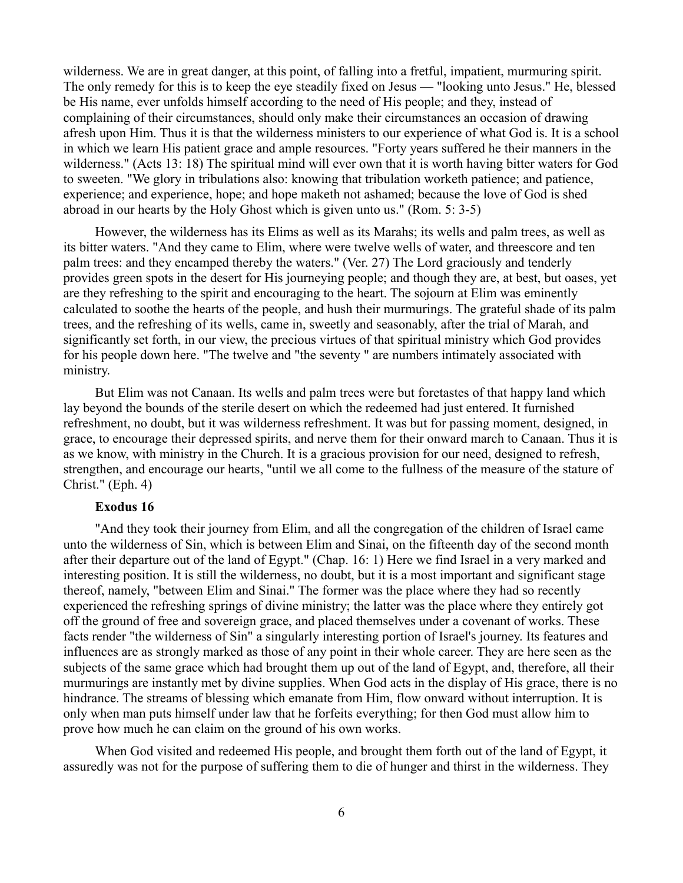wilderness. We are in great danger, at this point, of falling into a fretful, impatient, murmuring spirit. The only remedy for this is to keep the eye steadily fixed on Jesus — "looking unto Jesus." He, blessed be His name, ever unfolds himself according to the need of His people; and they, instead of complaining of their circumstances, should only make their circumstances an occasion of drawing afresh upon Him. Thus it is that the wilderness ministers to our experience of what God is. It is a school in which we learn His patient grace and ample resources. "Forty years suffered he their manners in the wilderness." (Acts 13: 18) The spiritual mind will ever own that it is worth having bitter waters for God to sweeten. "We glory in tribulations also: knowing that tribulation worketh patience; and patience, experience; and experience, hope; and hope maketh not ashamed; because the love of God is shed abroad in our hearts by the Holy Ghost which is given unto us." (Rom. 5: 3-5)

However, the wilderness has its Elims as well as its Marahs; its wells and palm trees, as well as its bitter waters. "And they came to Elim, where were twelve wells of water, and threescore and ten palm trees: and they encamped thereby the waters." (Ver. 27) The Lord graciously and tenderly provides green spots in the desert for His journeying people; and though they are, at best, but oases, yet are they refreshing to the spirit and encouraging to the heart. The sojourn at Elim was eminently calculated to soothe the hearts of the people, and hush their murmurings. The grateful shade of its palm trees, and the refreshing of its wells, came in, sweetly and seasonably, after the trial of Marah, and significantly set forth, in our view, the precious virtues of that spiritual ministry which God provides for his people down here. "The twelve and "the seventy " are numbers intimately associated with ministry.

But Elim was not Canaan. Its wells and palm trees were but foretastes of that happy land which lay beyond the bounds of the sterile desert on which the redeemed had just entered. It furnished refreshment, no doubt, but it was wilderness refreshment. It was but for passing moment, designed, in grace, to encourage their depressed spirits, and nerve them for their onward march to Canaan. Thus it is as we know, with ministry in the Church. It is a gracious provision for our need, designed to refresh, strengthen, and encourage our hearts, "until we all come to the fullness of the measure of the stature of Christ." (Eph. 4)

## **Exodus 16**

"And they took their journey from Elim, and all the congregation of the children of Israel came unto the wilderness of Sin, which is between Elim and Sinai, on the fifteenth day of the second month after their departure out of the land of Egypt." (Chap. 16: 1) Here we find Israel in a very marked and interesting position. It is still the wilderness, no doubt, but it is a most important and significant stage thereof, namely, "between Elim and Sinai." The former was the place where they had so recently experienced the refreshing springs of divine ministry; the latter was the place where they entirely got off the ground of free and sovereign grace, and placed themselves under a covenant of works. These facts render "the wilderness of Sin" a singularly interesting portion of Israel's journey. Its features and influences are as strongly marked as those of any point in their whole career. They are here seen as the subjects of the same grace which had brought them up out of the land of Egypt, and, therefore, all their murmurings are instantly met by divine supplies. When God acts in the display of His grace, there is no hindrance. The streams of blessing which emanate from Him, flow onward without interruption. It is only when man puts himself under law that he forfeits everything; for then God must allow him to prove how much he can claim on the ground of his own works.

When God visited and redeemed His people, and brought them forth out of the land of Egypt, it assuredly was not for the purpose of suffering them to die of hunger and thirst in the wilderness. They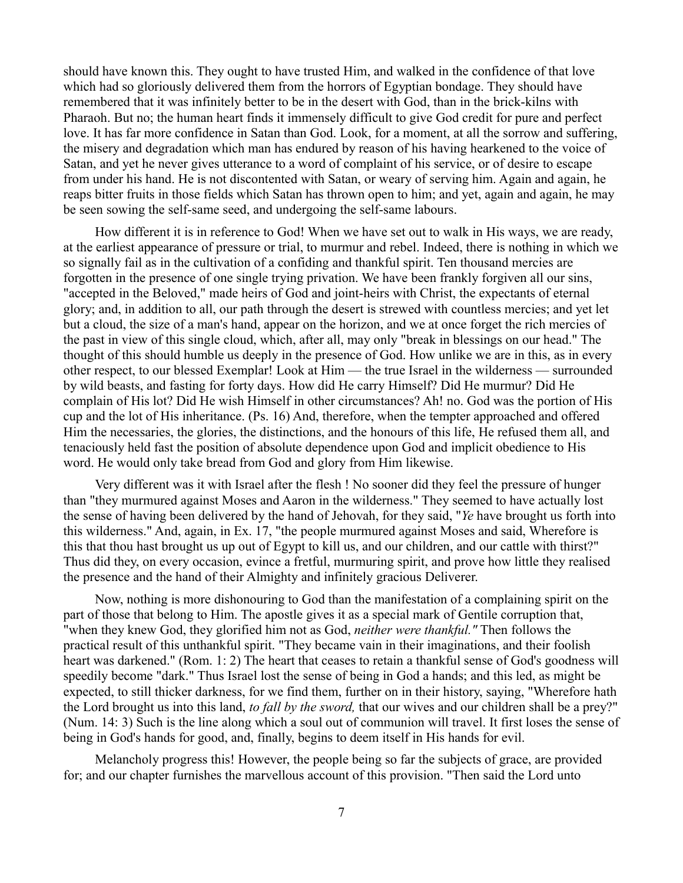should have known this. They ought to have trusted Him, and walked in the confidence of that love which had so gloriously delivered them from the horrors of Egyptian bondage. They should have remembered that it was infinitely better to be in the desert with God, than in the brick-kilns with Pharaoh. But no; the human heart finds it immensely difficult to give God credit for pure and perfect love. It has far more confidence in Satan than God. Look, for a moment, at all the sorrow and suffering, the misery and degradation which man has endured by reason of his having hearkened to the voice of Satan, and yet he never gives utterance to a word of complaint of his service, or of desire to escape from under his hand. He is not discontented with Satan, or weary of serving him. Again and again, he reaps bitter fruits in those fields which Satan has thrown open to him; and yet, again and again, he may be seen sowing the self-same seed, and undergoing the self-same labours.

How different it is in reference to God! When we have set out to walk in His ways, we are ready, at the earliest appearance of pressure or trial, to murmur and rebel. Indeed, there is nothing in which we so signally fail as in the cultivation of a confiding and thankful spirit. Ten thousand mercies are forgotten in the presence of one single trying privation. We have been frankly forgiven all our sins, "accepted in the Beloved," made heirs of God and joint-heirs with Christ, the expectants of eternal glory; and, in addition to all, our path through the desert is strewed with countless mercies; and yet let but a cloud, the size of a man's hand, appear on the horizon, and we at once forget the rich mercies of the past in view of this single cloud, which, after all, may only "break in blessings on our head." The thought of this should humble us deeply in the presence of God. How unlike we are in this, as in every other respect, to our blessed Exemplar! Look at Him — the true Israel in the wilderness — surrounded by wild beasts, and fasting for forty days. How did He carry Himself? Did He murmur? Did He complain of His lot? Did He wish Himself in other circumstances? Ah! no. God was the portion of His cup and the lot of His inheritance. (Ps. 16) And, therefore, when the tempter approached and offered Him the necessaries, the glories, the distinctions, and the honours of this life, He refused them all, and tenaciously held fast the position of absolute dependence upon God and implicit obedience to His word. He would only take bread from God and glory from Him likewise.

Very different was it with Israel after the flesh ! No sooner did they feel the pressure of hunger than "they murmured against Moses and Aaron in the wilderness." They seemed to have actually lost the sense of having been delivered by the hand of Jehovah, for they said, "*Ye* have brought us forth into this wilderness." And, again, in Ex. 17, "the people murmured against Moses and said, Wherefore is this that thou hast brought us up out of Egypt to kill us, and our children, and our cattle with thirst?" Thus did they, on every occasion, evince a fretful, murmuring spirit, and prove how little they realised the presence and the hand of their Almighty and infinitely gracious Deliverer.

Now, nothing is more dishonouring to God than the manifestation of a complaining spirit on the part of those that belong to Him. The apostle gives it as a special mark of Gentile corruption that, "when they knew God, they glorified him not as God, *neither were thankful."* Then follows the practical result of this unthankful spirit. "They became vain in their imaginations, and their foolish heart was darkened." (Rom. 1: 2) The heart that ceases to retain a thankful sense of God's goodness will speedily become "dark." Thus Israel lost the sense of being in God a hands; and this led, as might be expected, to still thicker darkness, for we find them, further on in their history, saying, "Wherefore hath the Lord brought us into this land, *to fall by the sword,* that our wives and our children shall be a prey?" (Num. 14: 3) Such is the line along which a soul out of communion will travel. It first loses the sense of being in God's hands for good, and, finally, begins to deem itself in His hands for evil.

Melancholy progress this! However, the people being so far the subjects of grace, are provided for; and our chapter furnishes the marvellous account of this provision. "Then said the Lord unto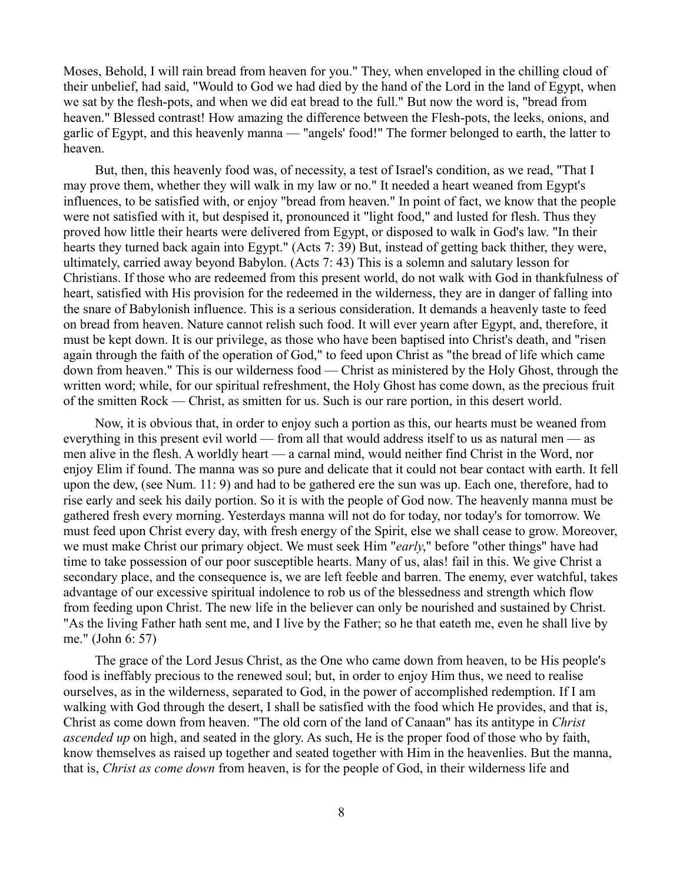Moses, Behold, I will rain bread from heaven for you." They, when enveloped in the chilling cloud of their unbelief, had said, "Would to God we had died by the hand of the Lord in the land of Egypt, when we sat by the flesh-pots, and when we did eat bread to the full." But now the word is, "bread from heaven." Blessed contrast! How amazing the difference between the Flesh-pots, the leeks, onions, and garlic of Egypt, and this heavenly manna — "angels' food!" The former belonged to earth, the latter to heaven.

But, then, this heavenly food was, of necessity, a test of Israel's condition, as we read, "That I may prove them, whether they will walk in my law or no." It needed a heart weaned from Egypt's influences, to be satisfied with, or enjoy "bread from heaven." In point of fact, we know that the people were not satisfied with it, but despised it, pronounced it "light food," and lusted for flesh. Thus they proved how little their hearts were delivered from Egypt, or disposed to walk in God's law. "In their hearts they turned back again into Egypt." (Acts 7: 39) But, instead of getting back thither, they were, ultimately, carried away beyond Babylon. (Acts 7: 43) This is a solemn and salutary lesson for Christians. If those who are redeemed from this present world, do not walk with God in thankfulness of heart, satisfied with His provision for the redeemed in the wilderness, they are in danger of falling into the snare of Babylonish influence. This is a serious consideration. It demands a heavenly taste to feed on bread from heaven. Nature cannot relish such food. It will ever yearn after Egypt, and, therefore, it must be kept down. It is our privilege, as those who have been baptised into Christ's death, and "risen again through the faith of the operation of God," to feed upon Christ as "the bread of life which came down from heaven." This is our wilderness food — Christ as ministered by the Holy Ghost, through the written word; while, for our spiritual refreshment, the Holy Ghost has come down, as the precious fruit of the smitten Rock — Christ, as smitten for us. Such is our rare portion, in this desert world.

Now, it is obvious that, in order to enjoy such a portion as this, our hearts must be weaned from everything in this present evil world — from all that would address itself to us as natural men — as men alive in the flesh. A worldly heart — a carnal mind, would neither find Christ in the Word, nor enjoy Elim if found. The manna was so pure and delicate that it could not bear contact with earth. It fell upon the dew, (see Num. 11: 9) and had to be gathered ere the sun was up. Each one, therefore, had to rise early and seek his daily portion. So it is with the people of God now. The heavenly manna must be gathered fresh every morning. Yesterdays manna will not do for today, nor today's for tomorrow. We must feed upon Christ every day, with fresh energy of the Spirit, else we shall cease to grow. Moreover, we must make Christ our primary object. We must seek Him "*early*," before "other things" have had time to take possession of our poor susceptible hearts. Many of us, alas! fail in this. We give Christ a secondary place, and the consequence is, we are left feeble and barren. The enemy, ever watchful, takes advantage of our excessive spiritual indolence to rob us of the blessedness and strength which flow from feeding upon Christ. The new life in the believer can only be nourished and sustained by Christ. "As the living Father hath sent me, and I live by the Father; so he that eateth me, even he shall live by me." (John 6: 57)

The grace of the Lord Jesus Christ, as the One who came down from heaven, to be His people's food is ineffably precious to the renewed soul; but, in order to enjoy Him thus, we need to realise ourselves, as in the wilderness, separated to God, in the power of accomplished redemption. If I am walking with God through the desert, I shall be satisfied with the food which He provides, and that is, Christ as come down from heaven. "The old corn of the land of Canaan" has its antitype in *Christ ascended up* on high, and seated in the glory. As such, He is the proper food of those who by faith, know themselves as raised up together and seated together with Him in the heavenlies. But the manna, that is, *Christ as come down* from heaven, is for the people of God, in their wilderness life and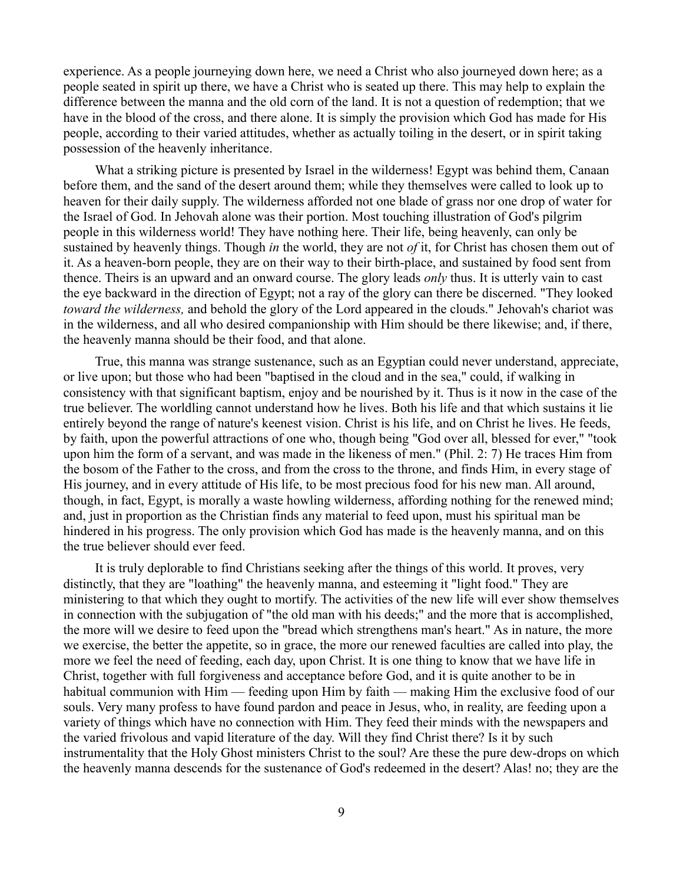experience. As a people journeying down here, we need a Christ who also journeyed down here; as a people seated in spirit up there, we have a Christ who is seated up there. This may help to explain the difference between the manna and the old corn of the land. It is not a question of redemption; that we have in the blood of the cross, and there alone. It is simply the provision which God has made for His people, according to their varied attitudes, whether as actually toiling in the desert, or in spirit taking possession of the heavenly inheritance.

What a striking picture is presented by Israel in the wilderness! Egypt was behind them, Canaan before them, and the sand of the desert around them; while they themselves were called to look up to heaven for their daily supply. The wilderness afforded not one blade of grass nor one drop of water for the Israel of God. In Jehovah alone was their portion. Most touching illustration of God's pilgrim people in this wilderness world! They have nothing here. Their life, being heavenly, can only be sustained by heavenly things. Though *in* the world, they are not *of* it, for Christ has chosen them out of it. As a heaven-born people, they are on their way to their birth-place, and sustained by food sent from thence. Theirs is an upward and an onward course. The glory leads *only* thus. It is utterly vain to cast the eye backward in the direction of Egypt; not a ray of the glory can there be discerned. "They looked *toward the wilderness,* and behold the glory of the Lord appeared in the clouds." Jehovah's chariot was in the wilderness, and all who desired companionship with Him should be there likewise; and, if there, the heavenly manna should be their food, and that alone.

True, this manna was strange sustenance, such as an Egyptian could never understand, appreciate, or live upon; but those who had been "baptised in the cloud and in the sea," could, if walking in consistency with that significant baptism, enjoy and be nourished by it. Thus is it now in the case of the true believer. The worldling cannot understand how he lives. Both his life and that which sustains it lie entirely beyond the range of nature's keenest vision. Christ is his life, and on Christ he lives. He feeds, by faith, upon the powerful attractions of one who, though being "God over all, blessed for ever," "took upon him the form of a servant, and was made in the likeness of men." (Phil. 2: 7) He traces Him from the bosom of the Father to the cross, and from the cross to the throne, and finds Him, in every stage of His journey, and in every attitude of His life, to be most precious food for his new man. All around, though, in fact, Egypt, is morally a waste howling wilderness, affording nothing for the renewed mind; and, just in proportion as the Christian finds any material to feed upon, must his spiritual man be hindered in his progress. The only provision which God has made is the heavenly manna, and on this the true believer should ever feed.

It is truly deplorable to find Christians seeking after the things of this world. It proves, very distinctly, that they are "loathing" the heavenly manna, and esteeming it "light food." They are ministering to that which they ought to mortify. The activities of the new life will ever show themselves in connection with the subjugation of "the old man with his deeds;" and the more that is accomplished, the more will we desire to feed upon the "bread which strengthens man's heart." As in nature, the more we exercise, the better the appetite, so in grace, the more our renewed faculties are called into play, the more we feel the need of feeding, each day, upon Christ. It is one thing to know that we have life in Christ, together with full forgiveness and acceptance before God, and it is quite another to be in habitual communion with Him — feeding upon Him by faith — making Him the exclusive food of our souls. Very many profess to have found pardon and peace in Jesus, who, in reality, are feeding upon a variety of things which have no connection with Him. They feed their minds with the newspapers and the varied frivolous and vapid literature of the day. Will they find Christ there? Is it by such instrumentality that the Holy Ghost ministers Christ to the soul? Are these the pure dew-drops on which the heavenly manna descends for the sustenance of God's redeemed in the desert? Alas! no; they are the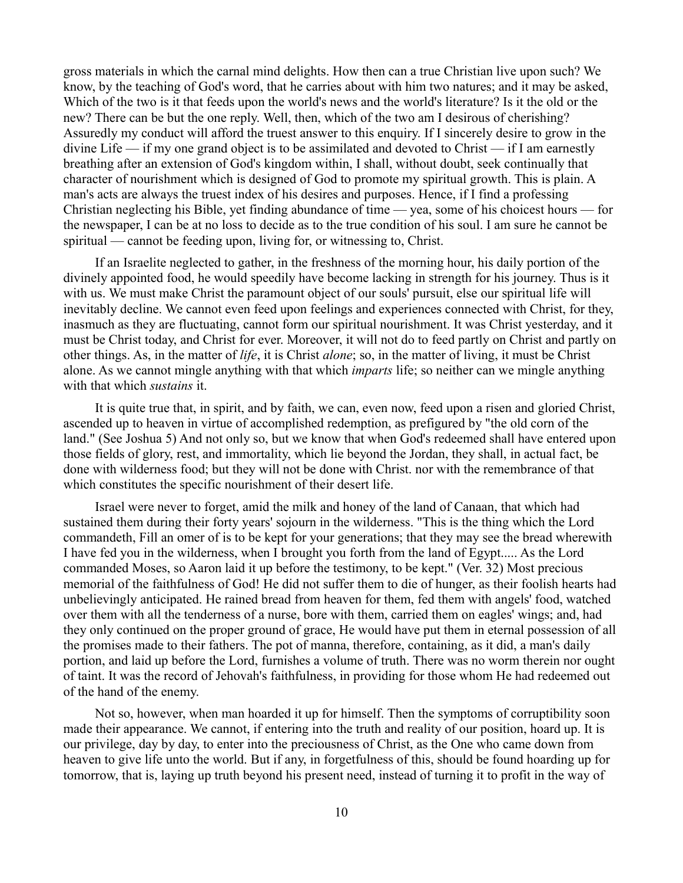gross materials in which the carnal mind delights. How then can a true Christian live upon such? We know, by the teaching of God's word, that he carries about with him two natures; and it may be asked, Which of the two is it that feeds upon the world's news and the world's literature? Is it the old or the new? There can be but the one reply. Well, then, which of the two am I desirous of cherishing? Assuredly my conduct will afford the truest answer to this enquiry. If I sincerely desire to grow in the divine Life — if my one grand object is to be assimilated and devoted to Christ — if I am earnestly breathing after an extension of God's kingdom within, I shall, without doubt, seek continually that character of nourishment which is designed of God to promote my spiritual growth. This is plain. A man's acts are always the truest index of his desires and purposes. Hence, if I find a professing Christian neglecting his Bible, yet finding abundance of time — yea, some of his choicest hours — for the newspaper, I can be at no loss to decide as to the true condition of his soul. I am sure he cannot be spiritual — cannot be feeding upon, living for, or witnessing to, Christ.

If an Israelite neglected to gather, in the freshness of the morning hour, his daily portion of the divinely appointed food, he would speedily have become lacking in strength for his journey. Thus is it with us. We must make Christ the paramount object of our souls' pursuit, else our spiritual life will inevitably decline. We cannot even feed upon feelings and experiences connected with Christ, for they, inasmuch as they are fluctuating, cannot form our spiritual nourishment. It was Christ yesterday, and it must be Christ today, and Christ for ever. Moreover, it will not do to feed partly on Christ and partly on other things. As, in the matter of *life*, it is Christ *alone*; so, in the matter of living, it must be Christ alone. As we cannot mingle anything with that which *imparts* life; so neither can we mingle anything with that which *sustains* it.

It is quite true that, in spirit, and by faith, we can, even now, feed upon a risen and gloried Christ, ascended up to heaven in virtue of accomplished redemption, as prefigured by "the old corn of the land." (See Joshua 5) And not only so, but we know that when God's redeemed shall have entered upon those fields of glory, rest, and immortality, which lie beyond the Jordan, they shall, in actual fact, be done with wilderness food; but they will not be done with Christ. nor with the remembrance of that which constitutes the specific nourishment of their desert life.

Israel were never to forget, amid the milk and honey of the land of Canaan, that which had sustained them during their forty years' sojourn in the wilderness. "This is the thing which the Lord commandeth, Fill an omer of is to be kept for your generations; that they may see the bread wherewith I have fed you in the wilderness, when I brought you forth from the land of Egypt..... As the Lord commanded Moses, so Aaron laid it up before the testimony, to be kept." (Ver. 32) Most precious memorial of the faithfulness of God! He did not suffer them to die of hunger, as their foolish hearts had unbelievingly anticipated. He rained bread from heaven for them, fed them with angels' food, watched over them with all the tenderness of a nurse, bore with them, carried them on eagles' wings; and, had they only continued on the proper ground of grace, He would have put them in eternal possession of all the promises made to their fathers. The pot of manna, therefore, containing, as it did, a man's daily portion, and laid up before the Lord, furnishes a volume of truth. There was no worm therein nor ought of taint. It was the record of Jehovah's faithfulness, in providing for those whom He had redeemed out of the hand of the enemy.

Not so, however, when man hoarded it up for himself. Then the symptoms of corruptibility soon made their appearance. We cannot, if entering into the truth and reality of our position, hoard up. It is our privilege, day by day, to enter into the preciousness of Christ, as the One who came down from heaven to give life unto the world. But if any, in forgetfulness of this, should be found hoarding up for tomorrow, that is, laying up truth beyond his present need, instead of turning it to profit in the way of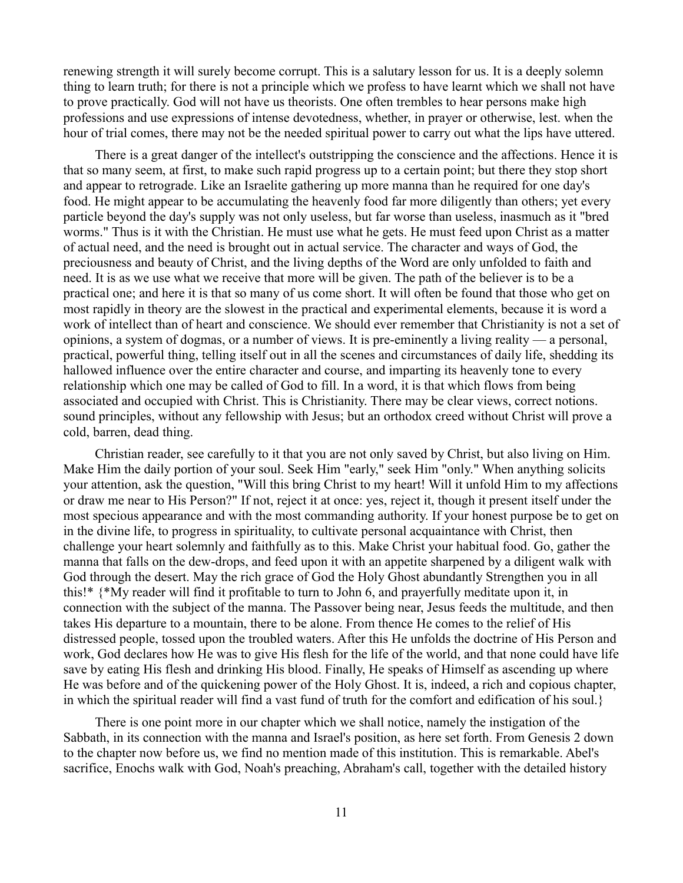renewing strength it will surely become corrupt. This is a salutary lesson for us. It is a deeply solemn thing to learn truth; for there is not a principle which we profess to have learnt which we shall not have to prove practically. God will not have us theorists. One often trembles to hear persons make high professions and use expressions of intense devotedness, whether, in prayer or otherwise, lest. when the hour of trial comes, there may not be the needed spiritual power to carry out what the lips have uttered.

There is a great danger of the intellect's outstripping the conscience and the affections. Hence it is that so many seem, at first, to make such rapid progress up to a certain point; but there they stop short and appear to retrograde. Like an Israelite gathering up more manna than he required for one day's food. He might appear to be accumulating the heavenly food far more diligently than others; yet every particle beyond the day's supply was not only useless, but far worse than useless, inasmuch as it "bred worms." Thus is it with the Christian. He must use what he gets. He must feed upon Christ as a matter of actual need, and the need is brought out in actual service. The character and ways of God, the preciousness and beauty of Christ, and the living depths of the Word are only unfolded to faith and need. It is as we use what we receive that more will be given. The path of the believer is to be a practical one; and here it is that so many of us come short. It will often be found that those who get on most rapidly in theory are the slowest in the practical and experimental elements, because it is word a work of intellect than of heart and conscience. We should ever remember that Christianity is not a set of opinions, a system of dogmas, or a number of views. It is pre-eminently a living reality — a personal, practical, powerful thing, telling itself out in all the scenes and circumstances of daily life, shedding its hallowed influence over the entire character and course, and imparting its heavenly tone to every relationship which one may be called of God to fill. In a word, it is that which flows from being associated and occupied with Christ. This is Christianity. There may be clear views, correct notions. sound principles, without any fellowship with Jesus; but an orthodox creed without Christ will prove a cold, barren, dead thing.

Christian reader, see carefully to it that you are not only saved by Christ, but also living on Him. Make Him the daily portion of your soul. Seek Him "early," seek Him "only." When anything solicits your attention, ask the question, "Will this bring Christ to my heart! Will it unfold Him to my affections or draw me near to His Person?" If not, reject it at once: yes, reject it, though it present itself under the most specious appearance and with the most commanding authority. If your honest purpose be to get on in the divine life, to progress in spirituality, to cultivate personal acquaintance with Christ, then challenge your heart solemnly and faithfully as to this. Make Christ your habitual food. Go, gather the manna that falls on the dew-drops, and feed upon it with an appetite sharpened by a diligent walk with God through the desert. May the rich grace of God the Holy Ghost abundantly Strengthen you in all this!\* {\*My reader will find it profitable to turn to John 6, and prayerfully meditate upon it, in connection with the subject of the manna. The Passover being near, Jesus feeds the multitude, and then takes His departure to a mountain, there to be alone. From thence He comes to the relief of His distressed people, tossed upon the troubled waters. After this He unfolds the doctrine of His Person and work, God declares how He was to give His flesh for the life of the world, and that none could have life save by eating His flesh and drinking His blood. Finally, He speaks of Himself as ascending up where He was before and of the quickening power of the Holy Ghost. It is, indeed, a rich and copious chapter, in which the spiritual reader will find a vast fund of truth for the comfort and edification of his soul.}

There is one point more in our chapter which we shall notice, namely the instigation of the Sabbath, in its connection with the manna and Israel's position, as here set forth. From Genesis 2 down to the chapter now before us, we find no mention made of this institution. This is remarkable. Abel's sacrifice, Enochs walk with God, Noah's preaching, Abraham's call, together with the detailed history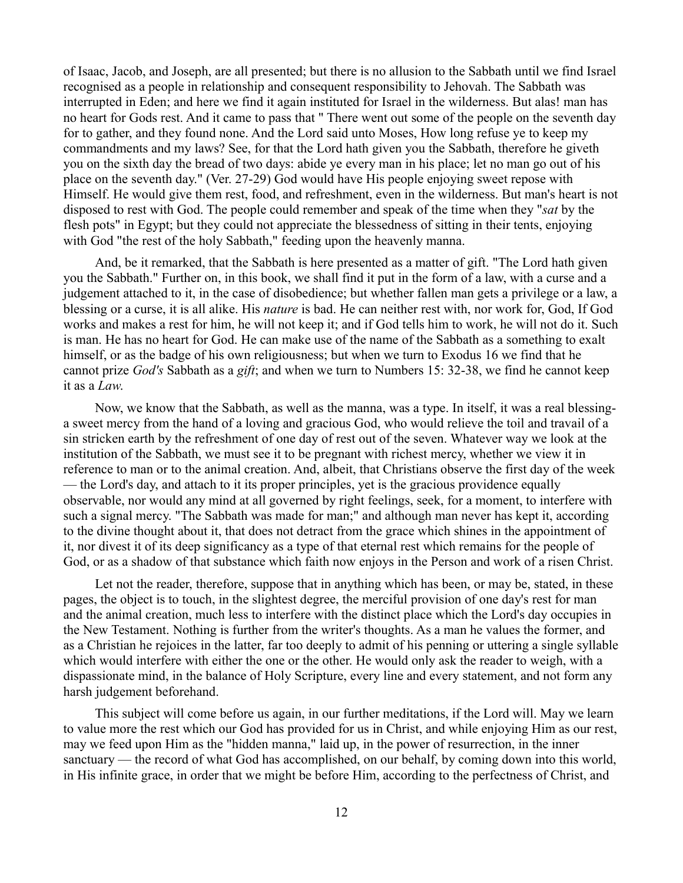of Isaac, Jacob, and Joseph, are all presented; but there is no allusion to the Sabbath until we find Israel recognised as a people in relationship and consequent responsibility to Jehovah. The Sabbath was interrupted in Eden; and here we find it again instituted for Israel in the wilderness. But alas! man has no heart for Gods rest. And it came to pass that " There went out some of the people on the seventh day for to gather, and they found none. And the Lord said unto Moses, How long refuse ye to keep my commandments and my laws? See, for that the Lord hath given you the Sabbath, therefore he giveth you on the sixth day the bread of two days: abide ye every man in his place; let no man go out of his place on the seventh day." (Ver. 27-29) God would have His people enjoying sweet repose with Himself. He would give them rest, food, and refreshment, even in the wilderness. But man's heart is not disposed to rest with God. The people could remember and speak of the time when they "*sat* by the flesh pots" in Egypt; but they could not appreciate the blessedness of sitting in their tents, enjoying with God "the rest of the holy Sabbath," feeding upon the heavenly manna.

And, be it remarked, that the Sabbath is here presented as a matter of gift. "The Lord hath given you the Sabbath." Further on, in this book, we shall find it put in the form of a law, with a curse and a judgement attached to it, in the case of disobedience; but whether fallen man gets a privilege or a law, a blessing or a curse, it is all alike. His *nature* is bad. He can neither rest with, nor work for, God, If God works and makes a rest for him, he will not keep it; and if God tells him to work, he will not do it. Such is man. He has no heart for God. He can make use of the name of the Sabbath as a something to exalt himself, or as the badge of his own religiousness; but when we turn to Exodus 16 we find that he cannot prize *God's* Sabbath as a *gift*; and when we turn to Numbers 15: 32-38, we find he cannot keep it as a *Law*.

Now, we know that the Sabbath, as well as the manna, was a type. In itself, it was a real blessinga sweet mercy from the hand of a loving and gracious God, who would relieve the toil and travail of a sin stricken earth by the refreshment of one day of rest out of the seven. Whatever way we look at the institution of the Sabbath, we must see it to be pregnant with richest mercy, whether we view it in reference to man or to the animal creation. And, albeit, that Christians observe the first day of the week — the Lord's day, and attach to it its proper principles, yet is the gracious providence equally observable, nor would any mind at all governed by right feelings, seek, for a moment, to interfere with such a signal mercy. "The Sabbath was made for man;" and although man never has kept it, according to the divine thought about it, that does not detract from the grace which shines in the appointment of it, nor divest it of its deep significancy as a type of that eternal rest which remains for the people of God, or as a shadow of that substance which faith now enjoys in the Person and work of a risen Christ.

Let not the reader, therefore, suppose that in anything which has been, or may be, stated, in these pages, the object is to touch, in the slightest degree, the merciful provision of one day's rest for man and the animal creation, much less to interfere with the distinct place which the Lord's day occupies in the New Testament. Nothing is further from the writer's thoughts. As a man he values the former, and as a Christian he rejoices in the latter, far too deeply to admit of his penning or uttering a single syllable which would interfere with either the one or the other. He would only ask the reader to weigh, with a dispassionate mind, in the balance of Holy Scripture, every line and every statement, and not form any harsh judgement beforehand.

This subject will come before us again, in our further meditations, if the Lord will. May we learn to value more the rest which our God has provided for us in Christ, and while enjoying Him as our rest, may we feed upon Him as the "hidden manna," laid up, in the power of resurrection, in the inner sanctuary — the record of what God has accomplished, on our behalf, by coming down into this world, in His infinite grace, in order that we might be before Him, according to the perfectness of Christ, and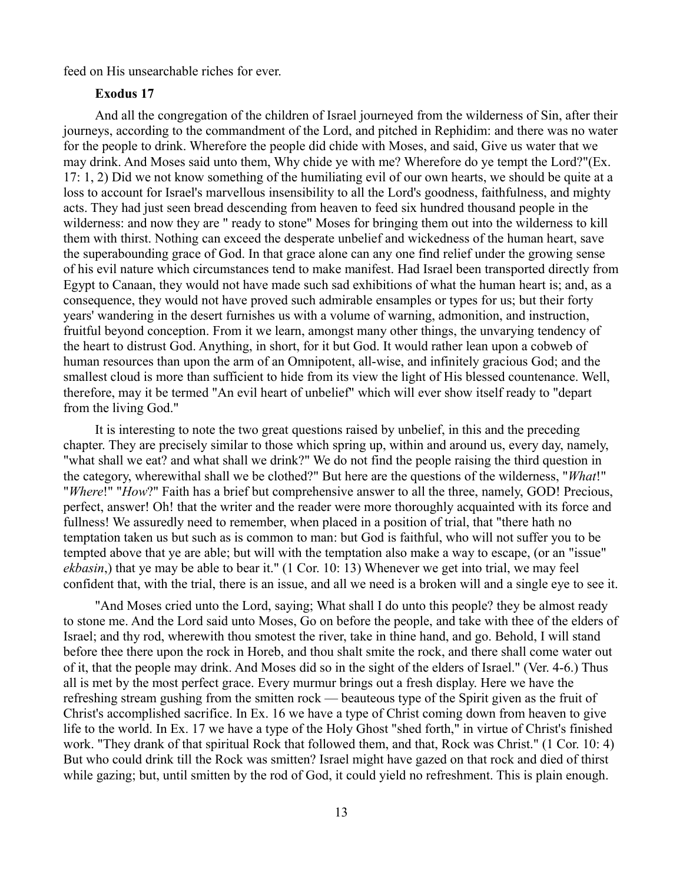feed on His unsearchable riches for ever.

## **Exodus 17**

And all the congregation of the children of Israel journeyed from the wilderness of Sin, after their journeys, according to the commandment of the Lord, and pitched in Rephidim: and there was no water for the people to drink. Wherefore the people did chide with Moses, and said, Give us water that we may drink. And Moses said unto them, Why chide ye with me? Wherefore do ye tempt the Lord?"(Ex. 17: 1, 2) Did we not know something of the humiliating evil of our own hearts, we should be quite at a loss to account for Israel's marvellous insensibility to all the Lord's goodness, faithfulness, and mighty acts. They had just seen bread descending from heaven to feed six hundred thousand people in the wilderness: and now they are " ready to stone" Moses for bringing them out into the wilderness to kill them with thirst. Nothing can exceed the desperate unbelief and wickedness of the human heart, save the superabounding grace of God. In that grace alone can any one find relief under the growing sense of his evil nature which circumstances tend to make manifest. Had Israel been transported directly from Egypt to Canaan, they would not have made such sad exhibitions of what the human heart is; and, as a consequence, they would not have proved such admirable ensamples or types for us; but their forty years' wandering in the desert furnishes us with a volume of warning, admonition, and instruction, fruitful beyond conception. From it we learn, amongst many other things, the unvarying tendency of the heart to distrust God. Anything, in short, for it but God. It would rather lean upon a cobweb of human resources than upon the arm of an Omnipotent, all-wise, and infinitely gracious God; and the smallest cloud is more than sufficient to hide from its view the light of His blessed countenance. Well, therefore, may it be termed "An evil heart of unbelief" which will ever show itself ready to "depart from the living God."

It is interesting to note the two great questions raised by unbelief, in this and the preceding chapter. They are precisely similar to those which spring up, within and around us, every day, namely, "what shall we eat? and what shall we drink?" We do not find the people raising the third question in the category, wherewithal shall we be clothed?" But here are the questions of the wilderness, "*What*!" "*Where*!" "*How*?" Faith has a brief but comprehensive answer to all the three, namely, GOD! Precious, perfect, answer! Oh! that the writer and the reader were more thoroughly acquainted with its force and fullness! We assuredly need to remember, when placed in a position of trial, that "there hath no temptation taken us but such as is common to man: but God is faithful, who will not suffer you to be tempted above that ye are able; but will with the temptation also make a way to escape, (or an "issue" *ekbasin*,) that ye may be able to bear it." (1 Cor. 10: 13) Whenever we get into trial, we may feel confident that, with the trial, there is an issue, and all we need is a broken will and a single eye to see it.

"And Moses cried unto the Lord, saying; What shall I do unto this people? they be almost ready to stone me. And the Lord said unto Moses, Go on before the people, and take with thee of the elders of Israel; and thy rod, wherewith thou smotest the river, take in thine hand, and go. Behold, I will stand before thee there upon the rock in Horeb, and thou shalt smite the rock, and there shall come water out of it, that the people may drink. And Moses did so in the sight of the elders of Israel." (Ver. 4-6.) Thus all is met by the most perfect grace. Every murmur brings out a fresh display. Here we have the refreshing stream gushing from the smitten rock — beauteous type of the Spirit given as the fruit of Christ's accomplished sacrifice. In Ex. 16 we have a type of Christ coming down from heaven to give life to the world. In Ex. 17 we have a type of the Holy Ghost "shed forth," in virtue of Christ's finished work. "They drank of that spiritual Rock that followed them, and that, Rock was Christ." (1 Cor. 10: 4) But who could drink till the Rock was smitten? Israel might have gazed on that rock and died of thirst while gazing; but, until smitten by the rod of God, it could yield no refreshment. This is plain enough.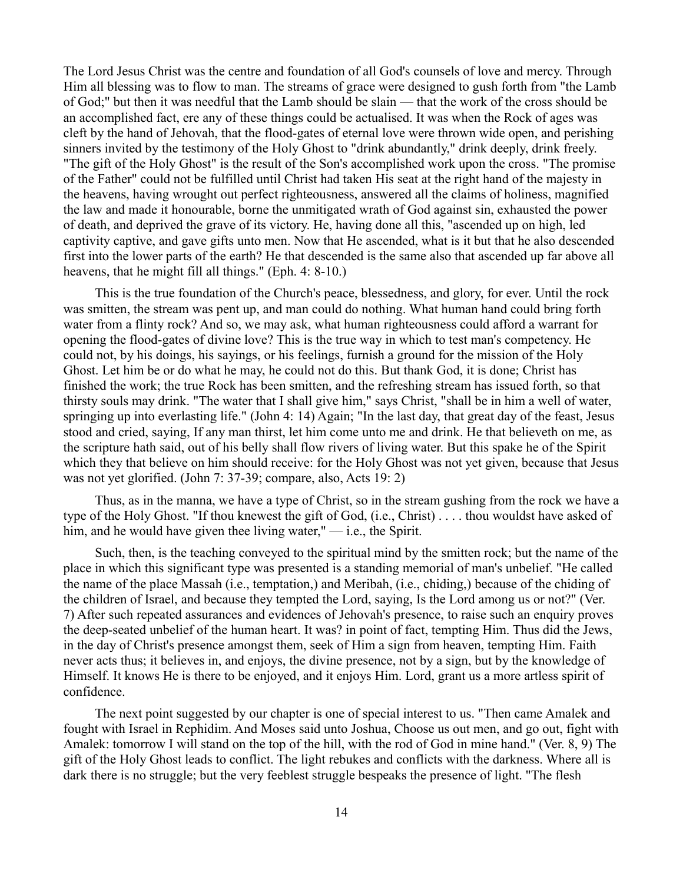The Lord Jesus Christ was the centre and foundation of all God's counsels of love and mercy. Through Him all blessing was to flow to man. The streams of grace were designed to gush forth from "the Lamb of God;" but then it was needful that the Lamb should be slain — that the work of the cross should be an accomplished fact, ere any of these things could be actualised. It was when the Rock of ages was cleft by the hand of Jehovah, that the flood-gates of eternal love were thrown wide open, and perishing sinners invited by the testimony of the Holy Ghost to "drink abundantly," drink deeply, drink freely. "The gift of the Holy Ghost" is the result of the Son's accomplished work upon the cross. "The promise of the Father" could not be fulfilled until Christ had taken His seat at the right hand of the majesty in the heavens, having wrought out perfect righteousness, answered all the claims of holiness, magnified the law and made it honourable, borne the unmitigated wrath of God against sin, exhausted the power of death, and deprived the grave of its victory. He, having done all this, "ascended up on high, led captivity captive, and gave gifts unto men. Now that He ascended, what is it but that he also descended first into the lower parts of the earth? He that descended is the same also that ascended up far above all heavens, that he might fill all things." (Eph. 4: 8-10.)

This is the true foundation of the Church's peace, blessedness, and glory, for ever. Until the rock was smitten, the stream was pent up, and man could do nothing. What human hand could bring forth water from a flinty rock? And so, we may ask, what human righteousness could afford a warrant for opening the flood-gates of divine love? This is the true way in which to test man's competency. He could not, by his doings, his sayings, or his feelings, furnish a ground for the mission of the Holy Ghost. Let him be or do what he may, he could not do this. But thank God, it is done; Christ has finished the work; the true Rock has been smitten, and the refreshing stream has issued forth, so that thirsty souls may drink. "The water that I shall give him," says Christ, "shall be in him a well of water, springing up into everlasting life." (John 4: 14) Again; "In the last day, that great day of the feast, Jesus stood and cried, saying, If any man thirst, let him come unto me and drink. He that believeth on me, as the scripture hath said, out of his belly shall flow rivers of living water. But this spake he of the Spirit which they that believe on him should receive: for the Holy Ghost was not yet given, because that Jesus was not yet glorified. (John 7: 37-39; compare, also, Acts 19: 2)

Thus, as in the manna, we have a type of Christ, so in the stream gushing from the rock we have a type of the Holy Ghost. "If thou knewest the gift of God, (i.e., Christ) . . . . thou wouldst have asked of him, and he would have given thee living water," — i.e., the Spirit.

Such, then, is the teaching conveyed to the spiritual mind by the smitten rock; but the name of the place in which this significant type was presented is a standing memorial of man's unbelief. "He called the name of the place Massah (i.e., temptation,) and Meribah, (i.e., chiding,) because of the chiding of the children of Israel, and because they tempted the Lord, saying, Is the Lord among us or not?" (Ver. 7) After such repeated assurances and evidences of Jehovah's presence, to raise such an enquiry proves the deep-seated unbelief of the human heart. It was? in point of fact, tempting Him. Thus did the Jews, in the day of Christ's presence amongst them, seek of Him a sign from heaven, tempting Him. Faith never acts thus; it believes in, and enjoys, the divine presence, not by a sign, but by the knowledge of Himself. It knows He is there to be enjoyed, and it enjoys Him. Lord, grant us a more artless spirit of confidence.

The next point suggested by our chapter is one of special interest to us. "Then came Amalek and fought with Israel in Rephidim. And Moses said unto Joshua, Choose us out men, and go out, fight with Amalek: tomorrow I will stand on the top of the hill, with the rod of God in mine hand." (Ver. 8, 9) The gift of the Holy Ghost leads to conflict. The light rebukes and conflicts with the darkness. Where all is dark there is no struggle; but the very feeblest struggle bespeaks the presence of light. "The flesh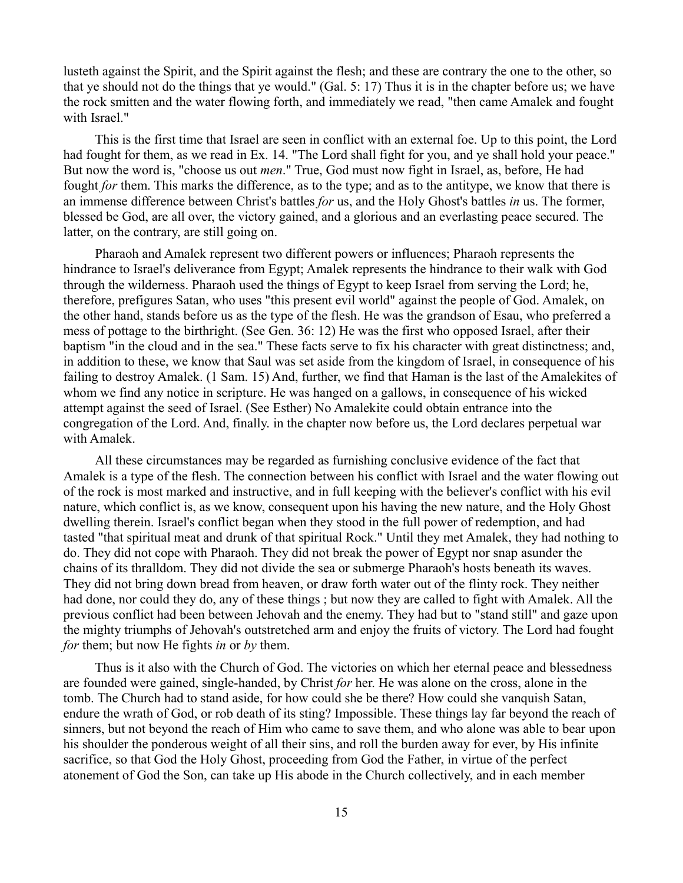lusteth against the Spirit, and the Spirit against the flesh; and these are contrary the one to the other, so that ye should not do the things that ye would." (Gal. 5: 17) Thus it is in the chapter before us; we have the rock smitten and the water flowing forth, and immediately we read, "then came Amalek and fought with Israel."

This is the first time that Israel are seen in conflict with an external foe. Up to this point, the Lord had fought for them, as we read in Ex. 14. "The Lord shall fight for you, and ye shall hold your peace." But now the word is, "choose us out *men*." True, God must now fight in Israel, as, before, He had fought *for* them. This marks the difference, as to the type; and as to the antitype, we know that there is an immense difference between Christ's battles *for* us, and the Holy Ghost's battles *in* us. The former, blessed be God, are all over, the victory gained, and a glorious and an everlasting peace secured. The latter, on the contrary, are still going on.

Pharaoh and Amalek represent two different powers or influences; Pharaoh represents the hindrance to Israel's deliverance from Egypt; Amalek represents the hindrance to their walk with God through the wilderness. Pharaoh used the things of Egypt to keep Israel from serving the Lord; he, therefore, prefigures Satan, who uses "this present evil world" against the people of God. Amalek, on the other hand, stands before us as the type of the flesh. He was the grandson of Esau, who preferred a mess of pottage to the birthright. (See Gen. 36: 12) He was the first who opposed Israel, after their baptism "in the cloud and in the sea." These facts serve to fix his character with great distinctness; and, in addition to these, we know that Saul was set aside from the kingdom of Israel, in consequence of his failing to destroy Amalek. (1 Sam. 15) And, further, we find that Haman is the last of the Amalekites of whom we find any notice in scripture. He was hanged on a gallows, in consequence of his wicked attempt against the seed of Israel. (See Esther) No Amalekite could obtain entrance into the congregation of the Lord. And, finally. in the chapter now before us, the Lord declares perpetual war with Amalek.

All these circumstances may be regarded as furnishing conclusive evidence of the fact that Amalek is a type of the flesh. The connection between his conflict with Israel and the water flowing out of the rock is most marked and instructive, and in full keeping with the believer's conflict with his evil nature, which conflict is, as we know, consequent upon his having the new nature, and the Holy Ghost dwelling therein. Israel's conflict began when they stood in the full power of redemption, and had tasted "that spiritual meat and drunk of that spiritual Rock." Until they met Amalek, they had nothing to do. They did not cope with Pharaoh. They did not break the power of Egypt nor snap asunder the chains of its thralldom. They did not divide the sea or submerge Pharaoh's hosts beneath its waves. They did not bring down bread from heaven, or draw forth water out of the flinty rock. They neither had done, nor could they do, any of these things ; but now they are called to fight with Amalek. All the previous conflict had been between Jehovah and the enemy. They had but to "stand still" and gaze upon the mighty triumphs of Jehovah's outstretched arm and enjoy the fruits of victory. The Lord had fought *for* them; but now He fights *in* or *by* them.

Thus is it also with the Church of God. The victories on which her eternal peace and blessedness are founded were gained, single-handed, by Christ *for* her. He was alone on the cross, alone in the tomb. The Church had to stand aside, for how could she be there? How could she vanquish Satan, endure the wrath of God, or rob death of its sting? Impossible. These things lay far beyond the reach of sinners, but not beyond the reach of Him who came to save them, and who alone was able to bear upon his shoulder the ponderous weight of all their sins, and roll the burden away for ever, by His infinite sacrifice, so that God the Holy Ghost, proceeding from God the Father, in virtue of the perfect atonement of God the Son, can take up His abode in the Church collectively, and in each member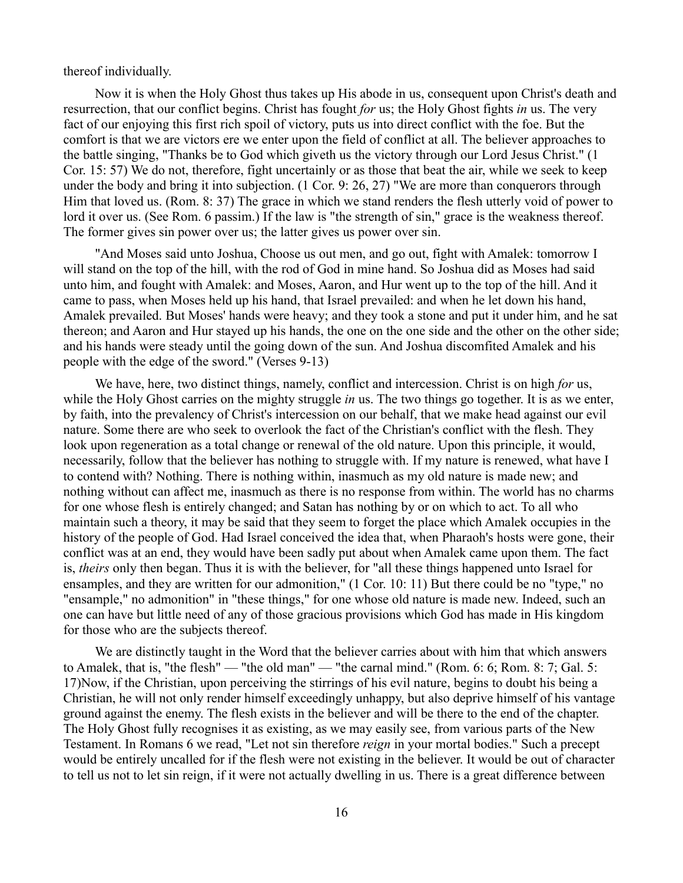thereof individually.

Now it is when the Holy Ghost thus takes up His abode in us, consequent upon Christ's death and resurrection, that our conflict begins. Christ has fought *for* us; the Holy Ghost fights *in* us. The very fact of our enjoying this first rich spoil of victory, puts us into direct conflict with the foe. But the comfort is that we are victors ere we enter upon the field of conflict at all. The believer approaches to the battle singing, "Thanks be to God which giveth us the victory through our Lord Jesus Christ." (1 Cor. 15: 57) We do not, therefore, fight uncertainly or as those that beat the air, while we seek to keep under the body and bring it into subjection. (1 Cor. 9: 26, 27) "We are more than conquerors through Him that loved us. (Rom. 8: 37) The grace in which we stand renders the flesh utterly void of power to lord it over us. (See Rom. 6 passim.) If the law is "the strength of sin," grace is the weakness thereof. The former gives sin power over us; the latter gives us power over sin.

"And Moses said unto Joshua, Choose us out men, and go out, fight with Amalek: tomorrow I will stand on the top of the hill, with the rod of God in mine hand. So Joshua did as Moses had said unto him, and fought with Amalek: and Moses, Aaron, and Hur went up to the top of the hill. And it came to pass, when Moses held up his hand, that Israel prevailed: and when he let down his hand, Amalek prevailed. But Moses' hands were heavy; and they took a stone and put it under him, and he sat thereon; and Aaron and Hur stayed up his hands, the one on the one side and the other on the other side; and his hands were steady until the going down of the sun. And Joshua discomfited Amalek and his people with the edge of the sword." (Verses 9-13)

We have, here, two distinct things, namely, conflict and intercession. Christ is on high *for* us, while the Holy Ghost carries on the mighty struggle *in* us. The two things go together. It is as we enter, by faith, into the prevalency of Christ's intercession on our behalf, that we make head against our evil nature. Some there are who seek to overlook the fact of the Christian's conflict with the flesh. They look upon regeneration as a total change or renewal of the old nature. Upon this principle, it would, necessarily, follow that the believer has nothing to struggle with. If my nature is renewed, what have I to contend with? Nothing. There is nothing within, inasmuch as my old nature is made new; and nothing without can affect me, inasmuch as there is no response from within. The world has no charms for one whose flesh is entirely changed; and Satan has nothing by or on which to act. To all who maintain such a theory, it may be said that they seem to forget the place which Amalek occupies in the history of the people of God. Had Israel conceived the idea that, when Pharaoh's hosts were gone, their conflict was at an end, they would have been sadly put about when Amalek came upon them. The fact is, *theirs* only then began. Thus it is with the believer, for "all these things happened unto Israel for ensamples, and they are written for our admonition," (1 Cor. 10: 11) But there could be no "type," no "ensample," no admonition" in "these things," for one whose old nature is made new. Indeed, such an one can have but little need of any of those gracious provisions which God has made in His kingdom for those who are the subjects thereof.

We are distinctly taught in the Word that the believer carries about with him that which answers to Amalek, that is, "the flesh" — "the old man" — "the carnal mind." (Rom. 6: 6; Rom. 8: 7; Gal. 5: 17)Now, if the Christian, upon perceiving the stirrings of his evil nature, begins to doubt his being a Christian, he will not only render himself exceedingly unhappy, but also deprive himself of his vantage ground against the enemy. The flesh exists in the believer and will be there to the end of the chapter. The Holy Ghost fully recognises it as existing, as we may easily see, from various parts of the New Testament. In Romans 6 we read, "Let not sin therefore *reign* in your mortal bodies." Such a precept would be entirely uncalled for if the flesh were not existing in the believer. It would be out of character to tell us not to let sin reign, if it were not actually dwelling in us. There is a great difference between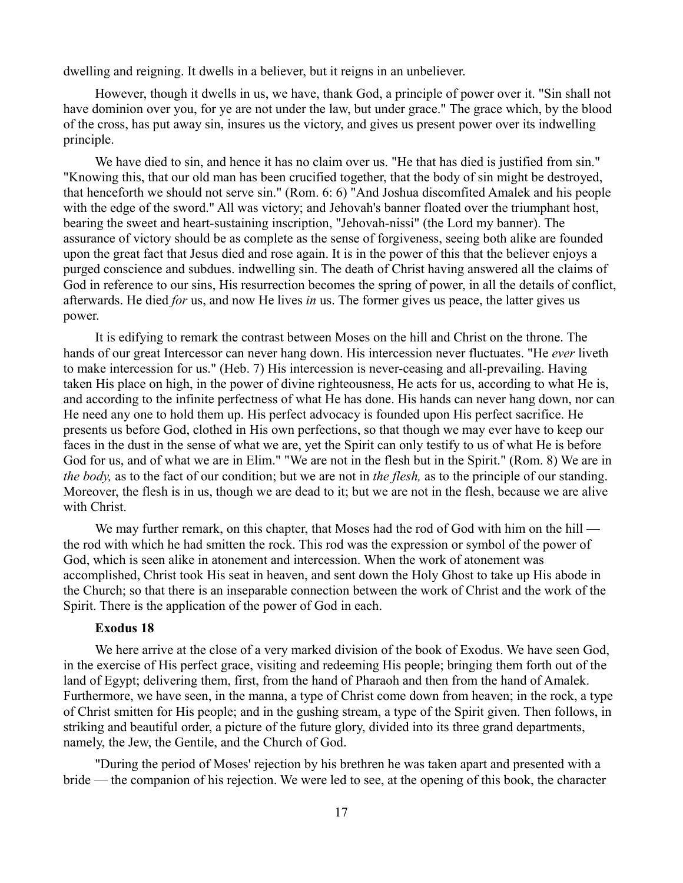dwelling and reigning. It dwells in a believer, but it reigns in an unbeliever.

However, though it dwells in us, we have, thank God, a principle of power over it. "Sin shall not have dominion over you, for ye are not under the law, but under grace." The grace which, by the blood of the cross, has put away sin, insures us the victory, and gives us present power over its indwelling principle.

We have died to sin, and hence it has no claim over us. "He that has died is justified from sin." "Knowing this, that our old man has been crucified together, that the body of sin might be destroyed, that henceforth we should not serve sin." (Rom. 6: 6) "And Joshua discomfited Amalek and his people with the edge of the sword." All was victory; and Jehovah's banner floated over the triumphant host, bearing the sweet and heart-sustaining inscription, "Jehovah-nissi" (the Lord my banner). The assurance of victory should be as complete as the sense of forgiveness, seeing both alike are founded upon the great fact that Jesus died and rose again. It is in the power of this that the believer enjoys a purged conscience and subdues. indwelling sin. The death of Christ having answered all the claims of God in reference to our sins, His resurrection becomes the spring of power, in all the details of conflict, afterwards. He died *for* us, and now He lives *in* us. The former gives us peace, the latter gives us power.

It is edifying to remark the contrast between Moses on the hill and Christ on the throne. The hands of our great Intercessor can never hang down. His intercession never fluctuates. "He *ever* liveth to make intercession for us." (Heb. 7) His intercession is never-ceasing and all-prevailing. Having taken His place on high, in the power of divine righteousness, He acts for us, according to what He is, and according to the infinite perfectness of what He has done. His hands can never hang down, nor can He need any one to hold them up. His perfect advocacy is founded upon His perfect sacrifice. He presents us before God, clothed in His own perfections, so that though we may ever have to keep our faces in the dust in the sense of what we are, yet the Spirit can only testify to us of what He is before God for us, and of what we are in Elim." "We are not in the flesh but in the Spirit." (Rom. 8) We are in *the body,* as to the fact of our condition; but we are not in *the flesh,* as to the principle of our standing. Moreover, the flesh is in us, though we are dead to it; but we are not in the flesh, because we are alive with Christ.

We may further remark, on this chapter, that Moses had the rod of God with him on the hill the rod with which he had smitten the rock. This rod was the expression or symbol of the power of God, which is seen alike in atonement and intercession. When the work of atonement was accomplished, Christ took His seat in heaven, and sent down the Holy Ghost to take up His abode in the Church; so that there is an inseparable connection between the work of Christ and the work of the Spirit. There is the application of the power of God in each.

## **Exodus 18**

We here arrive at the close of a very marked division of the book of Exodus. We have seen God, in the exercise of His perfect grace, visiting and redeeming His people; bringing them forth out of the land of Egypt; delivering them, first, from the hand of Pharaoh and then from the hand of Amalek. Furthermore, we have seen, in the manna, a type of Christ come down from heaven; in the rock, a type of Christ smitten for His people; and in the gushing stream, a type of the Spirit given. Then follows, in striking and beautiful order, a picture of the future glory, divided into its three grand departments, namely, the Jew, the Gentile, and the Church of God.

"During the period of Moses' rejection by his brethren he was taken apart and presented with a bride — the companion of his rejection. We were led to see, at the opening of this book, the character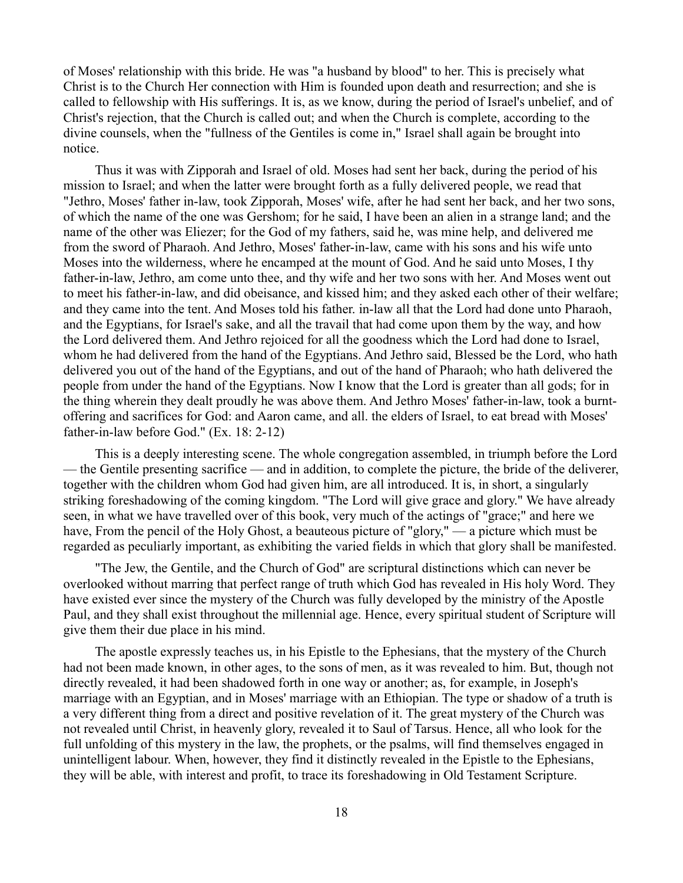of Moses' relationship with this bride. He was "a husband by blood" to her. This is precisely what Christ is to the Church Her connection with Him is founded upon death and resurrection; and she is called to fellowship with His sufferings. It is, as we know, during the period of Israel's unbelief, and of Christ's rejection, that the Church is called out; and when the Church is complete, according to the divine counsels, when the "fullness of the Gentiles is come in," Israel shall again be brought into notice.

Thus it was with Zipporah and Israel of old. Moses had sent her back, during the period of his mission to Israel; and when the latter were brought forth as a fully delivered people, we read that "Jethro, Moses' father in-law, took Zipporah, Moses' wife, after he had sent her back, and her two sons, of which the name of the one was Gershom; for he said, I have been an alien in a strange land; and the name of the other was Eliezer; for the God of my fathers, said he, was mine help, and delivered me from the sword of Pharaoh. And Jethro, Moses' father-in-law, came with his sons and his wife unto Moses into the wilderness, where he encamped at the mount of God. And he said unto Moses, I thy father-in-law, Jethro, am come unto thee, and thy wife and her two sons with her. And Moses went out to meet his father-in-law, and did obeisance, and kissed him; and they asked each other of their welfare; and they came into the tent. And Moses told his father. in-law all that the Lord had done unto Pharaoh, and the Egyptians, for Israel's sake, and all the travail that had come upon them by the way, and how the Lord delivered them. And Jethro rejoiced for all the goodness which the Lord had done to Israel, whom he had delivered from the hand of the Egyptians. And Jethro said, Blessed be the Lord, who hath delivered you out of the hand of the Egyptians, and out of the hand of Pharaoh; who hath delivered the people from under the hand of the Egyptians. Now I know that the Lord is greater than all gods; for in the thing wherein they dealt proudly he was above them. And Jethro Moses' father-in-law, took a burntoffering and sacrifices for God: and Aaron came, and all. the elders of Israel, to eat bread with Moses' father-in-law before God." (Ex. 18: 2-12)

This is a deeply interesting scene. The whole congregation assembled, in triumph before the Lord — the Gentile presenting sacrifice — and in addition, to complete the picture, the bride of the deliverer, together with the children whom God had given him, are all introduced. It is, in short, a singularly striking foreshadowing of the coming kingdom. "The Lord will give grace and glory." We have already seen, in what we have travelled over of this book, very much of the actings of "grace;" and here we have, From the pencil of the Holy Ghost, a beauteous picture of "glory," — a picture which must be regarded as peculiarly important, as exhibiting the varied fields in which that glory shall be manifested.

"The Jew, the Gentile, and the Church of God" are scriptural distinctions which can never be overlooked without marring that perfect range of truth which God has revealed in His holy Word. They have existed ever since the mystery of the Church was fully developed by the ministry of the Apostle Paul, and they shall exist throughout the millennial age. Hence, every spiritual student of Scripture will give them their due place in his mind.

The apostle expressly teaches us, in his Epistle to the Ephesians, that the mystery of the Church had not been made known, in other ages, to the sons of men, as it was revealed to him. But, though not directly revealed, it had been shadowed forth in one way or another; as, for example, in Joseph's marriage with an Egyptian, and in Moses' marriage with an Ethiopian. The type or shadow of a truth is a very different thing from a direct and positive revelation of it. The great mystery of the Church was not revealed until Christ, in heavenly glory, revealed it to Saul of Tarsus. Hence, all who look for the full unfolding of this mystery in the law, the prophets, or the psalms, will find themselves engaged in unintelligent labour. When, however, they find it distinctly revealed in the Epistle to the Ephesians, they will be able, with interest and profit, to trace its foreshadowing in Old Testament Scripture.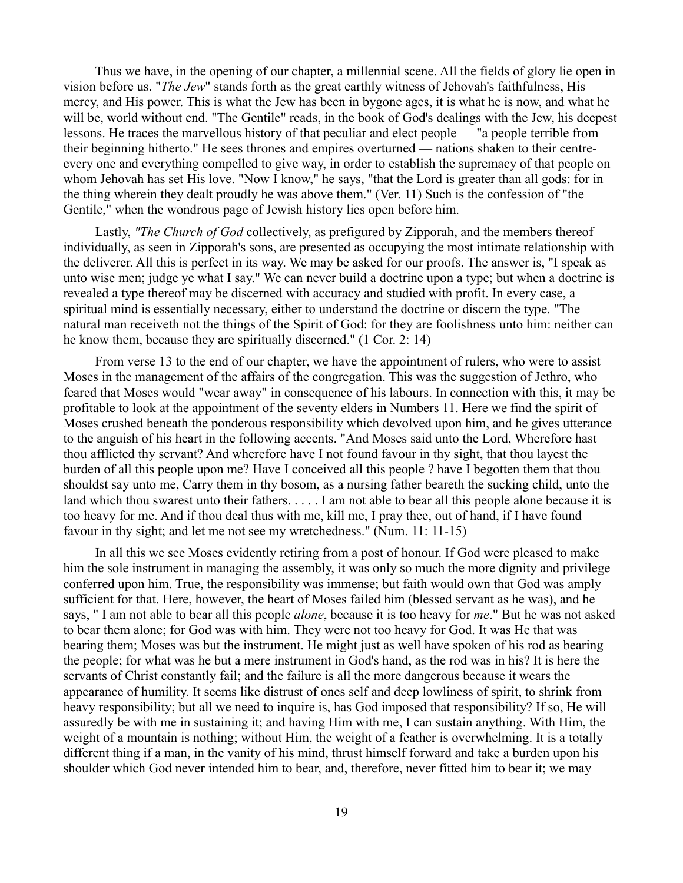Thus we have, in the opening of our chapter, a millennial scene. All the fields of glory lie open in vision before us. "*The Jew*" stands forth as the great earthly witness of Jehovah's faithfulness, His mercy, and His power. This is what the Jew has been in bygone ages, it is what he is now, and what he will be, world without end. "The Gentile" reads, in the book of God's dealings with the Jew, his deepest lessons. He traces the marvellous history of that peculiar and elect people — "a people terrible from their beginning hitherto." He sees thrones and empires overturned — nations shaken to their centreevery one and everything compelled to give way, in order to establish the supremacy of that people on whom Jehovah has set His love. "Now I know," he says, "that the Lord is greater than all gods: for in the thing wherein they dealt proudly he was above them." (Ver. 11) Such is the confession of "the Gentile," when the wondrous page of Jewish history lies open before him.

Lastly, *"The Church of God* collectively, as prefigured by Zipporah, and the members thereof individually, as seen in Zipporah's sons, are presented as occupying the most intimate relationship with the deliverer. All this is perfect in its way. We may be asked for our proofs. The answer is, "I speak as unto wise men; judge ye what I say." We can never build a doctrine upon a type; but when a doctrine is revealed a type thereof may be discerned with accuracy and studied with profit. In every case, a spiritual mind is essentially necessary, either to understand the doctrine or discern the type. "The natural man receiveth not the things of the Spirit of God: for they are foolishness unto him: neither can he know them, because they are spiritually discerned." (1 Cor. 2: 14)

From verse 13 to the end of our chapter, we have the appointment of rulers, who were to assist Moses in the management of the affairs of the congregation. This was the suggestion of Jethro, who feared that Moses would "wear away" in consequence of his labours. In connection with this, it may be profitable to look at the appointment of the seventy elders in Numbers 11. Here we find the spirit of Moses crushed beneath the ponderous responsibility which devolved upon him, and he gives utterance to the anguish of his heart in the following accents. "And Moses said unto the Lord, Wherefore hast thou afflicted thy servant? And wherefore have I not found favour in thy sight, that thou layest the burden of all this people upon me? Have I conceived all this people ? have I begotten them that thou shouldst say unto me, Carry them in thy bosom, as a nursing father beareth the sucking child, unto the land which thou swarest unto their fathers. . . . . I am not able to bear all this people alone because it is too heavy for me. And if thou deal thus with me, kill me, I pray thee, out of hand, if I have found favour in thy sight; and let me not see my wretchedness." (Num. 11: 11-15)

In all this we see Moses evidently retiring from a post of honour. If God were pleased to make him the sole instrument in managing the assembly, it was only so much the more dignity and privilege conferred upon him. True, the responsibility was immense; but faith would own that God was amply sufficient for that. Here, however, the heart of Moses failed him (blessed servant as he was), and he says, " I am not able to bear all this people *alone*, because it is too heavy for *me*." But he was not asked to bear them alone; for God was with him. They were not too heavy for God. It was He that was bearing them; Moses was but the instrument. He might just as well have spoken of his rod as bearing the people; for what was he but a mere instrument in God's hand, as the rod was in his? It is here the servants of Christ constantly fail; and the failure is all the more dangerous because it wears the appearance of humility. It seems like distrust of ones self and deep lowliness of spirit, to shrink from heavy responsibility; but all we need to inquire is, has God imposed that responsibility? If so, He will assuredly be with me in sustaining it; and having Him with me, I can sustain anything. With Him, the weight of a mountain is nothing; without Him, the weight of a feather is overwhelming. It is a totally different thing if a man, in the vanity of his mind, thrust himself forward and take a burden upon his shoulder which God never intended him to bear, and, therefore, never fitted him to bear it; we may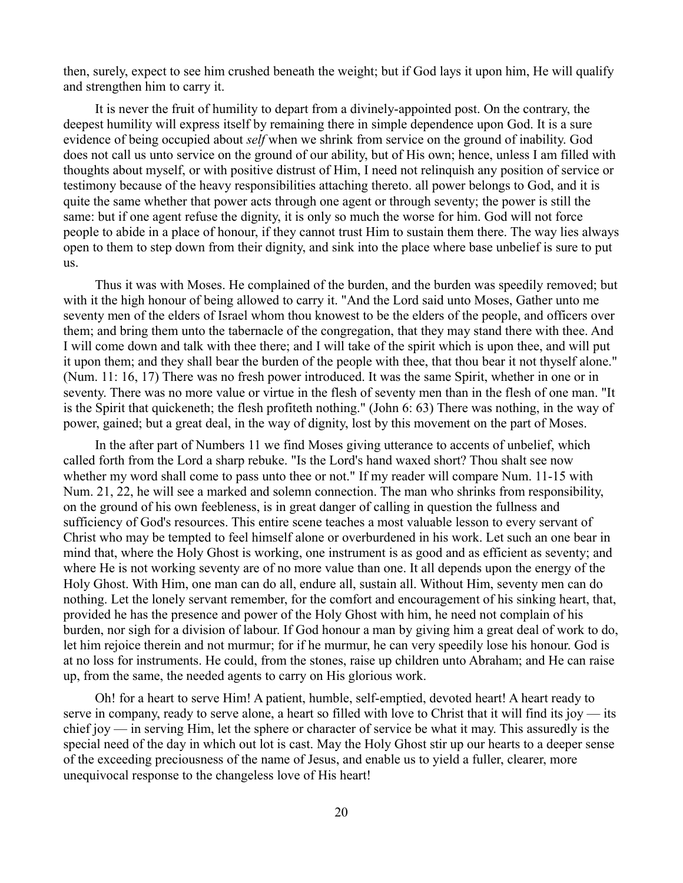then, surely, expect to see him crushed beneath the weight; but if God lays it upon him, He will qualify and strengthen him to carry it.

It is never the fruit of humility to depart from a divinely-appointed post. On the contrary, the deepest humility will express itself by remaining there in simple dependence upon God. It is a sure evidence of being occupied about *self* when we shrink from service on the ground of inability. God does not call us unto service on the ground of our ability, but of His own; hence, unless I am filled with thoughts about myself, or with positive distrust of Him, I need not relinquish any position of service or testimony because of the heavy responsibilities attaching thereto. all power belongs to God, and it is quite the same whether that power acts through one agent or through seventy; the power is still the same: but if one agent refuse the dignity, it is only so much the worse for him. God will not force people to abide in a place of honour, if they cannot trust Him to sustain them there. The way lies always open to them to step down from their dignity, and sink into the place where base unbelief is sure to put us.

Thus it was with Moses. He complained of the burden, and the burden was speedily removed; but with it the high honour of being allowed to carry it. "And the Lord said unto Moses, Gather unto me seventy men of the elders of Israel whom thou knowest to be the elders of the people, and officers over them; and bring them unto the tabernacle of the congregation, that they may stand there with thee. And I will come down and talk with thee there; and I will take of the spirit which is upon thee, and will put it upon them; and they shall bear the burden of the people with thee, that thou bear it not thyself alone." (Num. 11: 16, 17) There was no fresh power introduced. It was the same Spirit, whether in one or in seventy. There was no more value or virtue in the flesh of seventy men than in the flesh of one man. "It is the Spirit that quickeneth; the flesh profiteth nothing." (John 6: 63) There was nothing, in the way of power, gained; but a great deal, in the way of dignity, lost by this movement on the part of Moses.

In the after part of Numbers 11 we find Moses giving utterance to accents of unbelief, which called forth from the Lord a sharp rebuke. "Is the Lord's hand waxed short? Thou shalt see now whether my word shall come to pass unto thee or not." If my reader will compare Num. 11-15 with Num. 21, 22, he will see a marked and solemn connection. The man who shrinks from responsibility, on the ground of his own feebleness, is in great danger of calling in question the fullness and sufficiency of God's resources. This entire scene teaches a most valuable lesson to every servant of Christ who may be tempted to feel himself alone or overburdened in his work. Let such an one bear in mind that, where the Holy Ghost is working, one instrument is as good and as efficient as seventy; and where He is not working seventy are of no more value than one. It all depends upon the energy of the Holy Ghost. With Him, one man can do all, endure all, sustain all. Without Him, seventy men can do nothing. Let the lonely servant remember, for the comfort and encouragement of his sinking heart, that, provided he has the presence and power of the Holy Ghost with him, he need not complain of his burden, nor sigh for a division of labour. If God honour a man by giving him a great deal of work to do, let him rejoice therein and not murmur; for if he murmur, he can very speedily lose his honour. God is at no loss for instruments. He could, from the stones, raise up children unto Abraham; and He can raise up, from the same, the needed agents to carry on His glorious work.

Oh! for a heart to serve Him! A patient, humble, self-emptied, devoted heart! A heart ready to serve in company, ready to serve alone, a heart so filled with love to Christ that it will find its joy — its chief joy — in serving Him, let the sphere or character of service be what it may. This assuredly is the special need of the day in which out lot is cast. May the Holy Ghost stir up our hearts to a deeper sense of the exceeding preciousness of the name of Jesus, and enable us to yield a fuller, clearer, more unequivocal response to the changeless love of His heart!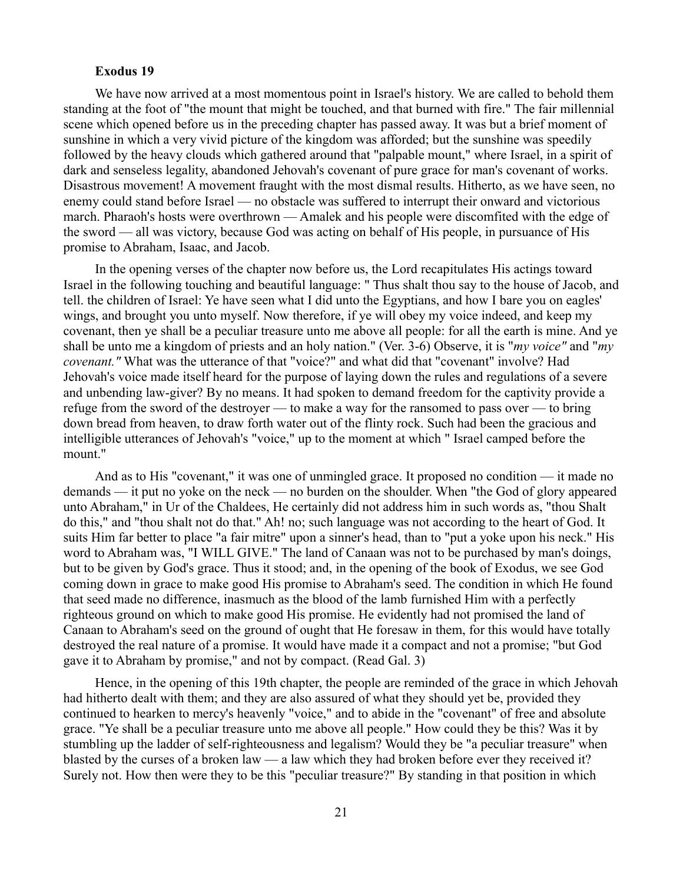#### **Exodus 19**

We have now arrived at a most momentous point in Israel's history. We are called to behold them standing at the foot of "the mount that might be touched, and that burned with fire." The fair millennial scene which opened before us in the preceding chapter has passed away. It was but a brief moment of sunshine in which a very vivid picture of the kingdom was afforded; but the sunshine was speedily followed by the heavy clouds which gathered around that "palpable mount," where Israel, in a spirit of dark and senseless legality, abandoned Jehovah's covenant of pure grace for man's covenant of works. Disastrous movement! A movement fraught with the most dismal results. Hitherto, as we have seen, no enemy could stand before Israel — no obstacle was suffered to interrupt their onward and victorious march. Pharaoh's hosts were overthrown — Amalek and his people were discomfited with the edge of the sword — all was victory, because God was acting on behalf of His people, in pursuance of His promise to Abraham, Isaac, and Jacob.

In the opening verses of the chapter now before us, the Lord recapitulates His actings toward Israel in the following touching and beautiful language: " Thus shalt thou say to the house of Jacob, and tell. the children of Israel: Ye have seen what I did unto the Egyptians, and how I bare you on eagles' wings, and brought you unto myself. Now therefore, if ye will obey my voice indeed, and keep my covenant, then ye shall be a peculiar treasure unto me above all people: for all the earth is mine. And ye shall be unto me a kingdom of priests and an holy nation." (Ver. 3-6) Observe, it is "*my voice"* and "*my covenant."* What was the utterance of that "voice?" and what did that "covenant" involve? Had Jehovah's voice made itself heard for the purpose of laying down the rules and regulations of a severe and unbending law-giver? By no means. It had spoken to demand freedom for the captivity provide a refuge from the sword of the destroyer — to make a way for the ransomed to pass over — to bring down bread from heaven, to draw forth water out of the flinty rock. Such had been the gracious and intelligible utterances of Jehovah's "voice," up to the moment at which " Israel camped before the mount."

And as to His "covenant," it was one of unmingled grace. It proposed no condition — it made no demands — it put no yoke on the neck — no burden on the shoulder. When "the God of glory appeared unto Abraham," in Ur of the Chaldees, He certainly did not address him in such words as, "thou Shalt do this," and "thou shalt not do that." Ah! no; such language was not according to the heart of God. It suits Him far better to place "a fair mitre" upon a sinner's head, than to "put a yoke upon his neck." His word to Abraham was, "I WILL GIVE." The land of Canaan was not to be purchased by man's doings, but to be given by God's grace. Thus it stood; and, in the opening of the book of Exodus, we see God coming down in grace to make good His promise to Abraham's seed. The condition in which He found that seed made no difference, inasmuch as the blood of the lamb furnished Him with a perfectly righteous ground on which to make good His promise. He evidently had not promised the land of Canaan to Abraham's seed on the ground of ought that He foresaw in them, for this would have totally destroyed the real nature of a promise. It would have made it a compact and not a promise; "but God gave it to Abraham by promise," and not by compact. (Read Gal. 3)

Hence, in the opening of this 19th chapter, the people are reminded of the grace in which Jehovah had hitherto dealt with them; and they are also assured of what they should yet be, provided they continued to hearken to mercy's heavenly "voice," and to abide in the "covenant" of free and absolute grace. "Ye shall be a peculiar treasure unto me above all people." How could they be this? Was it by stumbling up the ladder of self-righteousness and legalism? Would they be "a peculiar treasure" when blasted by the curses of a broken law — a law which they had broken before ever they received it? Surely not. How then were they to be this "peculiar treasure?" By standing in that position in which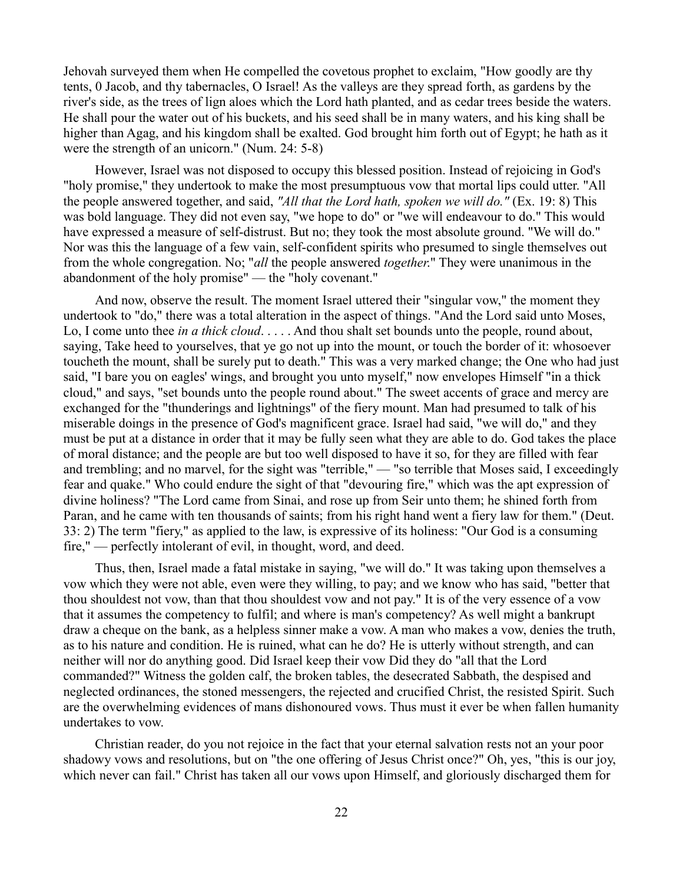Jehovah surveyed them when He compelled the covetous prophet to exclaim, "How goodly are thy tents, 0 Jacob, and thy tabernacles, O Israel! As the valleys are they spread forth, as gardens by the river's side, as the trees of lign aloes which the Lord hath planted, and as cedar trees beside the waters. He shall pour the water out of his buckets, and his seed shall be in many waters, and his king shall be higher than Agag, and his kingdom shall be exalted. God brought him forth out of Egypt; he hath as it were the strength of an unicorn." (Num. 24: 5-8)

However, Israel was not disposed to occupy this blessed position. Instead of rejoicing in God's "holy promise," they undertook to make the most presumptuous vow that mortal lips could utter. "All the people answered together, and said, *"All that the Lord hath, spoken we will do."* (Ex. 19: 8) This was bold language. They did not even say, "we hope to do" or "we will endeavour to do." This would have expressed a measure of self-distrust. But no; they took the most absolute ground. "We will do." Nor was this the language of a few vain, self-confident spirits who presumed to single themselves out from the whole congregation. No; "*all* the people answered *together*." They were unanimous in the abandonment of the holy promise" — the "holy covenant."

And now, observe the result. The moment Israel uttered their "singular vow," the moment they undertook to "do," there was a total alteration in the aspect of things. "And the Lord said unto Moses, Lo, I come unto thee *in a thick cloud*. . . . . And thou shalt set bounds unto the people, round about, saying, Take heed to yourselves, that ye go not up into the mount, or touch the border of it: whosoever toucheth the mount, shall be surely put to death." This was a very marked change; the One who had just said, "I bare you on eagles' wings, and brought you unto myself," now envelopes Himself "in a thick cloud," and says, "set bounds unto the people round about." The sweet accents of grace and mercy are exchanged for the "thunderings and lightnings" of the fiery mount. Man had presumed to talk of his miserable doings in the presence of God's magnificent grace. Israel had said, "we will do," and they must be put at a distance in order that it may be fully seen what they are able to do. God takes the place of moral distance; and the people are but too well disposed to have it so, for they are filled with fear and trembling; and no marvel, for the sight was "terrible," — "so terrible that Moses said, I exceedingly fear and quake." Who could endure the sight of that "devouring fire," which was the apt expression of divine holiness? "The Lord came from Sinai, and rose up from Seir unto them; he shined forth from Paran, and he came with ten thousands of saints; from his right hand went a fiery law for them." (Deut. 33: 2) The term "fiery," as applied to the law, is expressive of its holiness: "Our God is a consuming fire," — perfectly intolerant of evil, in thought, word, and deed.

Thus, then, Israel made a fatal mistake in saying, "we will do." It was taking upon themselves a vow which they were not able, even were they willing, to pay; and we know who has said, "better that thou shouldest not vow, than that thou shouldest vow and not pay." It is of the very essence of a vow that it assumes the competency to fulfil; and where is man's competency? As well might a bankrupt draw a cheque on the bank, as a helpless sinner make a vow. A man who makes a vow, denies the truth, as to his nature and condition. He is ruined, what can he do? He is utterly without strength, and can neither will nor do anything good. Did Israel keep their vow Did they do "all that the Lord commanded?" Witness the golden calf, the broken tables, the desecrated Sabbath, the despised and neglected ordinances, the stoned messengers, the rejected and crucified Christ, the resisted Spirit. Such are the overwhelming evidences of mans dishonoured vows. Thus must it ever be when fallen humanity undertakes to vow.

Christian reader, do you not rejoice in the fact that your eternal salvation rests not an your poor shadowy vows and resolutions, but on "the one offering of Jesus Christ once?" Oh, yes, "this is our joy, which never can fail." Christ has taken all our vows upon Himself, and gloriously discharged them for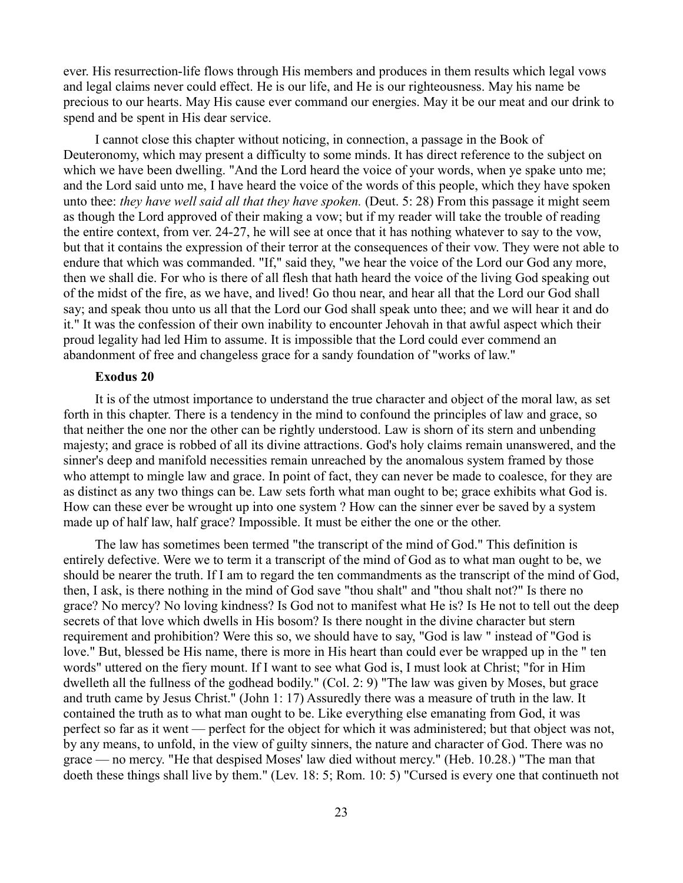ever. His resurrection-life flows through His members and produces in them results which legal vows and legal claims never could effect. He is our life, and He is our righteousness. May his name be precious to our hearts. May His cause ever command our energies. May it be our meat and our drink to spend and be spent in His dear service.

I cannot close this chapter without noticing, in connection, a passage in the Book of Deuteronomy, which may present a difficulty to some minds. It has direct reference to the subject on which we have been dwelling. "And the Lord heard the voice of your words, when ye spake unto me; and the Lord said unto me, I have heard the voice of the words of this people, which they have spoken unto thee: *they have well said all that they have spoken.* (Deut. 5: 28) From this passage it might seem as though the Lord approved of their making a vow; but if my reader will take the trouble of reading the entire context, from ver. 24-27, he will see at once that it has nothing whatever to say to the vow, but that it contains the expression of their terror at the consequences of their vow. They were not able to endure that which was commanded. "If," said they, "we hear the voice of the Lord our God any more, then we shall die. For who is there of all flesh that hath heard the voice of the living God speaking out of the midst of the fire, as we have, and lived! Go thou near, and hear all that the Lord our God shall say; and speak thou unto us all that the Lord our God shall speak unto thee; and we will hear it and do it." It was the confession of their own inability to encounter Jehovah in that awful aspect which their proud legality had led Him to assume. It is impossible that the Lord could ever commend an abandonment of free and changeless grace for a sandy foundation of "works of law."

## **Exodus 20**

It is of the utmost importance to understand the true character and object of the moral law, as set forth in this chapter. There is a tendency in the mind to confound the principles of law and grace, so that neither the one nor the other can be rightly understood. Law is shorn of its stern and unbending majesty; and grace is robbed of all its divine attractions. God's holy claims remain unanswered, and the sinner's deep and manifold necessities remain unreached by the anomalous system framed by those who attempt to mingle law and grace. In point of fact, they can never be made to coalesce, for they are as distinct as any two things can be. Law sets forth what man ought to be; grace exhibits what God is. How can these ever be wrought up into one system ? How can the sinner ever be saved by a system made up of half law, half grace? Impossible. It must be either the one or the other.

The law has sometimes been termed "the transcript of the mind of God." This definition is entirely defective. Were we to term it a transcript of the mind of God as to what man ought to be, we should be nearer the truth. If I am to regard the ten commandments as the transcript of the mind of God, then, I ask, is there nothing in the mind of God save "thou shalt" and "thou shalt not?" Is there no grace? No mercy? No loving kindness? Is God not to manifest what He is? Is He not to tell out the deep secrets of that love which dwells in His bosom? Is there nought in the divine character but stern requirement and prohibition? Were this so, we should have to say, "God is law " instead of "God is love." But, blessed be His name, there is more in His heart than could ever be wrapped up in the " ten words" uttered on the fiery mount. If I want to see what God is, I must look at Christ; "for in Him dwelleth all the fullness of the godhead bodily." (Col. 2: 9) "The law was given by Moses, but grace and truth came by Jesus Christ." (John 1: 17) Assuredly there was a measure of truth in the law. It contained the truth as to what man ought to be. Like everything else emanating from God, it was perfect so far as it went — perfect for the object for which it was administered; but that object was not, by any means, to unfold, in the view of guilty sinners, the nature and character of God. There was no grace — no mercy. "He that despised Moses' law died without mercy." (Heb. 10.28.) "The man that doeth these things shall live by them." (Lev. 18: 5; Rom. 10: 5) "Cursed is every one that continueth not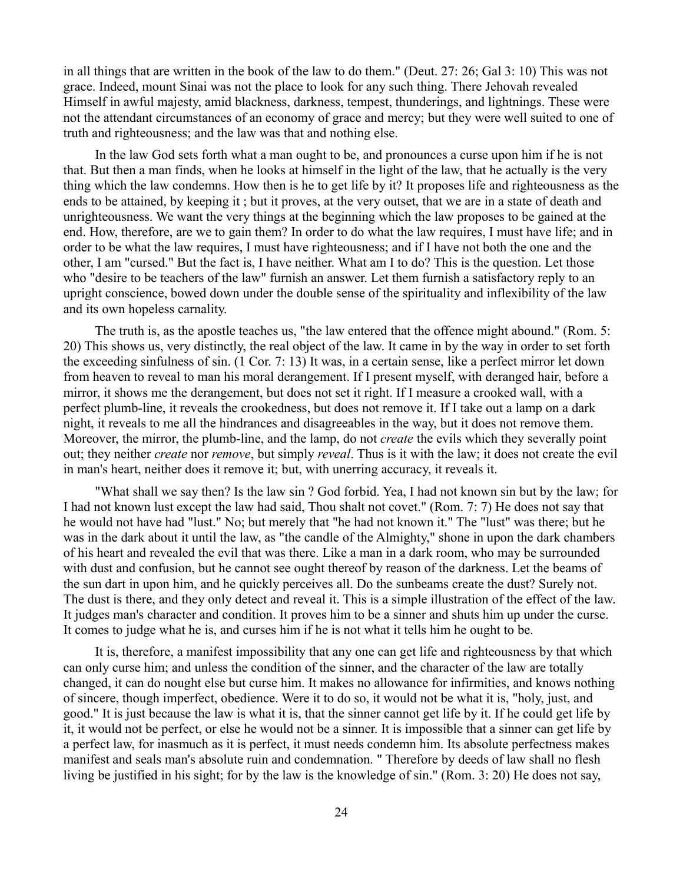in all things that are written in the book of the law to do them." (Deut. 27: 26; Gal 3: 10) This was not grace. Indeed, mount Sinai was not the place to look for any such thing. There Jehovah revealed Himself in awful majesty, amid blackness, darkness, tempest, thunderings, and lightnings. These were not the attendant circumstances of an economy of grace and mercy; but they were well suited to one of truth and righteousness; and the law was that and nothing else.

In the law God sets forth what a man ought to be, and pronounces a curse upon him if he is not that. But then a man finds, when he looks at himself in the light of the law, that he actually is the very thing which the law condemns. How then is he to get life by it? It proposes life and righteousness as the ends to be attained, by keeping it ; but it proves, at the very outset, that we are in a state of death and unrighteousness. We want the very things at the beginning which the law proposes to be gained at the end. How, therefore, are we to gain them? In order to do what the law requires, I must have life; and in order to be what the law requires, I must have righteousness; and if I have not both the one and the other, I am "cursed." But the fact is, I have neither. What am I to do? This is the question. Let those who "desire to be teachers of the law" furnish an answer. Let them furnish a satisfactory reply to an upright conscience, bowed down under the double sense of the spirituality and inflexibility of the law and its own hopeless carnality.

The truth is, as the apostle teaches us, "the law entered that the offence might abound." (Rom. 5: 20) This shows us, very distinctly, the real object of the law. It came in by the way in order to set forth the exceeding sinfulness of sin. (1 Cor. 7: 13) It was, in a certain sense, like a perfect mirror let down from heaven to reveal to man his moral derangement. If I present myself, with deranged hair, before a mirror, it shows me the derangement, but does not set it right. If I measure a crooked wall, with a perfect plumb-line, it reveals the crookedness, but does not remove it. If I take out a lamp on a dark night, it reveals to me all the hindrances and disagreeables in the way, but it does not remove them. Moreover, the mirror, the plumb-line, and the lamp, do not *create* the evils which they severally point out; they neither *create* nor *remove*, but simply *reveal*. Thus is it with the law; it does not create the evil in man's heart, neither does it remove it; but, with unerring accuracy, it reveals it.

"What shall we say then? Is the law sin ? God forbid. Yea, I had not known sin but by the law; for I had not known lust except the law had said, Thou shalt not covet." (Rom. 7: 7) He does not say that he would not have had "lust." No; but merely that "he had not known it." The "lust" was there; but he was in the dark about it until the law, as "the candle of the Almighty," shone in upon the dark chambers of his heart and revealed the evil that was there. Like a man in a dark room, who may be surrounded with dust and confusion, but he cannot see ought thereof by reason of the darkness. Let the beams of the sun dart in upon him, and he quickly perceives all. Do the sunbeams create the dust? Surely not. The dust is there, and they only detect and reveal it. This is a simple illustration of the effect of the law. It judges man's character and condition. It proves him to be a sinner and shuts him up under the curse. It comes to judge what he is, and curses him if he is not what it tells him he ought to be.

It is, therefore, a manifest impossibility that any one can get life and righteousness by that which can only curse him; and unless the condition of the sinner, and the character of the law are totally changed, it can do nought else but curse him. It makes no allowance for infirmities, and knows nothing of sincere, though imperfect, obedience. Were it to do so, it would not be what it is, "holy, just, and good." It is just because the law is what it is, that the sinner cannot get life by it. If he could get life by it, it would not be perfect, or else he would not be a sinner. It is impossible that a sinner can get life by a perfect law, for inasmuch as it is perfect, it must needs condemn him. Its absolute perfectness makes manifest and seals man's absolute ruin and condemnation. " Therefore by deeds of law shall no flesh living be justified in his sight; for by the law is the knowledge of sin." (Rom. 3: 20) He does not say,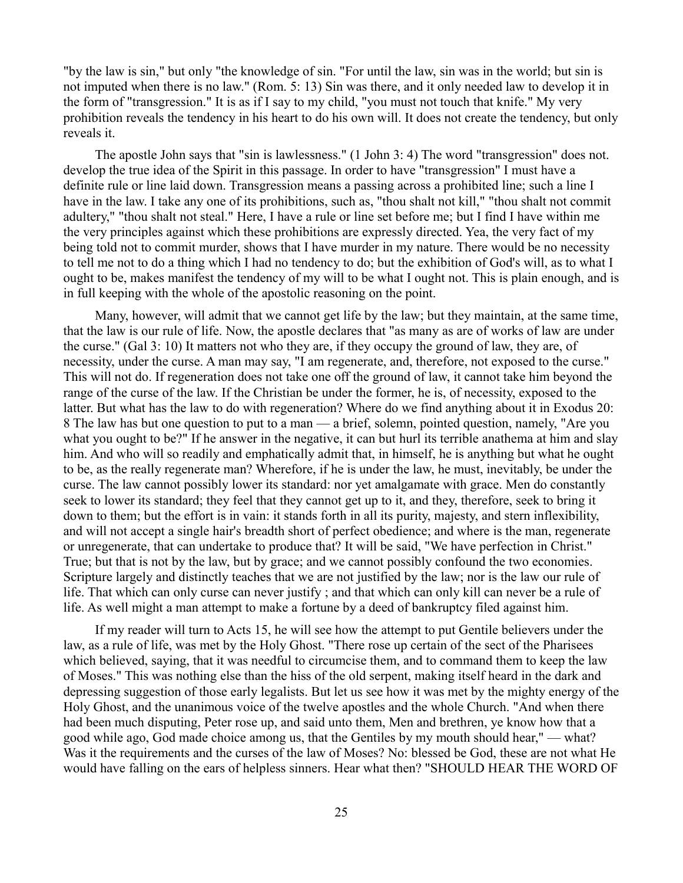"by the law is sin," but only "the knowledge of sin. "For until the law, sin was in the world; but sin is not imputed when there is no law." (Rom. 5: 13) Sin was there, and it only needed law to develop it in the form of "transgression." It is as if I say to my child, "you must not touch that knife." My very prohibition reveals the tendency in his heart to do his own will. It does not create the tendency, but only reveals it.

The apostle John says that "sin is lawlessness." (1 John 3: 4) The word "transgression" does not. develop the true idea of the Spirit in this passage. In order to have "transgression" I must have a definite rule or line laid down. Transgression means a passing across a prohibited line; such a line I have in the law. I take any one of its prohibitions, such as, "thou shalt not kill," "thou shalt not commit adultery," "thou shalt not steal." Here, I have a rule or line set before me; but I find I have within me the very principles against which these prohibitions are expressly directed. Yea, the very fact of my being told not to commit murder, shows that I have murder in my nature. There would be no necessity to tell me not to do a thing which I had no tendency to do; but the exhibition of God's will, as to what I ought to be, makes manifest the tendency of my will to be what I ought not. This is plain enough, and is in full keeping with the whole of the apostolic reasoning on the point.

Many, however, will admit that we cannot get life by the law; but they maintain, at the same time, that the law is our rule of life. Now, the apostle declares that "as many as are of works of law are under the curse." (Gal 3: 10) It matters not who they are, if they occupy the ground of law, they are, of necessity, under the curse. A man may say, "I am regenerate, and, therefore, not exposed to the curse." This will not do. If regeneration does not take one off the ground of law, it cannot take him beyond the range of the curse of the law. If the Christian be under the former, he is, of necessity, exposed to the latter. But what has the law to do with regeneration? Where do we find anything about it in Exodus 20: 8 The law has but one question to put to a man — a brief, solemn, pointed question, namely, "Are you what you ought to be?" If he answer in the negative, it can but hurl its terrible anathema at him and slay him. And who will so readily and emphatically admit that, in himself, he is anything but what he ought to be, as the really regenerate man? Wherefore, if he is under the law, he must, inevitably, be under the curse. The law cannot possibly lower its standard: nor yet amalgamate with grace. Men do constantly seek to lower its standard; they feel that they cannot get up to it, and they, therefore, seek to bring it down to them; but the effort is in vain: it stands forth in all its purity, majesty, and stern inflexibility, and will not accept a single hair's breadth short of perfect obedience; and where is the man, regenerate or unregenerate, that can undertake to produce that? It will be said, "We have perfection in Christ." True; but that is not by the law, but by grace; and we cannot possibly confound the two economies. Scripture largely and distinctly teaches that we are not justified by the law; nor is the law our rule of life. That which can only curse can never justify ; and that which can only kill can never be a rule of life. As well might a man attempt to make a fortune by a deed of bankruptcy filed against him.

If my reader will turn to Acts 15, he will see how the attempt to put Gentile believers under the law, as a rule of life, was met by the Holy Ghost. "There rose up certain of the sect of the Pharisees which believed, saying, that it was needful to circumcise them, and to command them to keep the law of Moses." This was nothing else than the hiss of the old serpent, making itself heard in the dark and depressing suggestion of those early legalists. But let us see how it was met by the mighty energy of the Holy Ghost, and the unanimous voice of the twelve apostles and the whole Church. "And when there had been much disputing, Peter rose up, and said unto them, Men and brethren, ye know how that a good while ago, God made choice among us, that the Gentiles by my mouth should hear," — what? Was it the requirements and the curses of the law of Moses? No: blessed be God, these are not what He would have falling on the ears of helpless sinners. Hear what then? "SHOULD HEAR THE WORD OF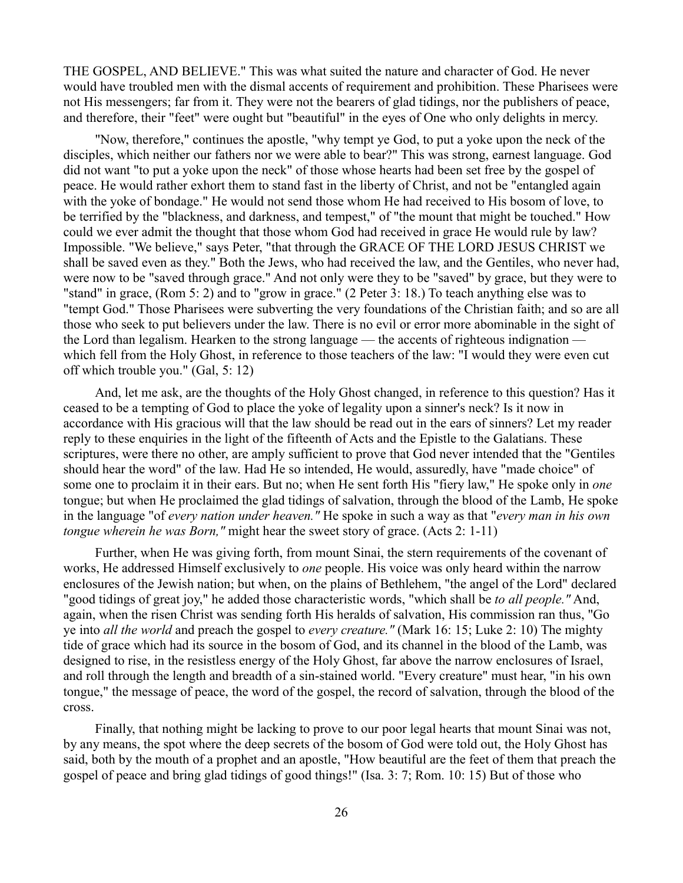THE GOSPEL, AND BELIEVE." This was what suited the nature and character of God. He never would have troubled men with the dismal accents of requirement and prohibition. These Pharisees were not His messengers; far from it. They were not the bearers of glad tidings, nor the publishers of peace, and therefore, their "feet" were ought but "beautiful" in the eyes of One who only delights in mercy.

"Now, therefore," continues the apostle, "why tempt ye God, to put a yoke upon the neck of the disciples, which neither our fathers nor we were able to bear?" This was strong, earnest language. God did not want "to put a yoke upon the neck" of those whose hearts had been set free by the gospel of peace. He would rather exhort them to stand fast in the liberty of Christ, and not be "entangled again with the yoke of bondage." He would not send those whom He had received to His bosom of love, to be terrified by the "blackness, and darkness, and tempest," of "the mount that might be touched." How could we ever admit the thought that those whom God had received in grace He would rule by law? Impossible. "We believe," says Peter, "that through the GRACE OF THE LORD JESUS CHRIST we shall be saved even as they." Both the Jews, who had received the law, and the Gentiles, who never had, were now to be "saved through grace." And not only were they to be "saved" by grace, but they were to "stand" in grace, (Rom 5: 2) and to "grow in grace." (2 Peter 3: 18.) To teach anything else was to "tempt God." Those Pharisees were subverting the very foundations of the Christian faith; and so are all those who seek to put believers under the law. There is no evil or error more abominable in the sight of the Lord than legalism. Hearken to the strong language — the accents of righteous indignation which fell from the Holy Ghost, in reference to those teachers of the law: "I would they were even cut off which trouble you." (Gal, 5: 12)

And, let me ask, are the thoughts of the Holy Ghost changed, in reference to this question? Has it ceased to be a tempting of God to place the yoke of legality upon a sinner's neck? Is it now in accordance with His gracious will that the law should be read out in the ears of sinners? Let my reader reply to these enquiries in the light of the fifteenth of Acts and the Epistle to the Galatians. These scriptures, were there no other, are amply sufficient to prove that God never intended that the "Gentiles" should hear the word" of the law. Had He so intended, He would, assuredly, have "made choice" of some one to proclaim it in their ears. But no; when He sent forth His "fiery law," He spoke only in *one* tongue; but when He proclaimed the glad tidings of salvation, through the blood of the Lamb, He spoke in the language "of *every nation under heaven."* He spoke in such a way as that "*every man in his own tongue wherein he was Born,"* might hear the sweet story of grace. (Acts 2: 1-11)

Further, when He was giving forth, from mount Sinai, the stern requirements of the covenant of works, He addressed Himself exclusively to *one* people. His voice was only heard within the narrow enclosures of the Jewish nation; but when, on the plains of Bethlehem, "the angel of the Lord" declared "good tidings of great joy," he added those characteristic words, "which shall be *to all people."* And, again, when the risen Christ was sending forth His heralds of salvation, His commission ran thus, "Go ye into *all the world* and preach the gospel to *every creature."* (Mark 16: 15; Luke 2: 10) The mighty tide of grace which had its source in the bosom of God, and its channel in the blood of the Lamb, was designed to rise, in the resistless energy of the Holy Ghost, far above the narrow enclosures of Israel, and roll through the length and breadth of a sin-stained world. "Every creature" must hear, "in his own tongue," the message of peace, the word of the gospel, the record of salvation, through the blood of the cross.

Finally, that nothing might be lacking to prove to our poor legal hearts that mount Sinai was not, by any means, the spot where the deep secrets of the bosom of God were told out, the Holy Ghost has said, both by the mouth of a prophet and an apostle, "How beautiful are the feet of them that preach the gospel of peace and bring glad tidings of good things!" (Isa. 3: 7; Rom. 10: 15) But of those who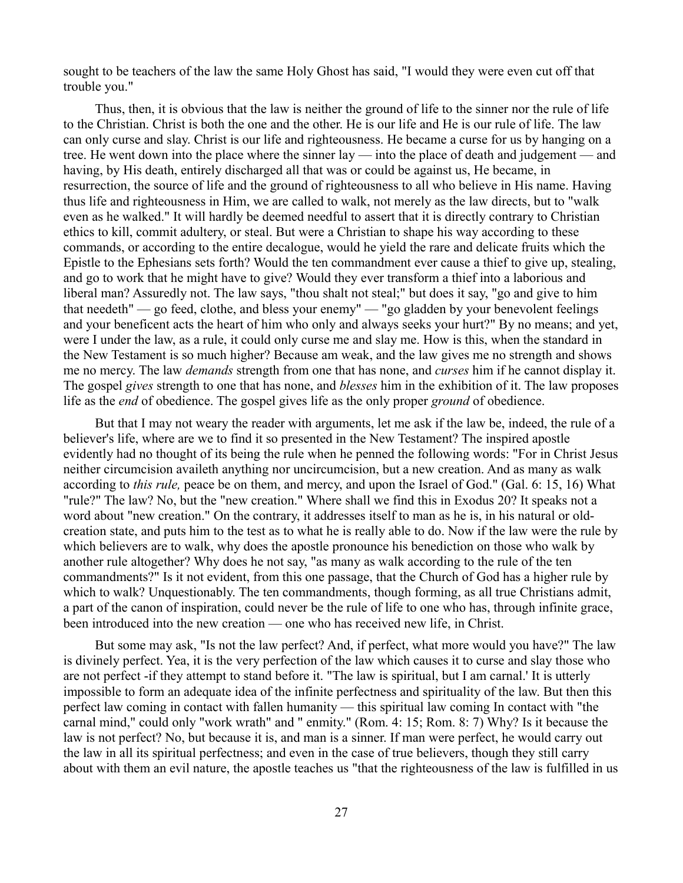sought to be teachers of the law the same Holy Ghost has said, "I would they were even cut off that trouble you."

Thus, then, it is obvious that the law is neither the ground of life to the sinner nor the rule of life to the Christian. Christ is both the one and the other. He is our life and He is our rule of life. The law can only curse and slay. Christ is our life and righteousness. He became a curse for us by hanging on a tree. He went down into the place where the sinner lay — into the place of death and judgement — and having, by His death, entirely discharged all that was or could be against us, He became, in resurrection, the source of life and the ground of righteousness to all who believe in His name. Having thus life and righteousness in Him, we are called to walk, not merely as the law directs, but to "walk even as he walked." It will hardly be deemed needful to assert that it is directly contrary to Christian ethics to kill, commit adultery, or steal. But were a Christian to shape his way according to these commands, or according to the entire decalogue, would he yield the rare and delicate fruits which the Epistle to the Ephesians sets forth? Would the ten commandment ever cause a thief to give up, stealing, and go to work that he might have to give? Would they ever transform a thief into a laborious and liberal man? Assuredly not. The law says, "thou shalt not steal;" but does it say, "go and give to him that needeth" — go feed, clothe, and bless your enemy" — "go gladden by your benevolent feelings and your beneficent acts the heart of him who only and always seeks your hurt?" By no means; and yet, were I under the law, as a rule, it could only curse me and slay me. How is this, when the standard in the New Testament is so much higher? Because am weak, and the law gives me no strength and shows me no mercy. The law *demands* strength from one that has none, and *curses* him if he cannot display it. The gospel *gives* strength to one that has none, and *blesses* him in the exhibition of it. The law proposes life as the *end* of obedience. The gospel gives life as the only proper *ground* of obedience.

But that I may not weary the reader with arguments, let me ask if the law be, indeed, the rule of a believer's life, where are we to find it so presented in the New Testament? The inspired apostle evidently had no thought of its being the rule when he penned the following words: "For in Christ Jesus neither circumcision availeth anything nor uncircumcision, but a new creation. And as many as walk according to *this rule,* peace be on them, and mercy, and upon the Israel of God." (Gal. 6: 15, 16) What "rule?" The law? No, but the "new creation." Where shall we find this in Exodus 20? It speaks not a word about "new creation." On the contrary, it addresses itself to man as he is, in his natural or oldcreation state, and puts him to the test as to what he is really able to do. Now if the law were the rule by which believers are to walk, why does the apostle pronounce his benediction on those who walk by another rule altogether? Why does he not say, "as many as walk according to the rule of the ten commandments?" Is it not evident, from this one passage, that the Church of God has a higher rule by which to walk? Unquestionably. The ten commandments, though forming, as all true Christians admit, a part of the canon of inspiration, could never be the rule of life to one who has, through infinite grace, been introduced into the new creation — one who has received new life, in Christ.

But some may ask, "Is not the law perfect? And, if perfect, what more would you have?" The law is divinely perfect. Yea, it is the very perfection of the law which causes it to curse and slay those who are not perfect -if they attempt to stand before it. "The law is spiritual, but I am carnal.' It is utterly impossible to form an adequate idea of the infinite perfectness and spirituality of the law. But then this perfect law coming in contact with fallen humanity — this spiritual law coming In contact with "the carnal mind," could only "work wrath" and " enmity." (Rom. 4: 15; Rom. 8: 7) Why? Is it because the law is not perfect? No, but because it is, and man is a sinner. If man were perfect, he would carry out the law in all its spiritual perfectness; and even in the case of true believers, though they still carry about with them an evil nature, the apostle teaches us "that the righteousness of the law is fulfilled in us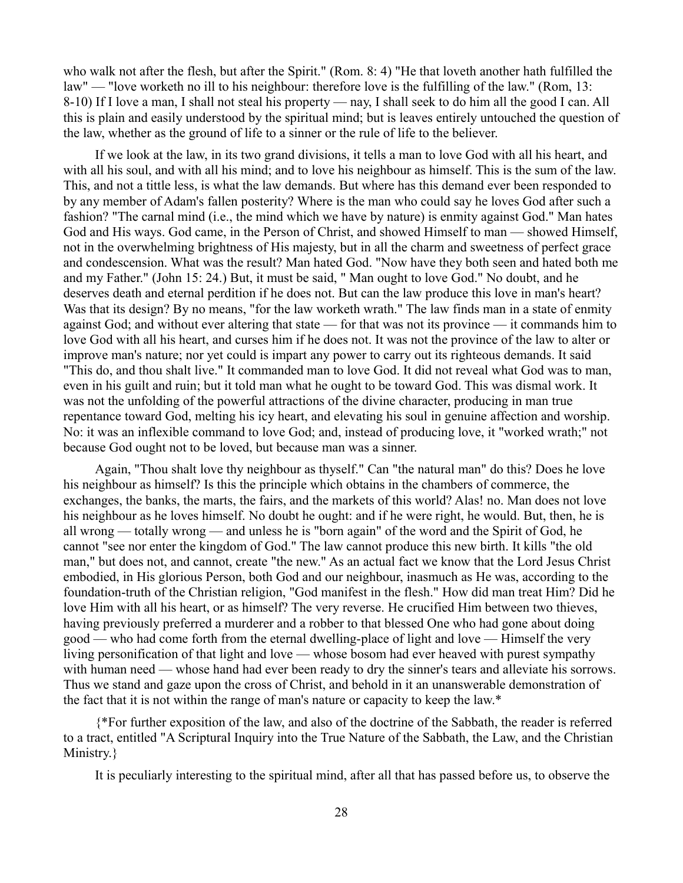who walk not after the flesh, but after the Spirit." (Rom. 8: 4) "He that loveth another hath fulfilled the law" — "love worketh no ill to his neighbour: therefore love is the fulfilling of the law." (Rom, 13: 8-10) If I love a man, I shall not steal his property — nay, I shall seek to do him all the good I can. All this is plain and easily understood by the spiritual mind; but is leaves entirely untouched the question of the law, whether as the ground of life to a sinner or the rule of life to the believer.

If we look at the law, in its two grand divisions, it tells a man to love God with all his heart, and with all his soul, and with all his mind; and to love his neighbour as himself. This is the sum of the law. This, and not a tittle less, is what the law demands. But where has this demand ever been responded to by any member of Adam's fallen posterity? Where is the man who could say he loves God after such a fashion? "The carnal mind (i.e., the mind which we have by nature) is enmity against God." Man hates God and His ways. God came, in the Person of Christ, and showed Himself to man — showed Himself, not in the overwhelming brightness of His majesty, but in all the charm and sweetness of perfect grace and condescension. What was the result? Man hated God. "Now have they both seen and hated both me and my Father." (John 15: 24.) But, it must be said, " Man ought to love God." No doubt, and he deserves death and eternal perdition if he does not. But can the law produce this love in man's heart? Was that its design? By no means, "for the law worketh wrath." The law finds man in a state of enmity against God; and without ever altering that state — for that was not its province — it commands him to love God with all his heart, and curses him if he does not. It was not the province of the law to alter or improve man's nature; nor yet could is impart any power to carry out its righteous demands. It said "This do, and thou shalt live." It commanded man to love God. It did not reveal what God was to man, even in his guilt and ruin; but it told man what he ought to be toward God. This was dismal work. It was not the unfolding of the powerful attractions of the divine character, producing in man true repentance toward God, melting his icy heart, and elevating his soul in genuine affection and worship. No: it was an inflexible command to love God; and, instead of producing love, it "worked wrath;" not because God ought not to be loved, but because man was a sinner.

Again, "Thou shalt love thy neighbour as thyself." Can "the natural man" do this? Does he love his neighbour as himself? Is this the principle which obtains in the chambers of commerce, the exchanges, the banks, the marts, the fairs, and the markets of this world? Alas! no. Man does not love his neighbour as he loves himself. No doubt he ought: and if he were right, he would. But, then, he is all wrong — totally wrong — and unless he is "born again" of the word and the Spirit of God, he cannot "see nor enter the kingdom of God." The law cannot produce this new birth. It kills "the old man," but does not, and cannot, create "the new." As an actual fact we know that the Lord Jesus Christ embodied, in His glorious Person, both God and our neighbour, inasmuch as He was, according to the foundation-truth of the Christian religion, "God manifest in the flesh." How did man treat Him? Did he love Him with all his heart, or as himself? The very reverse. He crucified Him between two thieves, having previously preferred a murderer and a robber to that blessed One who had gone about doing good — who had come forth from the eternal dwelling-place of light and love — Himself the very living personification of that light and love — whose bosom had ever heaved with purest sympathy with human need — whose hand had ever been ready to dry the sinner's tears and alleviate his sorrows. Thus we stand and gaze upon the cross of Christ, and behold in it an unanswerable demonstration of the fact that it is not within the range of man's nature or capacity to keep the law.\*

{\*For further exposition of the law, and also of the doctrine of the Sabbath, the reader is referred to a tract, entitled "A Scriptural Inquiry into the True Nature of the Sabbath, the Law, and the Christian Ministry.}

It is peculiarly interesting to the spiritual mind, after all that has passed before us, to observe the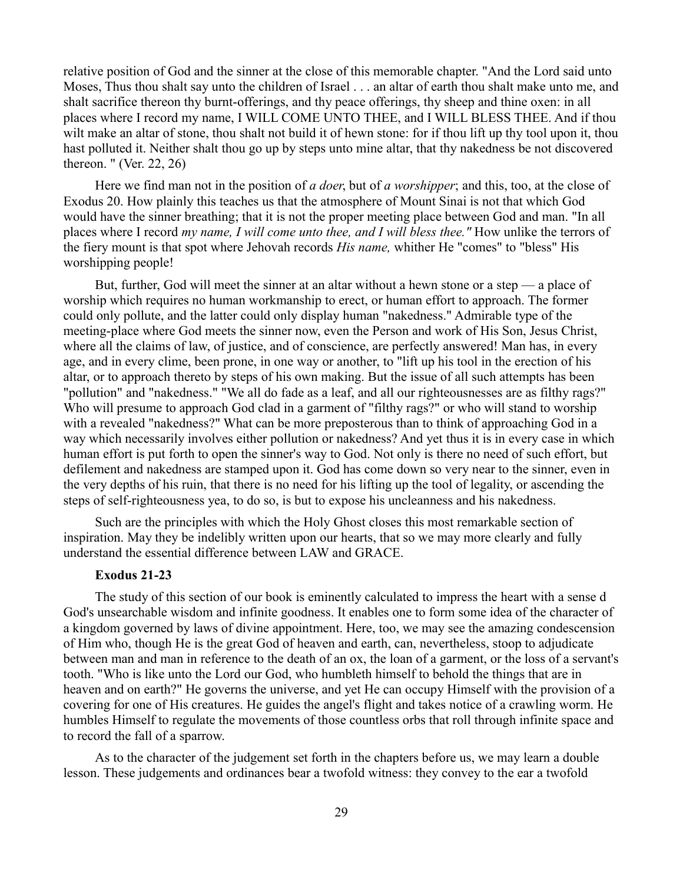relative position of God and the sinner at the close of this memorable chapter. "And the Lord said unto Moses, Thus thou shalt say unto the children of Israel . . . an altar of earth thou shalt make unto me, and shalt sacrifice thereon thy burnt-offerings, and thy peace offerings, thy sheep and thine oxen: in all places where I record my name, I WILL COME UNTO THEE, and I WILL BLESS THEE. And if thou wilt make an altar of stone, thou shalt not build it of hewn stone: for if thou lift up thy tool upon it, thou hast polluted it. Neither shalt thou go up by steps unto mine altar, that thy nakedness be not discovered thereon. " (Ver. 22, 26)

Here we find man not in the position of *a doer*, but of *a worshipper*; and this, too, at the close of Exodus 20. How plainly this teaches us that the atmosphere of Mount Sinai is not that which God would have the sinner breathing; that it is not the proper meeting place between God and man. "In all places where I record *my name, I will come unto thee, and I will bless thee."* How unlike the terrors of the fiery mount is that spot where Jehovah records *His name,* whither He "comes" to "bless" His worshipping people!

But, further, God will meet the sinner at an altar without a hewn stone or a step — a place of worship which requires no human workmanship to erect, or human effort to approach. The former could only pollute, and the latter could only display human "nakedness." Admirable type of the meeting-place where God meets the sinner now, even the Person and work of His Son, Jesus Christ, where all the claims of law, of justice, and of conscience, are perfectly answered! Man has, in every age, and in every clime, been prone, in one way or another, to "lift up his tool in the erection of his altar, or to approach thereto by steps of his own making. But the issue of all such attempts has been "pollution" and "nakedness." "We all do fade as a leaf, and all our righteousnesses are as filthy rags?" Who will presume to approach God clad in a garment of "filthy rags?" or who will stand to worship with a revealed "nakedness?" What can be more preposterous than to think of approaching God in a way which necessarily involves either pollution or nakedness? And yet thus it is in every case in which human effort is put forth to open the sinner's way to God. Not only is there no need of such effort, but defilement and nakedness are stamped upon it. God has come down so very near to the sinner, even in the very depths of his ruin, that there is no need for his lifting up the tool of legality, or ascending the steps of self-righteousness yea, to do so, is but to expose his uncleanness and his nakedness.

Such are the principles with which the Holy Ghost closes this most remarkable section of inspiration. May they be indelibly written upon our hearts, that so we may more clearly and fully understand the essential difference between LAW and GRACE.

### **Exodus 21-23**

The study of this section of our book is eminently calculated to impress the heart with a sense d God's unsearchable wisdom and infinite goodness. It enables one to form some idea of the character of a kingdom governed by laws of divine appointment. Here, too, we may see the amazing condescension of Him who, though He is the great God of heaven and earth, can, nevertheless, stoop to adjudicate between man and man in reference to the death of an ox, the loan of a garment, or the loss of a servant's tooth. "Who is like unto the Lord our God, who humbleth himself to behold the things that are in heaven and on earth?" He governs the universe, and yet He can occupy Himself with the provision of a covering for one of His creatures. He guides the angel's flight and takes notice of a crawling worm. He humbles Himself to regulate the movements of those countless orbs that roll through infinite space and to record the fall of a sparrow.

As to the character of the judgement set forth in the chapters before us, we may learn a double lesson. These judgements and ordinances bear a twofold witness: they convey to the ear a twofold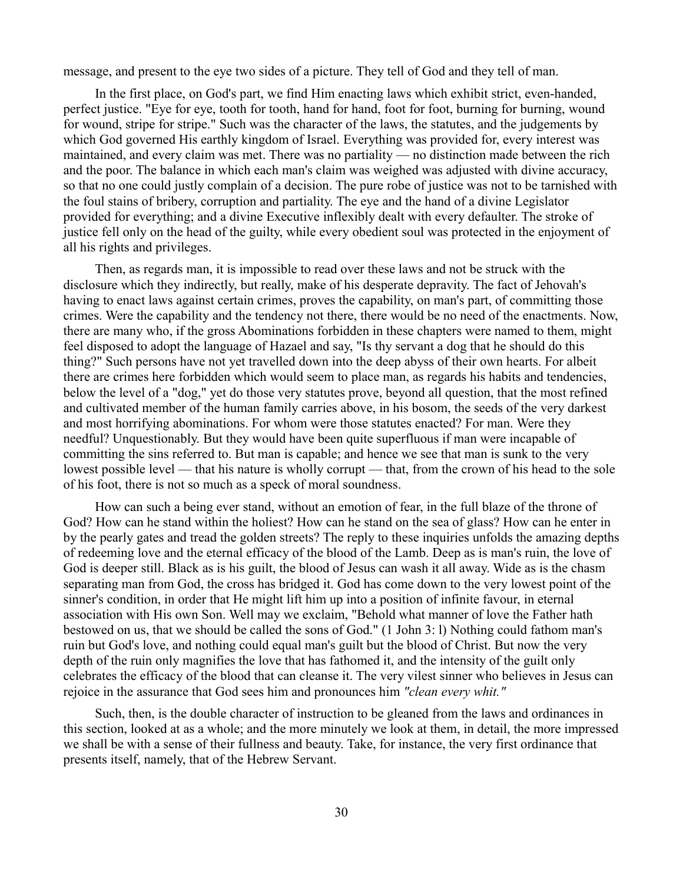message, and present to the eye two sides of a picture. They tell of God and they tell of man.

In the first place, on God's part, we find Him enacting laws which exhibit strict, even-handed, perfect justice. "Eye for eye, tooth for tooth, hand for hand, foot for foot, burning for burning, wound for wound, stripe for stripe." Such was the character of the laws, the statutes, and the judgements by which God governed His earthly kingdom of Israel. Everything was provided for, every interest was maintained, and every claim was met. There was no partiality — no distinction made between the rich and the poor. The balance in which each man's claim was weighed was adjusted with divine accuracy, so that no one could justly complain of a decision. The pure robe of justice was not to be tarnished with the foul stains of bribery, corruption and partiality. The eye and the hand of a divine Legislator provided for everything; and a divine Executive inflexibly dealt with every defaulter. The stroke of justice fell only on the head of the guilty, while every obedient soul was protected in the enjoyment of all his rights and privileges.

Then, as regards man, it is impossible to read over these laws and not be struck with the disclosure which they indirectly, but really, make of his desperate depravity. The fact of Jehovah's having to enact laws against certain crimes, proves the capability, on man's part, of committing those crimes. Were the capability and the tendency not there, there would be no need of the enactments. Now, there are many who, if the gross Abominations forbidden in these chapters were named to them, might feel disposed to adopt the language of Hazael and say, "Is thy servant a dog that he should do this thing?" Such persons have not yet travelled down into the deep abyss of their own hearts. For albeit there are crimes here forbidden which would seem to place man, as regards his habits and tendencies, below the level of a "dog," yet do those very statutes prove, beyond all question, that the most refined and cultivated member of the human family carries above, in his bosom, the seeds of the very darkest and most horrifying abominations. For whom were those statutes enacted? For man. Were they needful? Unquestionably. But they would have been quite superfluous if man were incapable of committing the sins referred to. But man is capable; and hence we see that man is sunk to the very lowest possible level — that his nature is wholly corrupt — that, from the crown of his head to the sole of his foot, there is not so much as a speck of moral soundness.

How can such a being ever stand, without an emotion of fear, in the full blaze of the throne of God? How can he stand within the holiest? How can he stand on the sea of glass? How can he enter in by the pearly gates and tread the golden streets? The reply to these inquiries unfolds the amazing depths of redeeming love and the eternal efficacy of the blood of the Lamb. Deep as is man's ruin, the love of God is deeper still. Black as is his guilt, the blood of Jesus can wash it all away. Wide as is the chasm separating man from God, the cross has bridged it. God has come down to the very lowest point of the sinner's condition, in order that He might lift him up into a position of infinite favour, in eternal association with His own Son. Well may we exclaim, "Behold what manner of love the Father hath bestowed on us, that we should be called the sons of God." (1 John 3: l) Nothing could fathom man's ruin but God's love, and nothing could equal man's guilt but the blood of Christ. But now the very depth of the ruin only magnifies the love that has fathomed it, and the intensity of the guilt only celebrates the efficacy of the blood that can cleanse it. The very vilest sinner who believes in Jesus can rejoice in the assurance that God sees him and pronounces him *"clean every whit."*

Such, then, is the double character of instruction to be gleaned from the laws and ordinances in this section, looked at as a whole; and the more minutely we look at them, in detail, the more impressed we shall be with a sense of their fullness and beauty. Take, for instance, the very first ordinance that presents itself, namely, that of the Hebrew Servant.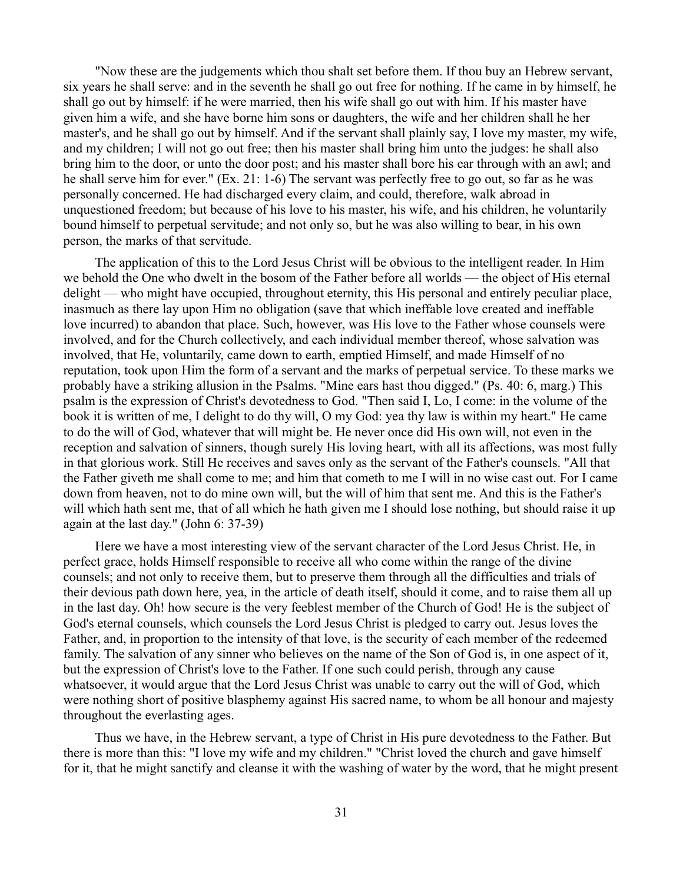"Now these are the judgements which thou shalt set before them. If thou buy an Hebrew servant, six years he shall serve: and in the seventh he shall go out free for nothing. If he came in by himself, he shall go out by himself: if he were married, then his wife shall go out with him. If his master have given him a wife, and she have borne him sons or daughters, the wife and her children shall he her master's, and he shall go out by himself. And if the servant shall plainly say, I love my master, my wife, and my children; I will not go out free; then his master shall bring him unto the judges: he shall also bring him to the door, or unto the door post; and his master shall bore his ear through with an awl; and he shall serve him for ever." (Ex. 21: 1-6) The servant was perfectly free to go out, so far as he was personally concerned. He had discharged every claim, and could, therefore, walk abroad in unquestioned freedom; but because of his love to his master, his wife, and his children, he voluntarily bound himself to perpetual servitude; and not only so, but he was also willing to bear, in his own person, the marks of that servitude.

The application of this to the Lord Jesus Christ will be obvious to the intelligent reader. In Him we behold the One who dwelt in the bosom of the Father before all worlds — the object of His eternal delight — who might have occupied, throughout eternity, this His personal and entirely peculiar place, inasmuch as there lay upon Him no obligation (save that which ineffable love created and ineffable love incurred) to abandon that place. Such, however, was His love to the Father whose counsels were involved, and for the Church collectively, and each individual member thereof, whose salvation was involved, that He, voluntarily, came down to earth, emptied Himself, and made Himself of no reputation, took upon Him the form of a servant and the marks of perpetual service. To these marks we probably have a striking allusion in the Psalms. "Mine ears hast thou digged." (Ps. 40: 6, marg.) This psalm is the expression of Christ's devotedness to God. "Then said I, Lo, I come: in the volume of the book it is written of me, I delight to do thy will, O my God: yea thy law is within my heart." He came to do the will of God, whatever that will might be. He never once did His own will, not even in the reception and salvation of sinners, though surely His loving heart, with all its affections, was most fully in that glorious work. Still He receives and saves only as the servant of the Father's counsels. "All that the Father giveth me shall come to me; and him that cometh to me I will in no wise cast out. For I came down from heaven, not to do mine own will, but the will of him that sent me. And this is the Father's will which hath sent me, that of all which he hath given me I should lose nothing, but should raise it up again at the last day." (John 6: 37-39)

Here we have a most interesting view of the servant character of the Lord Jesus Christ. He, in perfect grace, holds Himself responsible to receive all who come within the range of the divine counsels; and not only to receive them, but to preserve them through all the difficulties and trials of their devious path down here, yea, in the article of death itself, should it come, and to raise them all up in the last day. Oh! how secure is the very feeblest member of the Church of God! He is the subject of God's eternal counsels, which counsels the Lord Jesus Christ is pledged to carry out. Jesus loves the Father, and, in proportion to the intensity of that love, is the security of each member of the redeemed family. The salvation of any sinner who believes on the name of the Son of God is, in one aspect of it, but the expression of Christ's love to the Father. If one such could perish, through any cause whatsoever, it would argue that the Lord Jesus Christ was unable to carry out the will of God, which were nothing short of positive blasphemy against His sacred name, to whom be all honour and majesty throughout the everlasting ages.

Thus we have, in the Hebrew servant, a type of Christ in His pure devotedness to the Father. But there is more than this: "I love my wife and my children." "Christ loved the church and gave himself for it, that he might sanctify and cleanse it with the washing of water by the word, that he might present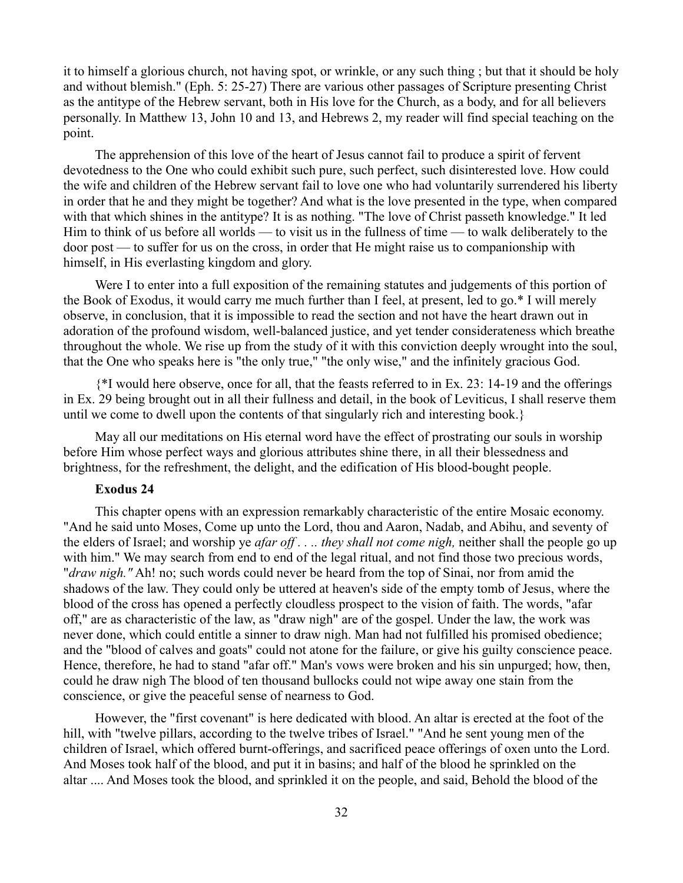it to himself a glorious church, not having spot, or wrinkle, or any such thing ; but that it should be holy and without blemish." (Eph. 5: 25-27) There are various other passages of Scripture presenting Christ as the antitype of the Hebrew servant, both in His love for the Church, as a body, and for all believers personally. In Matthew 13, John 10 and 13, and Hebrews 2, my reader will find special teaching on the point.

The apprehension of this love of the heart of Jesus cannot fail to produce a spirit of fervent devotedness to the One who could exhibit such pure, such perfect, such disinterested love. How could the wife and children of the Hebrew servant fail to love one who had voluntarily surrendered his liberty in order that he and they might be together? And what is the love presented in the type, when compared with that which shines in the antitype? It is as nothing. "The love of Christ passeth knowledge." It led Him to think of us before all worlds — to visit us in the fullness of time — to walk deliberately to the door post — to suffer for us on the cross, in order that He might raise us to companionship with himself, in His everlasting kingdom and glory.

Were I to enter into a full exposition of the remaining statutes and judgements of this portion of the Book of Exodus, it would carry me much further than I feel, at present, led to go.\* I will merely observe, in conclusion, that it is impossible to read the section and not have the heart drawn out in adoration of the profound wisdom, well-balanced justice, and yet tender considerateness which breathe throughout the whole. We rise up from the study of it with this conviction deeply wrought into the soul, that the One who speaks here is "the only true," "the only wise," and the infinitely gracious God.

{\*I would here observe, once for all, that the feasts referred to in Ex. 23: 14-19 and the offerings in Ex. 29 being brought out in all their fullness and detail, in the book of Leviticus, I shall reserve them until we come to dwell upon the contents of that singularly rich and interesting book.}

May all our meditations on His eternal word have the effect of prostrating our souls in worship before Him whose perfect ways and glorious attributes shine there, in all their blessedness and brightness, for the refreshment, the delight, and the edification of His blood-bought people.

### **Exodus 24**

This chapter opens with an expression remarkably characteristic of the entire Mosaic economy. "And he said unto Moses, Come up unto the Lord, thou and Aaron, Nadab, and Abihu, and seventy of the elders of Israel; and worship ye *afar off . . .. they shall not come nigh,* neither shall the people go up with him." We may search from end to end of the legal ritual, and not find those two precious words, "*draw nigh."* Ah! no; such words could never be heard from the top of Sinai, nor from amid the shadows of the law. They could only be uttered at heaven's side of the empty tomb of Jesus, where the blood of the cross has opened a perfectly cloudless prospect to the vision of faith. The words, "afar off," are as characteristic of the law, as "draw nigh" are of the gospel. Under the law, the work was never done, which could entitle a sinner to draw nigh. Man had not fulfilled his promised obedience; and the "blood of calves and goats" could not atone for the failure, or give his guilty conscience peace. Hence, therefore, he had to stand "afar off." Man's vows were broken and his sin unpurged; how, then, could he draw nigh The blood of ten thousand bullocks could not wipe away one stain from the conscience, or give the peaceful sense of nearness to God.

However, the "first covenant" is here dedicated with blood. An altar is erected at the foot of the hill, with "twelve pillars, according to the twelve tribes of Israel." "And he sent young men of the children of Israel, which offered burnt-offerings, and sacrificed peace offerings of oxen unto the Lord. And Moses took half of the blood, and put it in basins; and half of the blood he sprinkled on the altar .... And Moses took the blood, and sprinkled it on the people, and said, Behold the blood of the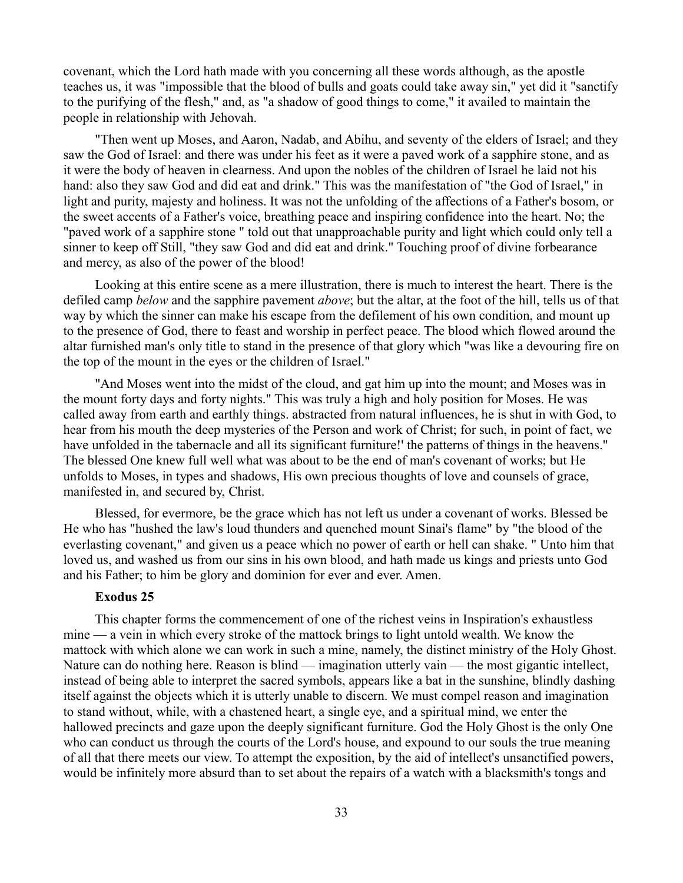covenant, which the Lord hath made with you concerning all these words although, as the apostle teaches us, it was "impossible that the blood of bulls and goats could take away sin," yet did it "sanctify to the purifying of the flesh," and, as "a shadow of good things to come," it availed to maintain the people in relationship with Jehovah.

"Then went up Moses, and Aaron, Nadab, and Abihu, and seventy of the elders of Israel; and they saw the God of Israel: and there was under his feet as it were a paved work of a sapphire stone, and as it were the body of heaven in clearness. And upon the nobles of the children of Israel he laid not his hand: also they saw God and did eat and drink." This was the manifestation of "the God of Israel," in light and purity, majesty and holiness. It was not the unfolding of the affections of a Father's bosom, or the sweet accents of a Father's voice, breathing peace and inspiring confidence into the heart. No; the "paved work of a sapphire stone " told out that unapproachable purity and light which could only tell a sinner to keep off Still, "they saw God and did eat and drink." Touching proof of divine forbearance and mercy, as also of the power of the blood!

Looking at this entire scene as a mere illustration, there is much to interest the heart. There is the defiled camp *below* and the sapphire pavement *above*; but the altar, at the foot of the hill, tells us of that way by which the sinner can make his escape from the defilement of his own condition, and mount up to the presence of God, there to feast and worship in perfect peace. The blood which flowed around the altar furnished man's only title to stand in the presence of that glory which "was like a devouring fire on the top of the mount in the eyes or the children of Israel."

"And Moses went into the midst of the cloud, and gat him up into the mount; and Moses was in the mount forty days and forty nights." This was truly a high and holy position for Moses. He was called away from earth and earthly things. abstracted from natural influences, he is shut in with God, to hear from his mouth the deep mysteries of the Person and work of Christ; for such, in point of fact, we have unfolded in the tabernacle and all its significant furniture!' the patterns of things in the heavens." The blessed One knew full well what was about to be the end of man's covenant of works; but He unfolds to Moses, in types and shadows, His own precious thoughts of love and counsels of grace, manifested in, and secured by, Christ.

Blessed, for evermore, be the grace which has not left us under a covenant of works. Blessed be He who has "hushed the law's loud thunders and quenched mount Sinai's flame" by "the blood of the everlasting covenant," and given us a peace which no power of earth or hell can shake. " Unto him that loved us, and washed us from our sins in his own blood, and hath made us kings and priests unto God and his Father; to him be glory and dominion for ever and ever. Amen.

# **Exodus 25**

This chapter forms the commencement of one of the richest veins in Inspiration's exhaustless mine — a vein in which every stroke of the mattock brings to light untold wealth. We know the mattock with which alone we can work in such a mine, namely, the distinct ministry of the Holy Ghost. Nature can do nothing here. Reason is blind — imagination utterly vain — the most gigantic intellect, instead of being able to interpret the sacred symbols, appears like a bat in the sunshine, blindly dashing itself against the objects which it is utterly unable to discern. We must compel reason and imagination to stand without, while, with a chastened heart, a single eye, and a spiritual mind, we enter the hallowed precincts and gaze upon the deeply significant furniture. God the Holy Ghost is the only One who can conduct us through the courts of the Lord's house, and expound to our souls the true meaning of all that there meets our view. To attempt the exposition, by the aid of intellect's unsanctified powers, would be infinitely more absurd than to set about the repairs of a watch with a blacksmith's tongs and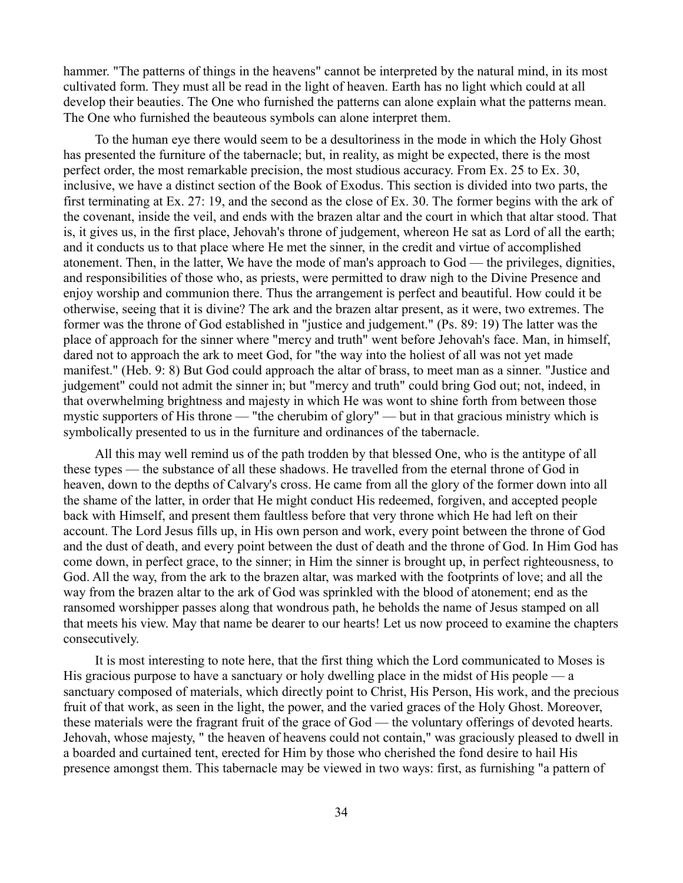hammer. "The patterns of things in the heavens" cannot be interpreted by the natural mind, in its most cultivated form. They must all be read in the light of heaven. Earth has no light which could at all develop their beauties. The One who furnished the patterns can alone explain what the patterns mean. The One who furnished the beauteous symbols can alone interpret them.

To the human eye there would seem to be a desultoriness in the mode in which the Holy Ghost has presented the furniture of the tabernacle; but, in reality, as might be expected, there is the most perfect order, the most remarkable precision, the most studious accuracy. From Ex. 25 to Ex. 30, inclusive, we have a distinct section of the Book of Exodus. This section is divided into two parts, the first terminating at Ex. 27: 19, and the second as the close of Ex. 30. The former begins with the ark of the covenant, inside the veil, and ends with the brazen altar and the court in which that altar stood. That is, it gives us, in the first place, Jehovah's throne of judgement, whereon He sat as Lord of all the earth; and it conducts us to that place where He met the sinner, in the credit and virtue of accomplished atonement. Then, in the latter, We have the mode of man's approach to God — the privileges, dignities, and responsibilities of those who, as priests, were permitted to draw nigh to the Divine Presence and enjoy worship and communion there. Thus the arrangement is perfect and beautiful. How could it be otherwise, seeing that it is divine? The ark and the brazen altar present, as it were, two extremes. The former was the throne of God established in "justice and judgement." (Ps. 89: 19) The latter was the place of approach for the sinner where "mercy and truth" went before Jehovah's face. Man, in himself, dared not to approach the ark to meet God, for "the way into the holiest of all was not yet made manifest." (Heb. 9: 8) But God could approach the altar of brass, to meet man as a sinner. "Justice and judgement" could not admit the sinner in; but "mercy and truth" could bring God out; not, indeed, in that overwhelming brightness and majesty in which He was wont to shine forth from between those mystic supporters of His throne — "the cherubim of glory" — but in that gracious ministry which is symbolically presented to us in the furniture and ordinances of the tabernacle.

All this may well remind us of the path trodden by that blessed One, who is the antitype of all these types — the substance of all these shadows. He travelled from the eternal throne of God in heaven, down to the depths of Calvary's cross. He came from all the glory of the former down into all the shame of the latter, in order that He might conduct His redeemed, forgiven, and accepted people back with Himself, and present them faultless before that very throne which He had left on their account. The Lord Jesus fills up, in His own person and work, every point between the throne of God and the dust of death, and every point between the dust of death and the throne of God. In Him God has come down, in perfect grace, to the sinner; in Him the sinner is brought up, in perfect righteousness, to God. All the way, from the ark to the brazen altar, was marked with the footprints of love; and all the way from the brazen altar to the ark of God was sprinkled with the blood of atonement; end as the ransomed worshipper passes along that wondrous path, he beholds the name of Jesus stamped on all that meets his view. May that name be dearer to our hearts! Let us now proceed to examine the chapters consecutively.

It is most interesting to note here, that the first thing which the Lord communicated to Moses is His gracious purpose to have a sanctuary or holy dwelling place in the midst of His people — a sanctuary composed of materials, which directly point to Christ, His Person, His work, and the precious fruit of that work, as seen in the light, the power, and the varied graces of the Holy Ghost. Moreover, these materials were the fragrant fruit of the grace of God — the voluntary offerings of devoted hearts. Jehovah, whose majesty, " the heaven of heavens could not contain," was graciously pleased to dwell in a boarded and curtained tent, erected for Him by those who cherished the fond desire to hail His presence amongst them. This tabernacle may be viewed in two ways: first, as furnishing "a pattern of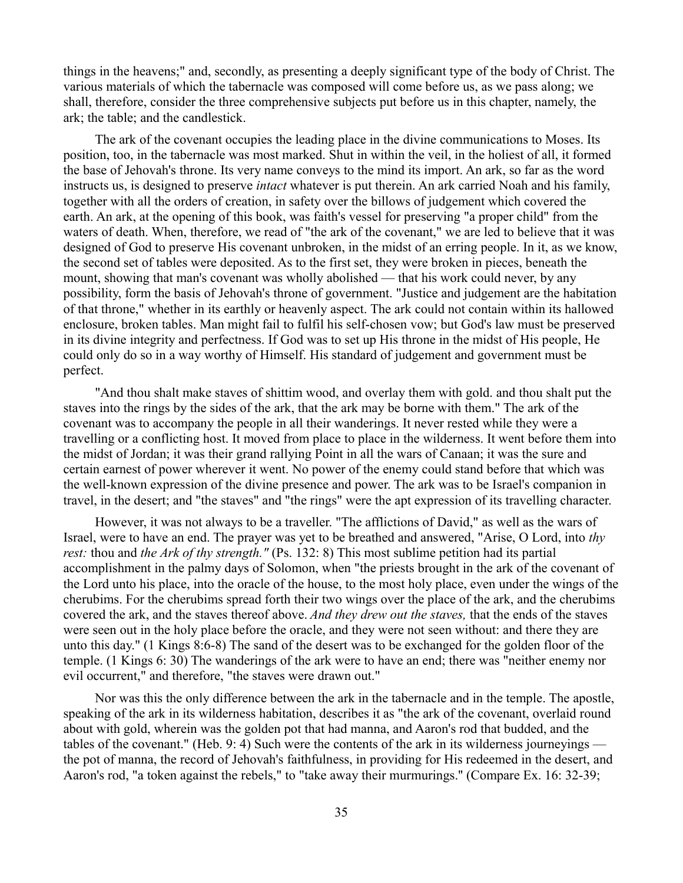things in the heavens;" and, secondly, as presenting a deeply significant type of the body of Christ. The various materials of which the tabernacle was composed will come before us, as we pass along; we shall, therefore, consider the three comprehensive subjects put before us in this chapter, namely, the ark; the table; and the candlestick.

The ark of the covenant occupies the leading place in the divine communications to Moses. Its position, too, in the tabernacle was most marked. Shut in within the veil, in the holiest of all, it formed the base of Jehovah's throne. Its very name conveys to the mind its import. An ark, so far as the word instructs us, is designed to preserve *intact* whatever is put therein. An ark carried Noah and his family, together with all the orders of creation, in safety over the billows of judgement which covered the earth. An ark, at the opening of this book, was faith's vessel for preserving "a proper child" from the waters of death. When, therefore, we read of "the ark of the covenant," we are led to believe that it was designed of God to preserve His covenant unbroken, in the midst of an erring people. In it, as we know, the second set of tables were deposited. As to the first set, they were broken in pieces, beneath the mount, showing that man's covenant was wholly abolished — that his work could never, by any possibility, form the basis of Jehovah's throne of government. "Justice and judgement are the habitation of that throne," whether in its earthly or heavenly aspect. The ark could not contain within its hallowed enclosure, broken tables. Man might fail to fulfil his self-chosen vow; but God's law must be preserved in its divine integrity and perfectness. If God was to set up His throne in the midst of His people, He could only do so in a way worthy of Himself. His standard of judgement and government must be perfect.

"And thou shalt make staves of shittim wood, and overlay them with gold. and thou shalt put the staves into the rings by the sides of the ark, that the ark may be borne with them." The ark of the covenant was to accompany the people in all their wanderings. It never rested while they were a travelling or a conflicting host. It moved from place to place in the wilderness. It went before them into the midst of Jordan; it was their grand rallying Point in all the wars of Canaan; it was the sure and certain earnest of power wherever it went. No power of the enemy could stand before that which was the well-known expression of the divine presence and power. The ark was to be Israel's companion in travel, in the desert; and "the staves" and "the rings" were the apt expression of its travelling character.

However, it was not always to be a traveller. "The afflictions of David," as well as the wars of Israel, were to have an end. The prayer was yet to be breathed and answered, "Arise, O Lord, into *thy rest:* thou and *the Ark of thy strength."* (Ps. 132: 8) This most sublime petition had its partial accomplishment in the palmy days of Solomon, when "the priests brought in the ark of the covenant of the Lord unto his place, into the oracle of the house, to the most holy place, even under the wings of the cherubims. For the cherubims spread forth their two wings over the place of the ark, and the cherubims covered the ark, and the staves thereof above. *And they drew out the staves,* that the ends of the staves were seen out in the holy place before the oracle, and they were not seen without: and there they are unto this day." (1 Kings 8:6-8) The sand of the desert was to be exchanged for the golden floor of the temple. (1 Kings 6: 30) The wanderings of the ark were to have an end; there was "neither enemy nor evil occurrent," and therefore, "the staves were drawn out."

Nor was this the only difference between the ark in the tabernacle and in the temple. The apostle, speaking of the ark in its wilderness habitation, describes it as "the ark of the covenant, overlaid round about with gold, wherein was the golden pot that had manna, and Aaron's rod that budded, and the tables of the covenant." (Heb. 9: 4) Such were the contents of the ark in its wilderness journeyings the pot of manna, the record of Jehovah's faithfulness, in providing for His redeemed in the desert, and Aaron's rod, "a token against the rebels," to "take away their murmurings.'' (Compare Ex. 16: 32-39;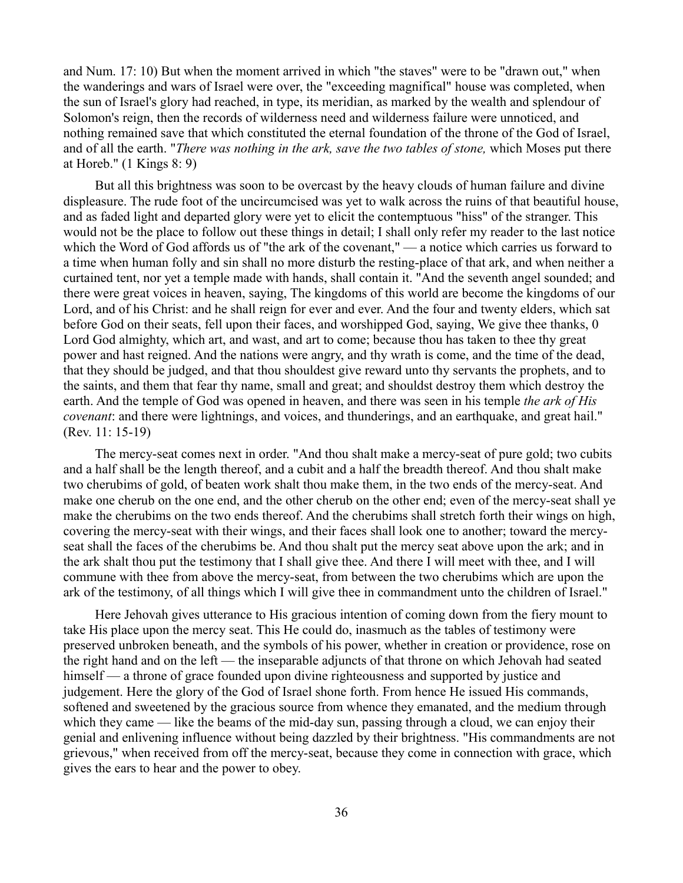and Num. 17: 10) But when the moment arrived in which "the staves" were to be "drawn out," when the wanderings and wars of Israel were over, the "exceeding magnifical" house was completed, when the sun of Israel's glory had reached, in type, its meridian, as marked by the wealth and splendour of Solomon's reign, then the records of wilderness need and wilderness failure were unnoticed, and nothing remained save that which constituted the eternal foundation of the throne of the God of Israel, and of all the earth. "*There was nothing in the ark, save the two tables of stone,* which Moses put there at Horeb." (1 Kings 8: 9)

But all this brightness was soon to be overcast by the heavy clouds of human failure and divine displeasure. The rude foot of the uncircumcised was yet to walk across the ruins of that beautiful house, and as faded light and departed glory were yet to elicit the contemptuous "hiss" of the stranger. This would not be the place to follow out these things in detail; I shall only refer my reader to the last notice which the Word of God affords us of "the ark of the covenant," — a notice which carries us forward to a time when human folly and sin shall no more disturb the resting-place of that ark, and when neither a curtained tent, nor yet a temple made with hands, shall contain it. "And the seventh angel sounded; and there were great voices in heaven, saying, The kingdoms of this world are become the kingdoms of our Lord, and of his Christ: and he shall reign for ever and ever. And the four and twenty elders, which sat before God on their seats, fell upon their faces, and worshipped God, saying, We give thee thanks, 0 Lord God almighty, which art, and wast, and art to come; because thou has taken to thee thy great power and hast reigned. And the nations were angry, and thy wrath is come, and the time of the dead, that they should be judged, and that thou shouldest give reward unto thy servants the prophets, and to the saints, and them that fear thy name, small and great; and shouldst destroy them which destroy the earth. And the temple of God was opened in heaven, and there was seen in his temple *the ark of His covenant*: and there were lightnings, and voices, and thunderings, and an earthquake, and great hail." (Rev. 11: 15-19)

The mercy-seat comes next in order. "And thou shalt make a mercy-seat of pure gold; two cubits and a half shall be the length thereof, and a cubit and a half the breadth thereof. And thou shalt make two cherubims of gold, of beaten work shalt thou make them, in the two ends of the mercy-seat. And make one cherub on the one end, and the other cherub on the other end; even of the mercy-seat shall ye make the cherubims on the two ends thereof. And the cherubims shall stretch forth their wings on high, covering the mercy-seat with their wings, and their faces shall look one to another; toward the mercyseat shall the faces of the cherubims be. And thou shalt put the mercy seat above upon the ark; and in the ark shalt thou put the testimony that I shall give thee. And there I will meet with thee, and I will commune with thee from above the mercy-seat, from between the two cherubims which are upon the ark of the testimony, of all things which I will give thee in commandment unto the children of Israel."

Here Jehovah gives utterance to His gracious intention of coming down from the fiery mount to take His place upon the mercy seat. This He could do, inasmuch as the tables of testimony were preserved unbroken beneath, and the symbols of his power, whether in creation or providence, rose on the right hand and on the left — the inseparable adjuncts of that throne on which Jehovah had seated himself — a throne of grace founded upon divine righteousness and supported by justice and judgement. Here the glory of the God of Israel shone forth. From hence He issued His commands, softened and sweetened by the gracious source from whence they emanated, and the medium through which they came — like the beams of the mid-day sun, passing through a cloud, we can enjoy their genial and enlivening influence without being dazzled by their brightness. "His commandments are not grievous," when received from off the mercy-seat, because they come in connection with grace, which gives the ears to hear and the power to obey.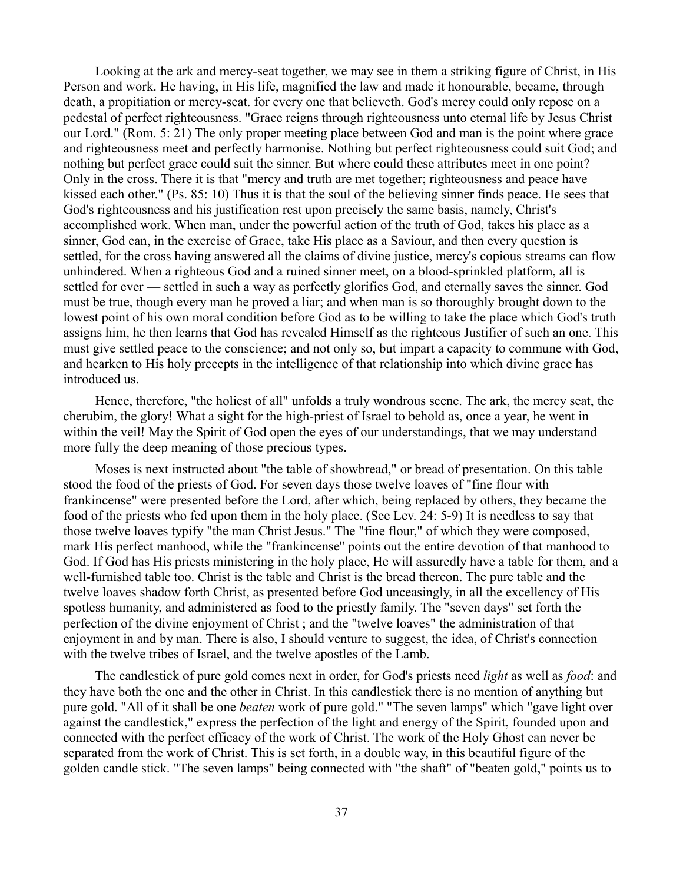Looking at the ark and mercy-seat together, we may see in them a striking figure of Christ, in His Person and work. He having, in His life, magnified the law and made it honourable, became, through death, a propitiation or mercy-seat. for every one that believeth. God's mercy could only repose on a pedestal of perfect righteousness. "Grace reigns through righteousness unto eternal life by Jesus Christ our Lord." (Rom. 5: 21) The only proper meeting place between God and man is the point where grace and righteousness meet and perfectly harmonise. Nothing but perfect righteousness could suit God; and nothing but perfect grace could suit the sinner. But where could these attributes meet in one point? Only in the cross. There it is that "mercy and truth are met together; righteousness and peace have kissed each other." (Ps. 85: 10) Thus it is that the soul of the believing sinner finds peace. He sees that God's righteousness and his justification rest upon precisely the same basis, namely, Christ's accomplished work. When man, under the powerful action of the truth of God, takes his place as a sinner, God can, in the exercise of Grace, take His place as a Saviour, and then every question is settled, for the cross having answered all the claims of divine justice, mercy's copious streams can flow unhindered. When a righteous God and a ruined sinner meet, on a blood-sprinkled platform, all is settled for ever — settled in such a way as perfectly glorifies God, and eternally saves the sinner. God must be true, though every man he proved a liar; and when man is so thoroughly brought down to the lowest point of his own moral condition before God as to be willing to take the place which God's truth assigns him, he then learns that God has revealed Himself as the righteous Justifier of such an one. This must give settled peace to the conscience; and not only so, but impart a capacity to commune with God, and hearken to His holy precepts in the intelligence of that relationship into which divine grace has introduced us.

Hence, therefore, "the holiest of all" unfolds a truly wondrous scene. The ark, the mercy seat, the cherubim, the glory! What a sight for the high-priest of Israel to behold as, once a year, he went in within the veil! May the Spirit of God open the eyes of our understandings, that we may understand more fully the deep meaning of those precious types.

Moses is next instructed about "the table of showbread," or bread of presentation. On this table stood the food of the priests of God. For seven days those twelve loaves of "fine flour with frankincense" were presented before the Lord, after which, being replaced by others, they became the food of the priests who fed upon them in the holy place. (See Lev. 24: 5-9) It is needless to say that those twelve loaves typify "the man Christ Jesus." The "fine flour," of which they were composed, mark His perfect manhood, while the "frankincense'' points out the entire devotion of that manhood to God. If God has His priests ministering in the holy place, He will assuredly have a table for them, and a well-furnished table too. Christ is the table and Christ is the bread thereon. The pure table and the twelve loaves shadow forth Christ, as presented before God unceasingly, in all the excellency of His spotless humanity, and administered as food to the priestly family. The "seven days" set forth the perfection of the divine enjoyment of Christ ; and the "twelve loaves" the administration of that enjoyment in and by man. There is also, I should venture to suggest, the idea, of Christ's connection with the twelve tribes of Israel, and the twelve apostles of the Lamb.

The candlestick of pure gold comes next in order, for God's priests need *light* as well as *food*: and they have both the one and the other in Christ. In this candlestick there is no mention of anything but pure gold. "All of it shall be one *beaten* work of pure gold." "The seven lamps" which "gave light over against the candlestick," express the perfection of the light and energy of the Spirit, founded upon and connected with the perfect efficacy of the work of Christ. The work of the Holy Ghost can never be separated from the work of Christ. This is set forth, in a double way, in this beautiful figure of the golden candle stick. "The seven lamps" being connected with "the shaft" of "beaten gold," points us to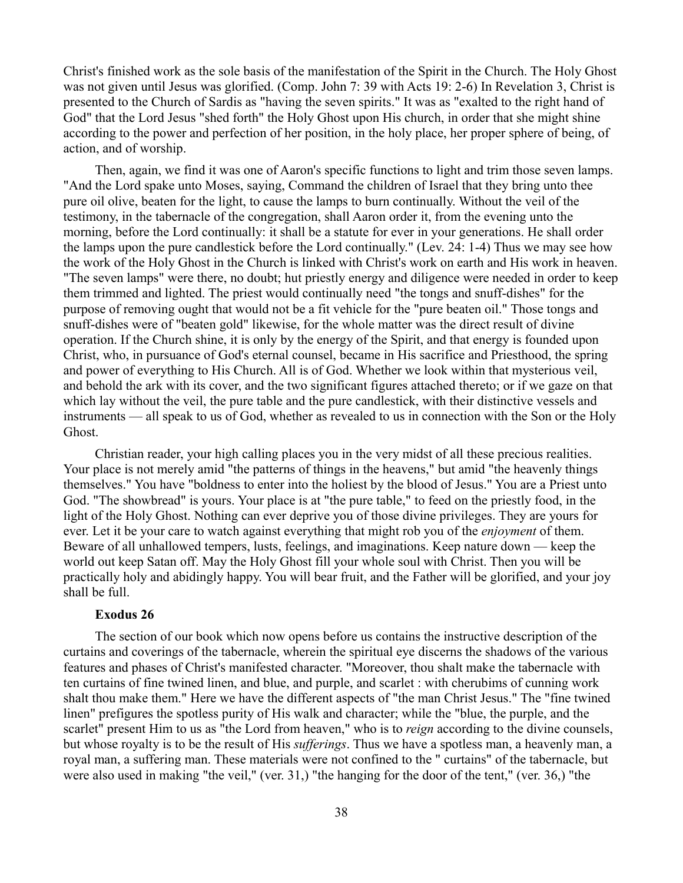Christ's finished work as the sole basis of the manifestation of the Spirit in the Church. The Holy Ghost was not given until Jesus was glorified. (Comp. John 7: 39 with Acts 19: 2-6) In Revelation 3, Christ is presented to the Church of Sardis as "having the seven spirits." It was as "exalted to the right hand of God" that the Lord Jesus "shed forth" the Holy Ghost upon His church, in order that she might shine according to the power and perfection of her position, in the holy place, her proper sphere of being, of action, and of worship.

Then, again, we find it was one of Aaron's specific functions to light and trim those seven lamps. "And the Lord spake unto Moses, saying, Command the children of Israel that they bring unto thee pure oil olive, beaten for the light, to cause the lamps to burn continually. Without the veil of the testimony, in the tabernacle of the congregation, shall Aaron order it, from the evening unto the morning, before the Lord continually: it shall be a statute for ever in your generations. He shall order the lamps upon the pure candlestick before the Lord continually." (Lev. 24: 1-4) Thus we may see how the work of the Holy Ghost in the Church is linked with Christ's work on earth and His work in heaven. "The seven lamps" were there, no doubt; hut priestly energy and diligence were needed in order to keep them trimmed and lighted. The priest would continually need "the tongs and snuff-dishes" for the purpose of removing ought that would not be a fit vehicle for the "pure beaten oil." Those tongs and snuff-dishes were of "beaten gold" likewise, for the whole matter was the direct result of divine operation. If the Church shine, it is only by the energy of the Spirit, and that energy is founded upon Christ, who, in pursuance of God's eternal counsel, became in His sacrifice and Priesthood, the spring and power of everything to His Church. All is of God. Whether we look within that mysterious veil, and behold the ark with its cover, and the two significant figures attached thereto; or if we gaze on that which lay without the veil, the pure table and the pure candlestick, with their distinctive vessels and instruments — all speak to us of God, whether as revealed to us in connection with the Son or the Holy Ghost.

Christian reader, your high calling places you in the very midst of all these precious realities. Your place is not merely amid "the patterns of things in the heavens," but amid "the heavenly things themselves." You have "boldness to enter into the holiest by the blood of Jesus." You are a Priest unto God. "The showbread" is yours. Your place is at "the pure table," to feed on the priestly food, in the light of the Holy Ghost. Nothing can ever deprive you of those divine privileges. They are yours for ever. Let it be your care to watch against everything that might rob you of the *enjoyment* of them. Beware of all unhallowed tempers, lusts, feelings, and imaginations. Keep nature down — keep the world out keep Satan off. May the Holy Ghost fill your whole soul with Christ. Then you will be practically holy and abidingly happy. You will bear fruit, and the Father will be glorified, and your joy shall be full.

### **Exodus 26**

The section of our book which now opens before us contains the instructive description of the curtains and coverings of the tabernacle, wherein the spiritual eye discerns the shadows of the various features and phases of Christ's manifested character. "Moreover, thou shalt make the tabernacle with ten curtains of fine twined linen, and blue, and purple, and scarlet : with cherubims of cunning work shalt thou make them." Here we have the different aspects of "the man Christ Jesus." The "fine twined linen" prefigures the spotless purity of His walk and character; while the "blue, the purple, and the scarlet" present Him to us as "the Lord from heaven," who is to *reign* according to the divine counsels, but whose royalty is to be the result of His *sufferings*. Thus we have a spotless man, a heavenly man, a royal man, a suffering man. These materials were not confined to the " curtains" of the tabernacle, but were also used in making "the veil," (ver. 31,) "the hanging for the door of the tent," (ver. 36,) "the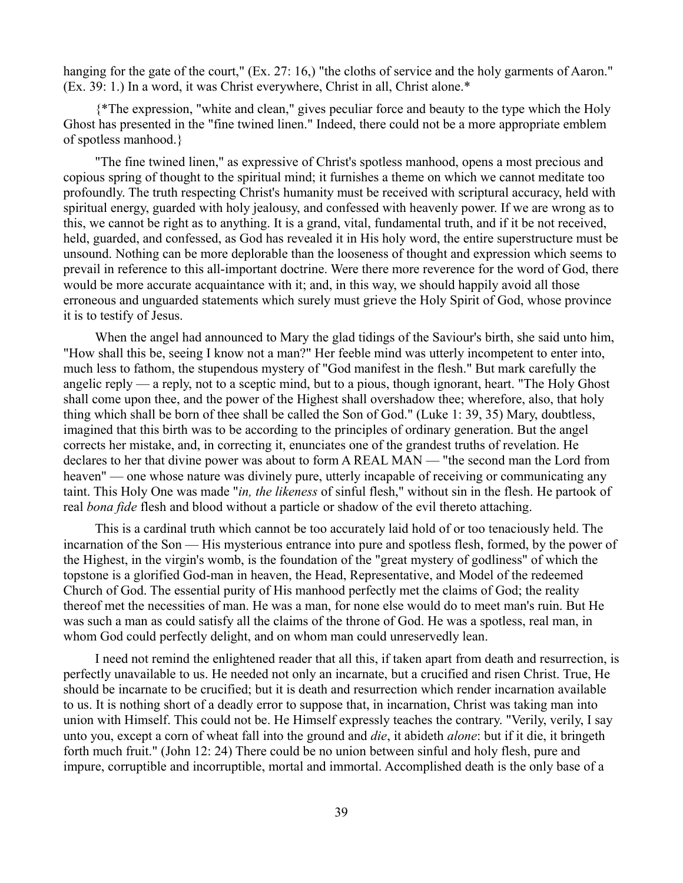hanging for the gate of the court," (Ex. 27: 16,) "the cloths of service and the holy garments of Aaron." (Ex. 39: 1.) In a word, it was Christ everywhere, Christ in all, Christ alone.\*

{\*The expression, "white and clean," gives peculiar force and beauty to the type which the Holy Ghost has presented in the "fine twined linen." Indeed, there could not be a more appropriate emblem of spotless manhood.}

"The fine twined linen," as expressive of Christ's spotless manhood, opens a most precious and copious spring of thought to the spiritual mind; it furnishes a theme on which we cannot meditate too profoundly. The truth respecting Christ's humanity must be received with scriptural accuracy, held with spiritual energy, guarded with holy jealousy, and confessed with heavenly power. If we are wrong as to this, we cannot be right as to anything. It is a grand, vital, fundamental truth, and if it be not received, held, guarded, and confessed, as God has revealed it in His holy word, the entire superstructure must be unsound. Nothing can be more deplorable than the looseness of thought and expression which seems to prevail in reference to this all-important doctrine. Were there more reverence for the word of God, there would be more accurate acquaintance with it; and, in this way, we should happily avoid all those erroneous and unguarded statements which surely must grieve the Holy Spirit of God, whose province it is to testify of Jesus.

When the angel had announced to Mary the glad tidings of the Saviour's birth, she said unto him, "How shall this be, seeing I know not a man?" Her feeble mind was utterly incompetent to enter into, much less to fathom, the stupendous mystery of "God manifest in the flesh." But mark carefully the angelic reply — a reply, not to a sceptic mind, but to a pious, though ignorant, heart. "The Holy Ghost shall come upon thee, and the power of the Highest shall overshadow thee; wherefore, also, that holy thing which shall be born of thee shall be called the Son of God." (Luke 1: 39, 35) Mary, doubtless, imagined that this birth was to be according to the principles of ordinary generation. But the angel corrects her mistake, and, in correcting it, enunciates one of the grandest truths of revelation. He declares to her that divine power was about to form A REAL MAN — "the second man the Lord from heaven" — one whose nature was divinely pure, utterly incapable of receiving or communicating any taint. This Holy One was made "*in, the likeness* of sinful flesh," without sin in the flesh. He partook of real *bona fide* flesh and blood without a particle or shadow of the evil thereto attaching.

This is a cardinal truth which cannot be too accurately laid hold of or too tenaciously held. The incarnation of the Son — His mysterious entrance into pure and spotless flesh, formed, by the power of the Highest, in the virgin's womb, is the foundation of the "great mystery of godliness" of which the topstone is a glorified God-man in heaven, the Head, Representative, and Model of the redeemed Church of God. The essential purity of His manhood perfectly met the claims of God; the reality thereof met the necessities of man. He was a man, for none else would do to meet man's ruin. But He was such a man as could satisfy all the claims of the throne of God. He was a spotless, real man, in whom God could perfectly delight, and on whom man could unreservedly lean.

I need not remind the enlightened reader that all this, if taken apart from death and resurrection, is perfectly unavailable to us. He needed not only an incarnate, but a crucified and risen Christ. True, He should be incarnate to be crucified; but it is death and resurrection which render incarnation available to us. It is nothing short of a deadly error to suppose that, in incarnation, Christ was taking man into union with Himself. This could not be. He Himself expressly teaches the contrary. "Verily, verily, I say unto you, except a corn of wheat fall into the ground and *die*, it abideth *alone*: but if it die, it bringeth forth much fruit." (John 12: 24) There could be no union between sinful and holy flesh, pure and impure, corruptible and incorruptible, mortal and immortal. Accomplished death is the only base of a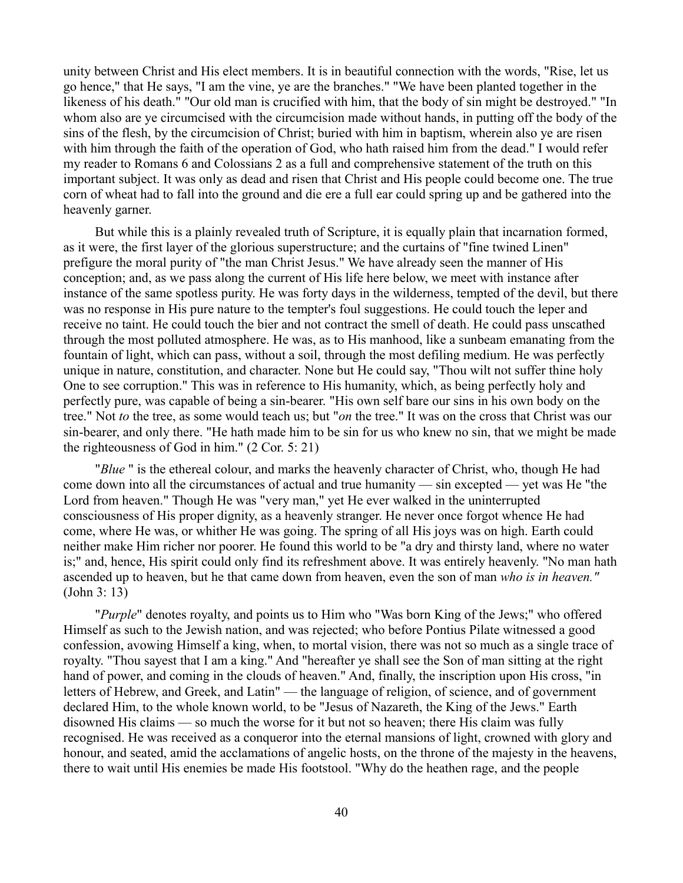unity between Christ and His elect members. It is in beautiful connection with the words, "Rise, let us go hence," that He says, "I am the vine, ye are the branches." "We have been planted together in the likeness of his death." "Our old man is crucified with him, that the body of sin might be destroyed." "In whom also are ye circumcised with the circumcision made without hands, in putting off the body of the sins of the flesh, by the circumcision of Christ; buried with him in baptism, wherein also ye are risen with him through the faith of the operation of God, who hath raised him from the dead." I would refer my reader to Romans 6 and Colossians 2 as a full and comprehensive statement of the truth on this important subject. It was only as dead and risen that Christ and His people could become one. The true corn of wheat had to fall into the ground and die ere a full ear could spring up and be gathered into the heavenly garner.

But while this is a plainly revealed truth of Scripture, it is equally plain that incarnation formed, as it were, the first layer of the glorious superstructure; and the curtains of "fine twined Linen" prefigure the moral purity of "the man Christ Jesus." We have already seen the manner of His conception; and, as we pass along the current of His life here below, we meet with instance after instance of the same spotless purity. He was forty days in the wilderness, tempted of the devil, but there was no response in His pure nature to the tempter's foul suggestions. He could touch the leper and receive no taint. He could touch the bier and not contract the smell of death. He could pass unscathed through the most polluted atmosphere. He was, as to His manhood, like a sunbeam emanating from the fountain of light, which can pass, without a soil, through the most defiling medium. He was perfectly unique in nature, constitution, and character. None but He could say, "Thou wilt not suffer thine holy One to see corruption." This was in reference to His humanity, which, as being perfectly holy and perfectly pure, was capable of being a sin-bearer. "His own self bare our sins in his own body on the tree." Not *to* the tree, as some would teach us; but "*on* the tree." It was on the cross that Christ was our sin-bearer, and only there. "He hath made him to be sin for us who knew no sin, that we might be made the righteousness of God in him." (2 Cor. 5: 21)

"*Blue* " is the ethereal colour, and marks the heavenly character of Christ, who, though He had come down into all the circumstances of actual and true humanity — sin excepted — yet was He "the Lord from heaven." Though He was "very man," yet He ever walked in the uninterrupted consciousness of His proper dignity, as a heavenly stranger. He never once forgot whence He had come, where He was, or whither He was going. The spring of all His joys was on high. Earth could neither make Him richer nor poorer. He found this world to be "a dry and thirsty land, where no water is;" and, hence, His spirit could only find its refreshment above. It was entirely heavenly. "No man hath ascended up to heaven, but he that came down from heaven, even the son of man *who is in heaven."* (John 3: 13)

"*Purple*" denotes royalty, and points us to Him who "Was born King of the Jews;" who offered Himself as such to the Jewish nation, and was rejected; who before Pontius Pilate witnessed a good confession, avowing Himself a king, when, to mortal vision, there was not so much as a single trace of royalty. "Thou sayest that I am a king." And "hereafter ye shall see the Son of man sitting at the right hand of power, and coming in the clouds of heaven." And, finally, the inscription upon His cross, "in letters of Hebrew, and Greek, and Latin" — the language of religion, of science, and of government declared Him, to the whole known world, to be "Jesus of Nazareth, the King of the Jews." Earth disowned His claims — so much the worse for it but not so heaven; there His claim was fully recognised. He was received as a conqueror into the eternal mansions of light, crowned with glory and honour, and seated, amid the acclamations of angelic hosts, on the throne of the majesty in the heavens, there to wait until His enemies be made His footstool. "Why do the heathen rage, and the people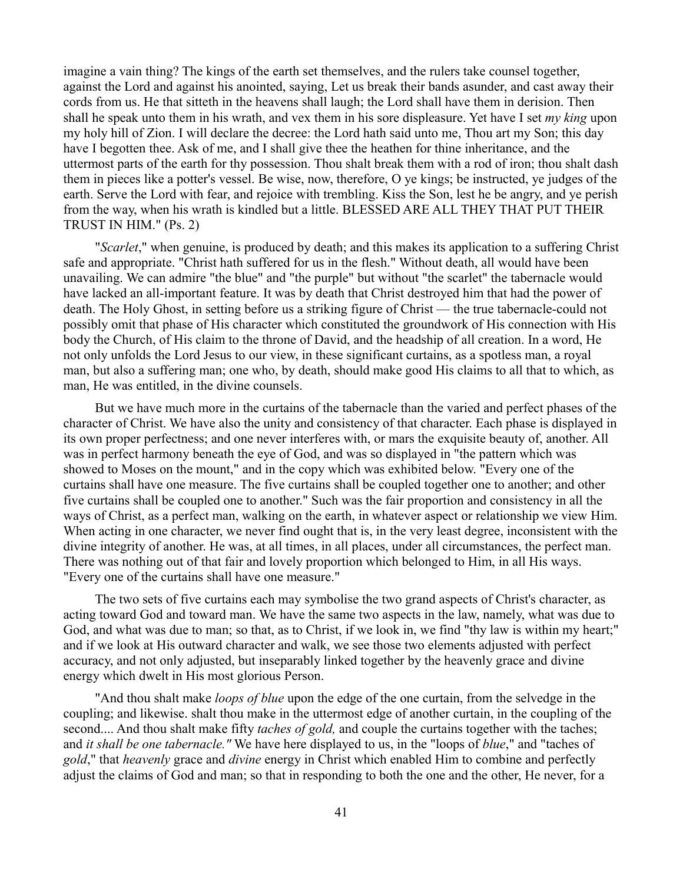imagine a vain thing? The kings of the earth set themselves, and the rulers take counsel together, against the Lord and against his anointed, saying, Let us break their bands asunder, and cast away their cords from us. He that sitteth in the heavens shall laugh; the Lord shall have them in derision. Then shall he speak unto them in his wrath, and vex them in his sore displeasure. Yet have I set *my king* upon my holy hill of Zion. I will declare the decree: the Lord hath said unto me, Thou art my Son; this day have I begotten thee. Ask of me, and I shall give thee the heathen for thine inheritance, and the uttermost parts of the earth for thy possession. Thou shalt break them with a rod of iron; thou shalt dash them in pieces like a potter's vessel. Be wise, now, therefore, O ye kings; be instructed, ye judges of the earth. Serve the Lord with fear, and rejoice with trembling. Kiss the Son, lest he be angry, and ye perish from the way, when his wrath is kindled but a little. BLESSED ARE ALL THEY THAT PUT THEIR TRUST IN HIM." (Ps. 2)

"*Scarlet*," when genuine, is produced by death; and this makes its application to a suffering Christ safe and appropriate. "Christ hath suffered for us in the flesh." Without death, all would have been unavailing. We can admire "the blue" and "the purple" but without "the scarlet" the tabernacle would have lacked an all-important feature. It was by death that Christ destroyed him that had the power of death. The Holy Ghost, in setting before us a striking figure of Christ — the true tabernacle-could not possibly omit that phase of His character which constituted the groundwork of His connection with His body the Church, of His claim to the throne of David, and the headship of all creation. In a word, He not only unfolds the Lord Jesus to our view, in these significant curtains, as a spotless man, a royal man, but also a suffering man; one who, by death, should make good His claims to all that to which, as man, He was entitled, in the divine counsels.

But we have much more in the curtains of the tabernacle than the varied and perfect phases of the character of Christ. We have also the unity and consistency of that character. Each phase is displayed in its own proper perfectness; and one never interferes with, or mars the exquisite beauty of, another. All was in perfect harmony beneath the eye of God, and was so displayed in "the pattern which was showed to Moses on the mount," and in the copy which was exhibited below. "Every one of the curtains shall have one measure. The five curtains shall be coupled together one to another; and other five curtains shall be coupled one to another." Such was the fair proportion and consistency in all the ways of Christ, as a perfect man, walking on the earth, in whatever aspect or relationship we view Him. When acting in one character, we never find ought that is, in the very least degree, inconsistent with the divine integrity of another. He was, at all times, in all places, under all circumstances, the perfect man. There was nothing out of that fair and lovely proportion which belonged to Him, in all His ways. "Every one of the curtains shall have one measure."

The two sets of five curtains each may symbolise the two grand aspects of Christ's character, as acting toward God and toward man. We have the same two aspects in the law, namely, what was due to God, and what was due to man; so that, as to Christ, if we look in, we find "thy law is within my heart;" and if we look at His outward character and walk, we see those two elements adjusted with perfect accuracy, and not only adjusted, but inseparably linked together by the heavenly grace and divine energy which dwelt in His most glorious Person.

"And thou shalt make *loops of blue* upon the edge of the one curtain, from the selvedge in the coupling; and likewise. shalt thou make in the uttermost edge of another curtain, in the coupling of the second.... And thou shalt make fifty *taches of gold,* and couple the curtains together with the taches; and *it shall be one tabernacle."* We have here displayed to us, in the "loops of *blue*," and "taches of *gold*," that *heavenly* grace and *divine* energy in Christ which enabled Him to combine and perfectly adjust the claims of God and man; so that in responding to both the one and the other, He never, for a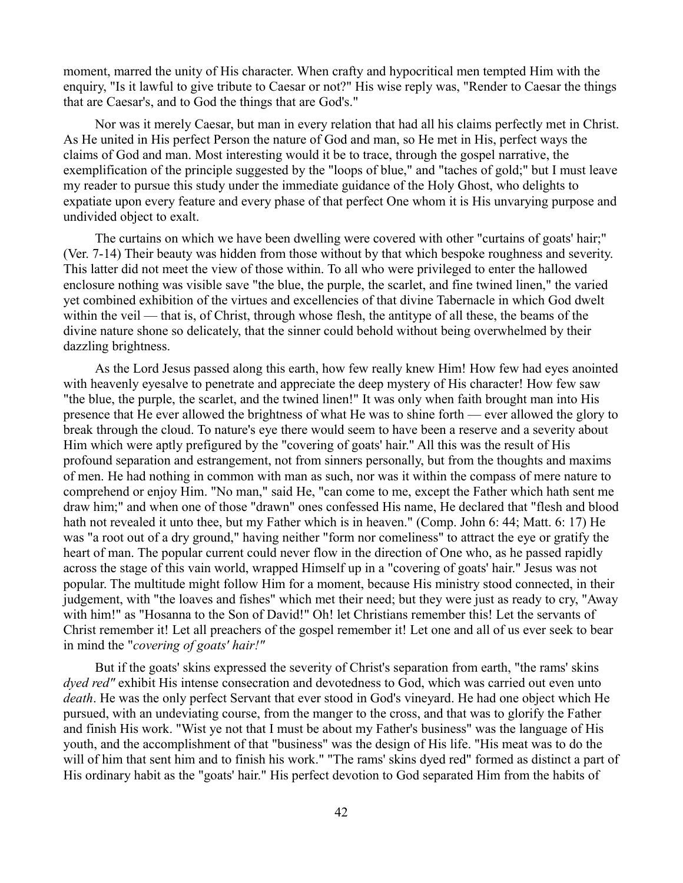moment, marred the unity of His character. When crafty and hypocritical men tempted Him with the enquiry, "Is it lawful to give tribute to Caesar or not?" His wise reply was, "Render to Caesar the things that are Caesar's, and to God the things that are God's."

Nor was it merely Caesar, but man in every relation that had all his claims perfectly met in Christ. As He united in His perfect Person the nature of God and man, so He met in His, perfect ways the claims of God and man. Most interesting would it be to trace, through the gospel narrative, the exemplification of the principle suggested by the "loops of blue," and "taches of gold;" but I must leave my reader to pursue this study under the immediate guidance of the Holy Ghost, who delights to expatiate upon every feature and every phase of that perfect One whom it is His unvarying purpose and undivided object to exalt.

The curtains on which we have been dwelling were covered with other "curtains of goats' hair;" (Ver. 7-14) Their beauty was hidden from those without by that which bespoke roughness and severity. This latter did not meet the view of those within. To all who were privileged to enter the hallowed enclosure nothing was visible save "the blue, the purple, the scarlet, and fine twined linen," the varied yet combined exhibition of the virtues and excellencies of that divine Tabernacle in which God dwelt within the veil — that is, of Christ, through whose flesh, the antitype of all these, the beams of the divine nature shone so delicately, that the sinner could behold without being overwhelmed by their dazzling brightness.

As the Lord Jesus passed along this earth, how few really knew Him! How few had eyes anointed with heavenly eyesalve to penetrate and appreciate the deep mystery of His character! How few saw "the blue, the purple, the scarlet, and the twined linen!" It was only when faith brought man into His presence that He ever allowed the brightness of what He was to shine forth — ever allowed the glory to break through the cloud. To nature's eye there would seem to have been a reserve and a severity about Him which were aptly prefigured by the "covering of goats' hair." All this was the result of His profound separation and estrangement, not from sinners personally, but from the thoughts and maxims of men. He had nothing in common with man as such, nor was it within the compass of mere nature to comprehend or enjoy Him. "No man," said He, "can come to me, except the Father which hath sent me draw him;" and when one of those "drawn" ones confessed His name, He declared that "flesh and blood hath not revealed it unto thee, but my Father which is in heaven." (Comp. John 6: 44; Matt. 6: 17) He was "a root out of a dry ground," having neither "form nor comeliness" to attract the eye or gratify the heart of man. The popular current could never flow in the direction of One who, as he passed rapidly across the stage of this vain world, wrapped Himself up in a "covering of goats' hair." Jesus was not popular. The multitude might follow Him for a moment, because His ministry stood connected, in their judgement, with "the loaves and fishes" which met their need; but they were just as ready to cry, "Away with him!" as "Hosanna to the Son of David!" Oh! let Christians remember this! Let the servants of Christ remember it! Let all preachers of the gospel remember it! Let one and all of us ever seek to bear in mind the "*covering of goats' hair!"*

But if the goats' skins expressed the severity of Christ's separation from earth, "the rams' skins *dyed red"* exhibit His intense consecration and devotedness to God, which was carried out even unto *death*. He was the only perfect Servant that ever stood in God's vineyard. He had one object which He pursued, with an undeviating course, from the manger to the cross, and that was to glorify the Father and finish His work. "Wist ye not that I must be about my Father's business" was the language of His youth, and the accomplishment of that "business" was the design of His life. "His meat was to do the will of him that sent him and to finish his work." "The rams' skins dyed red" formed as distinct a part of His ordinary habit as the "goats' hair." His perfect devotion to God separated Him from the habits of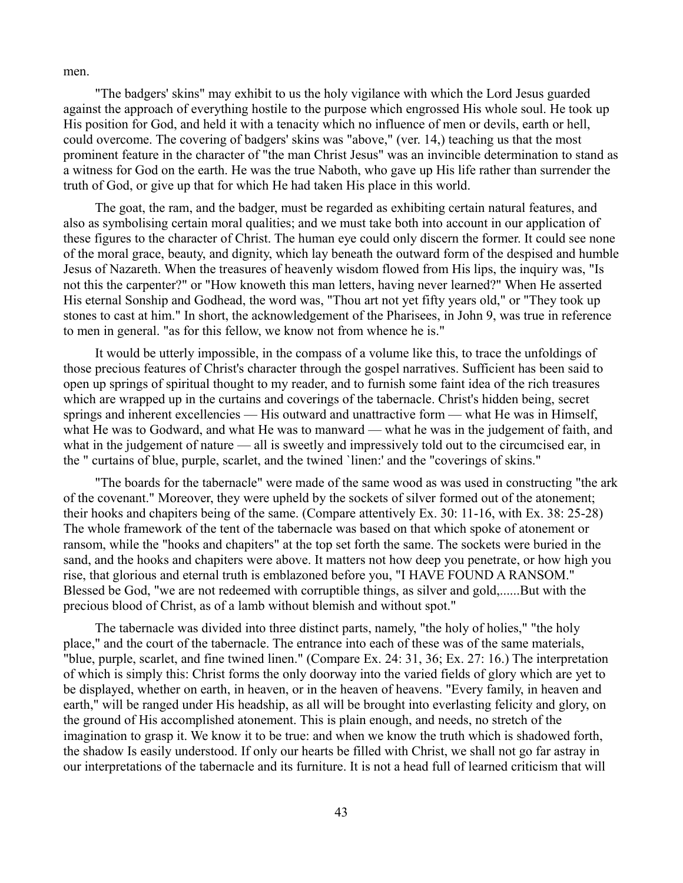men.

"The badgers' skins" may exhibit to us the holy vigilance with which the Lord Jesus guarded against the approach of everything hostile to the purpose which engrossed His whole soul. He took up His position for God, and held it with a tenacity which no influence of men or devils, earth or hell, could overcome. The covering of badgers' skins was "above," (ver. 14,) teaching us that the most prominent feature in the character of "the man Christ Jesus" was an invincible determination to stand as a witness for God on the earth. He was the true Naboth, who gave up His life rather than surrender the truth of God, or give up that for which He had taken His place in this world.

The goat, the ram, and the badger, must be regarded as exhibiting certain natural features, and also as symbolising certain moral qualities; and we must take both into account in our application of these figures to the character of Christ. The human eye could only discern the former. It could see none of the moral grace, beauty, and dignity, which lay beneath the outward form of the despised and humble Jesus of Nazareth. When the treasures of heavenly wisdom flowed from His lips, the inquiry was, "Is not this the carpenter?" or "How knoweth this man letters, having never learned?" When He asserted His eternal Sonship and Godhead, the word was, "Thou art not yet fifty years old," or "They took up stones to cast at him." In short, the acknowledgement of the Pharisees, in John 9, was true in reference to men in general. "as for this fellow, we know not from whence he is."

It would be utterly impossible, in the compass of a volume like this, to trace the unfoldings of those precious features of Christ's character through the gospel narratives. Sufficient has been said to open up springs of spiritual thought to my reader, and to furnish some faint idea of the rich treasures which are wrapped up in the curtains and coverings of the tabernacle. Christ's hidden being, secret springs and inherent excellencies — His outward and unattractive form — what He was in Himself, what He was to Godward, and what He was to manward — what he was in the judgement of faith, and what in the judgement of nature — all is sweetly and impressively told out to the circumcised ear, in the " curtains of blue, purple, scarlet, and the twined `linen:' and the "coverings of skins."

"The boards for the tabernacle" were made of the same wood as was used in constructing "the ark of the covenant." Moreover, they were upheld by the sockets of silver formed out of the atonement; their hooks and chapiters being of the same. (Compare attentively Ex. 30: 11-16, with Ex. 38: 25-28) The whole framework of the tent of the tabernacle was based on that which spoke of atonement or ransom, while the "hooks and chapiters" at the top set forth the same. The sockets were buried in the sand, and the hooks and chapiters were above. It matters not how deep you penetrate, or how high you rise, that glorious and eternal truth is emblazoned before you, "I HAVE FOUND A RANSOM." Blessed be God, "we are not redeemed with corruptible things, as silver and gold,......But with the precious blood of Christ, as of a lamb without blemish and without spot."

The tabernacle was divided into three distinct parts, namely, "the holy of holies," "the holy place," and the court of the tabernacle. The entrance into each of these was of the same materials, "blue, purple, scarlet, and fine twined linen." (Compare Ex. 24: 31, 36; Ex. 27: 16.) The interpretation of which is simply this: Christ forms the only doorway into the varied fields of glory which are yet to be displayed, whether on earth, in heaven, or in the heaven of heavens. "Every family, in heaven and earth," will be ranged under His headship, as all will be brought into everlasting felicity and glory, on the ground of His accomplished atonement. This is plain enough, and needs, no stretch of the imagination to grasp it. We know it to be true: and when we know the truth which is shadowed forth, the shadow Is easily understood. If only our hearts be filled with Christ, we shall not go far astray in our interpretations of the tabernacle and its furniture. It is not a head full of learned criticism that will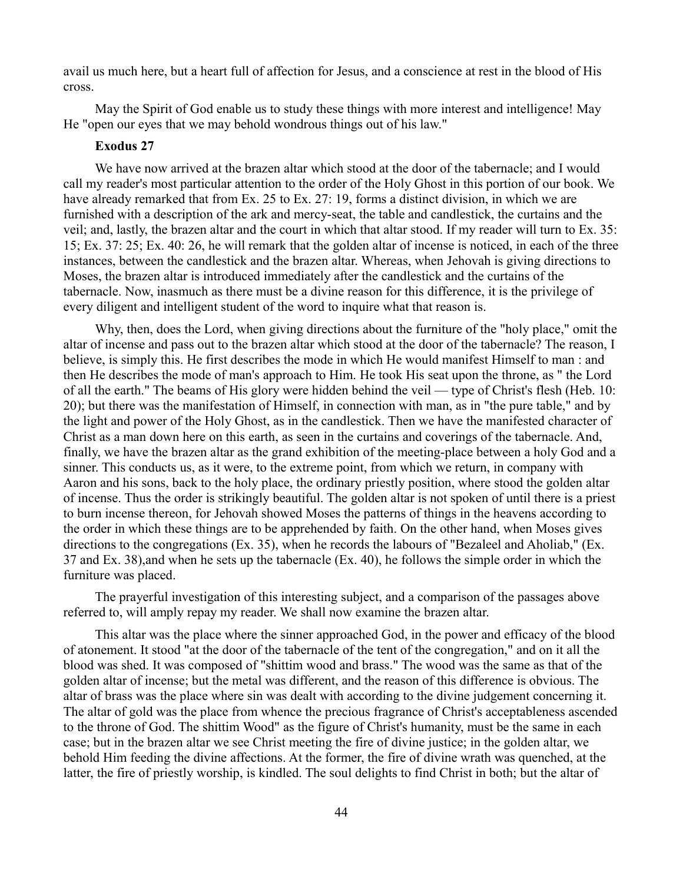avail us much here, but a heart full of affection for Jesus, and a conscience at rest in the blood of His cross.

May the Spirit of God enable us to study these things with more interest and intelligence! May He "open our eyes that we may behold wondrous things out of his law."

## **Exodus 27**

We have now arrived at the brazen altar which stood at the door of the tabernacle; and I would call my reader's most particular attention to the order of the Holy Ghost in this portion of our book. We have already remarked that from Ex. 25 to Ex. 27: 19, forms a distinct division, in which we are furnished with a description of the ark and mercy-seat, the table and candlestick, the curtains and the veil; and, lastly, the brazen altar and the court in which that altar stood. If my reader will turn to Ex. 35: 15; Ex. 37: 25; Ex. 40: 26, he will remark that the golden altar of incense is noticed, in each of the three instances, between the candlestick and the brazen altar. Whereas, when Jehovah is giving directions to Moses, the brazen altar is introduced immediately after the candlestick and the curtains of the tabernacle. Now, inasmuch as there must be a divine reason for this difference, it is the privilege of every diligent and intelligent student of the word to inquire what that reason is.

Why, then, does the Lord, when giving directions about the furniture of the "holy place," omit the altar of incense and pass out to the brazen altar which stood at the door of the tabernacle? The reason, I believe, is simply this. He first describes the mode in which He would manifest Himself to man : and then He describes the mode of man's approach to Him. He took His seat upon the throne, as " the Lord of all the earth." The beams of His glory were hidden behind the veil — type of Christ's flesh (Heb. 10: 20); but there was the manifestation of Himself, in connection with man, as in "the pure table," and by the light and power of the Holy Ghost, as in the candlestick. Then we have the manifested character of Christ as a man down here on this earth, as seen in the curtains and coverings of the tabernacle. And, finally, we have the brazen altar as the grand exhibition of the meeting-place between a holy God and a sinner. This conducts us, as it were, to the extreme point, from which we return, in company with Aaron and his sons, back to the holy place, the ordinary priestly position, where stood the golden altar of incense. Thus the order is strikingly beautiful. The golden altar is not spoken of until there is a priest to burn incense thereon, for Jehovah showed Moses the patterns of things in the heavens according to the order in which these things are to be apprehended by faith. On the other hand, when Moses gives directions to the congregations (Ex. 35), when he records the labours of "Bezaleel and Aholiab," (Ex. 37 and Ex. 38),and when he sets up the tabernacle (Ex. 40), he follows the simple order in which the furniture was placed.

The prayerful investigation of this interesting subject, and a comparison of the passages above referred to, will amply repay my reader. We shall now examine the brazen altar.

This altar was the place where the sinner approached God, in the power and efficacy of the blood of atonement. It stood "at the door of the tabernacle of the tent of the congregation," and on it all the blood was shed. It was composed of "shittim wood and brass." The wood was the same as that of the golden altar of incense; but the metal was different, and the reason of this difference is obvious. The altar of brass was the place where sin was dealt with according to the divine judgement concerning it. The altar of gold was the place from whence the precious fragrance of Christ's acceptableness ascended to the throne of God. The shittim Wood" as the figure of Christ's humanity, must be the same in each case; but in the brazen altar we see Christ meeting the fire of divine justice; in the golden altar, we behold Him feeding the divine affections. At the former, the fire of divine wrath was quenched, at the latter, the fire of priestly worship, is kindled. The soul delights to find Christ in both; but the altar of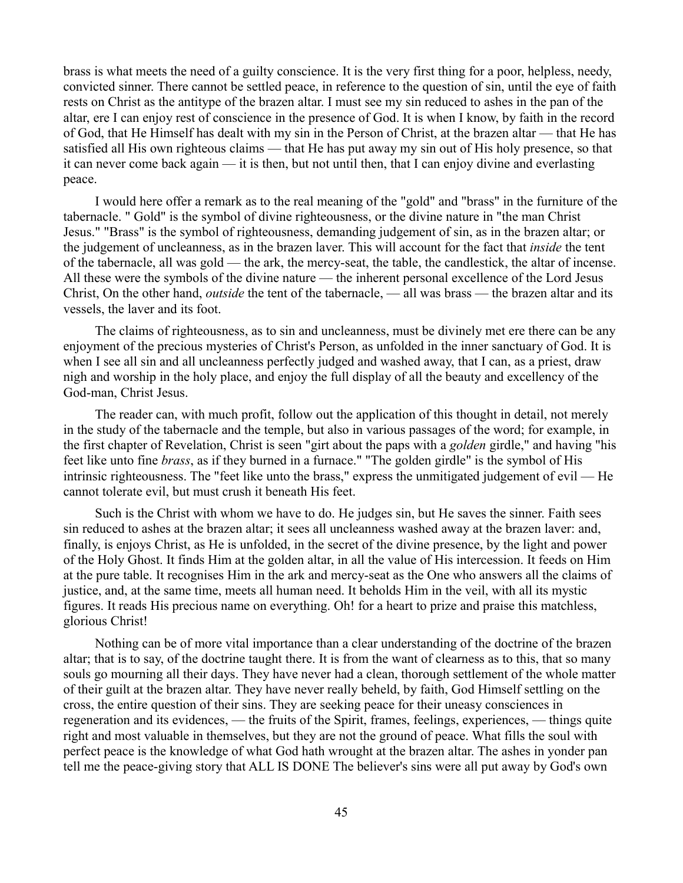brass is what meets the need of a guilty conscience. It is the very first thing for a poor, helpless, needy, convicted sinner. There cannot be settled peace, in reference to the question of sin, until the eye of faith rests on Christ as the antitype of the brazen altar. I must see my sin reduced to ashes in the pan of the altar, ere I can enjoy rest of conscience in the presence of God. It is when I know, by faith in the record of God, that He Himself has dealt with my sin in the Person of Christ, at the brazen altar — that He has satisfied all His own righteous claims — that He has put away my sin out of His holy presence, so that it can never come back again — it is then, but not until then, that I can enjoy divine and everlasting peace.

I would here offer a remark as to the real meaning of the "gold" and "brass" in the furniture of the tabernacle. " Gold" is the symbol of divine righteousness, or the divine nature in "the man Christ Jesus." "Brass" is the symbol of righteousness, demanding judgement of sin, as in the brazen altar; or the judgement of uncleanness, as in the brazen laver. This will account for the fact that *inside* the tent of the tabernacle, all was gold — the ark, the mercy-seat, the table, the candlestick, the altar of incense. All these were the symbols of the divine nature — the inherent personal excellence of the Lord Jesus Christ, On the other hand, *outside* the tent of the tabernacle, — all was brass — the brazen altar and its vessels, the laver and its foot.

The claims of righteousness, as to sin and uncleanness, must be divinely met ere there can be any enjoyment of the precious mysteries of Christ's Person, as unfolded in the inner sanctuary of God. It is when I see all sin and all uncleanness perfectly judged and washed away, that I can, as a priest, draw nigh and worship in the holy place, and enjoy the full display of all the beauty and excellency of the God-man, Christ Jesus.

The reader can, with much profit, follow out the application of this thought in detail, not merely in the study of the tabernacle and the temple, but also in various passages of the word; for example, in the first chapter of Revelation, Christ is seen "girt about the paps with a *golden* girdle," and having "his feet like unto fine *brass*, as if they burned in a furnace." "The golden girdle" is the symbol of His intrinsic righteousness. The "feet like unto the brass," express the unmitigated judgement of evil — He cannot tolerate evil, but must crush it beneath His feet.

Such is the Christ with whom we have to do. He judges sin, but He saves the sinner. Faith sees sin reduced to ashes at the brazen altar; it sees all uncleanness washed away at the brazen laver: and, finally, is enjoys Christ, as He is unfolded, in the secret of the divine presence, by the light and power of the Holy Ghost. It finds Him at the golden altar, in all the value of His intercession. It feeds on Him at the pure table. It recognises Him in the ark and mercy-seat as the One who answers all the claims of justice, and, at the same time, meets all human need. It beholds Him in the veil, with all its mystic figures. It reads His precious name on everything. Oh! for a heart to prize and praise this matchless, glorious Christ!

Nothing can be of more vital importance than a clear understanding of the doctrine of the brazen altar; that is to say, of the doctrine taught there. It is from the want of clearness as to this, that so many souls go mourning all their days. They have never had a clean, thorough settlement of the whole matter of their guilt at the brazen altar. They have never really beheld, by faith, God Himself settling on the cross, the entire question of their sins. They are seeking peace for their uneasy consciences in regeneration and its evidences, — the fruits of the Spirit, frames, feelings, experiences, — things quite right and most valuable in themselves, but they are not the ground of peace. What fills the soul with perfect peace is the knowledge of what God hath wrought at the brazen altar. The ashes in yonder pan tell me the peace-giving story that ALL IS DONE The believer's sins were all put away by God's own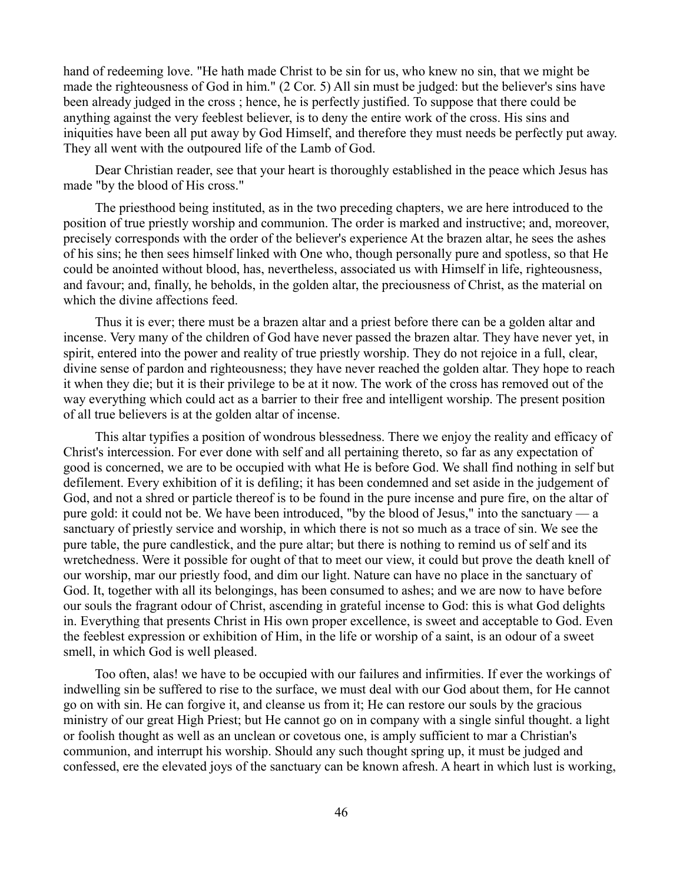hand of redeeming love. "He hath made Christ to be sin for us, who knew no sin, that we might be made the righteousness of God in him." (2 Cor. 5) All sin must be judged: but the believer's sins have been already judged in the cross ; hence, he is perfectly justified. To suppose that there could be anything against the very feeblest believer, is to deny the entire work of the cross. His sins and iniquities have been all put away by God Himself, and therefore they must needs be perfectly put away. They all went with the outpoured life of the Lamb of God.

Dear Christian reader, see that your heart is thoroughly established in the peace which Jesus has made "by the blood of His cross."

The priesthood being instituted, as in the two preceding chapters, we are here introduced to the position of true priestly worship and communion. The order is marked and instructive; and, moreover, precisely corresponds with the order of the believer's experience At the brazen altar, he sees the ashes of his sins; he then sees himself linked with One who, though personally pure and spotless, so that He could be anointed without blood, has, nevertheless, associated us with Himself in life, righteousness, and favour; and, finally, he beholds, in the golden altar, the preciousness of Christ, as the material on which the divine affections feed.

Thus it is ever; there must be a brazen altar and a priest before there can be a golden altar and incense. Very many of the children of God have never passed the brazen altar. They have never yet, in spirit, entered into the power and reality of true priestly worship. They do not rejoice in a full, clear, divine sense of pardon and righteousness; they have never reached the golden altar. They hope to reach it when they die; but it is their privilege to be at it now. The work of the cross has removed out of the way everything which could act as a barrier to their free and intelligent worship. The present position of all true believers is at the golden altar of incense.

This altar typifies a position of wondrous blessedness. There we enjoy the reality and efficacy of Christ's intercession. For ever done with self and all pertaining thereto, so far as any expectation of good is concerned, we are to be occupied with what He is before God. We shall find nothing in self but defilement. Every exhibition of it is defiling; it has been condemned and set aside in the judgement of God, and not a shred or particle thereof is to be found in the pure incense and pure fire, on the altar of pure gold: it could not be. We have been introduced, "by the blood of Jesus," into the sanctuary — a sanctuary of priestly service and worship, in which there is not so much as a trace of sin. We see the pure table, the pure candlestick, and the pure altar; but there is nothing to remind us of self and its wretchedness. Were it possible for ought of that to meet our view, it could but prove the death knell of our worship, mar our priestly food, and dim our light. Nature can have no place in the sanctuary of God. It, together with all its belongings, has been consumed to ashes; and we are now to have before our souls the fragrant odour of Christ, ascending in grateful incense to God: this is what God delights in. Everything that presents Christ in His own proper excellence, is sweet and acceptable to God. Even the feeblest expression or exhibition of Him, in the life or worship of a saint, is an odour of a sweet smell, in which God is well pleased.

Too often, alas! we have to be occupied with our failures and infirmities. If ever the workings of indwelling sin be suffered to rise to the surface, we must deal with our God about them, for He cannot go on with sin. He can forgive it, and cleanse us from it; He can restore our souls by the gracious ministry of our great High Priest; but He cannot go on in company with a single sinful thought. a light or foolish thought as well as an unclean or covetous one, is amply sufficient to mar a Christian's communion, and interrupt his worship. Should any such thought spring up, it must be judged and confessed, ere the elevated joys of the sanctuary can be known afresh. A heart in which lust is working,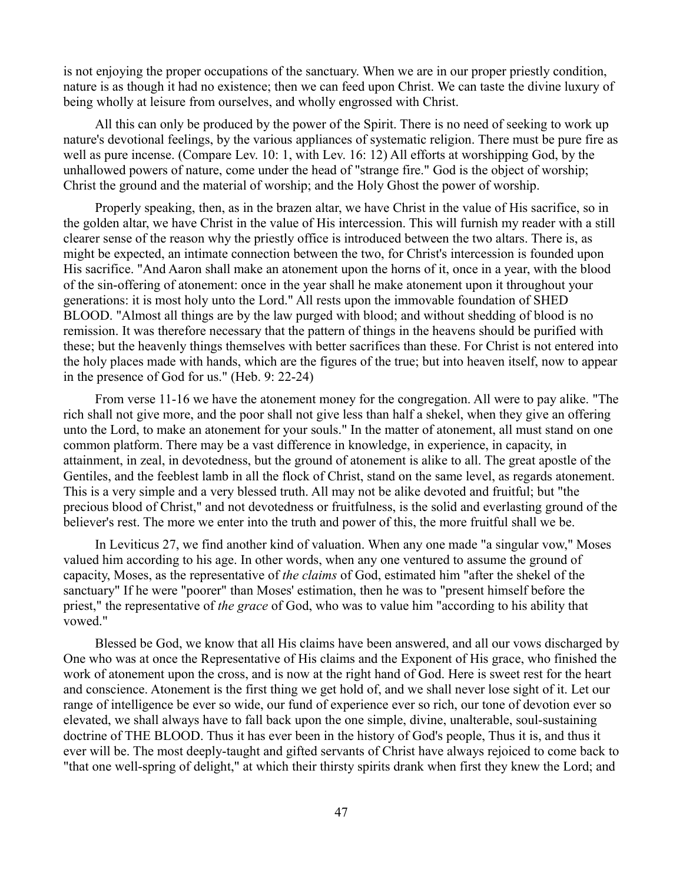is not enjoying the proper occupations of the sanctuary. When we are in our proper priestly condition, nature is as though it had no existence; then we can feed upon Christ. We can taste the divine luxury of being wholly at leisure from ourselves, and wholly engrossed with Christ.

All this can only be produced by the power of the Spirit. There is no need of seeking to work up nature's devotional feelings, by the various appliances of systematic religion. There must be pure fire as well as pure incense. (Compare Lev. 10: 1, with Lev. 16: 12) All efforts at worshipping God, by the unhallowed powers of nature, come under the head of "strange fire." God is the object of worship; Christ the ground and the material of worship; and the Holy Ghost the power of worship.

Properly speaking, then, as in the brazen altar, we have Christ in the value of His sacrifice, so in the golden altar, we have Christ in the value of His intercession. This will furnish my reader with a still clearer sense of the reason why the priestly office is introduced between the two altars. There is, as might be expected, an intimate connection between the two, for Christ's intercession is founded upon His sacrifice. "And Aaron shall make an atonement upon the horns of it, once in a year, with the blood of the sin-offering of atonement: once in the year shall he make atonement upon it throughout your generations: it is most holy unto the Lord." All rests upon the immovable foundation of SHED BLOOD. "Almost all things are by the law purged with blood; and without shedding of blood is no remission. It was therefore necessary that the pattern of things in the heavens should be purified with these; but the heavenly things themselves with better sacrifices than these. For Christ is not entered into the holy places made with hands, which are the figures of the true; but into heaven itself, now to appear in the presence of God for us." (Heb. 9: 22-24)

From verse 11-16 we have the atonement money for the congregation. All were to pay alike. "The rich shall not give more, and the poor shall not give less than half a shekel, when they give an offering unto the Lord, to make an atonement for your souls." In the matter of atonement, all must stand on one common platform. There may be a vast difference in knowledge, in experience, in capacity, in attainment, in zeal, in devotedness, but the ground of atonement is alike to all. The great apostle of the Gentiles, and the feeblest lamb in all the flock of Christ, stand on the same level, as regards atonement. This is a very simple and a very blessed truth. All may not be alike devoted and fruitful; but "the precious blood of Christ," and not devotedness or fruitfulness, is the solid and everlasting ground of the believer's rest. The more we enter into the truth and power of this, the more fruitful shall we be.

In Leviticus 27, we find another kind of valuation. When any one made "a singular vow," Moses valued him according to his age. In other words, when any one ventured to assume the ground of capacity, Moses, as the representative of *the claims* of God, estimated him "after the shekel of the sanctuary" If he were "poorer" than Moses' estimation, then he was to "present himself before the priest," the representative of *the grace* of God, who was to value him "according to his ability that vowed."

Blessed be God, we know that all His claims have been answered, and all our vows discharged by One who was at once the Representative of His claims and the Exponent of His grace, who finished the work of atonement upon the cross, and is now at the right hand of God. Here is sweet rest for the heart and conscience. Atonement is the first thing we get hold of, and we shall never lose sight of it. Let our range of intelligence be ever so wide, our fund of experience ever so rich, our tone of devotion ever so elevated, we shall always have to fall back upon the one simple, divine, unalterable, soul-sustaining doctrine of THE BLOOD. Thus it has ever been in the history of God's people, Thus it is, and thus it ever will be. The most deeply-taught and gifted servants of Christ have always rejoiced to come back to "that one well-spring of delight," at which their thirsty spirits drank when first they knew the Lord; and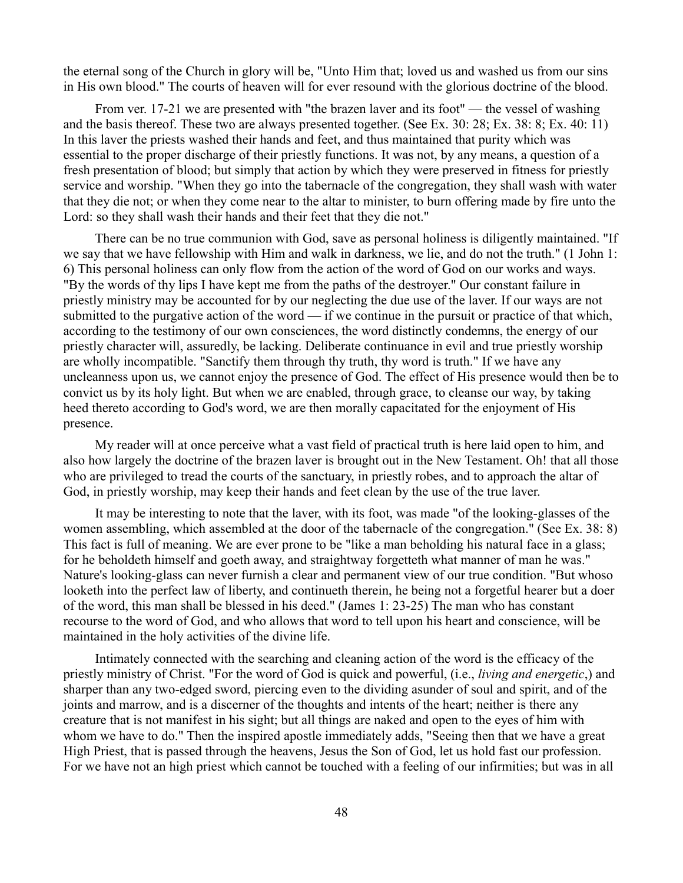the eternal song of the Church in glory will be, "Unto Him that; loved us and washed us from our sins in His own blood." The courts of heaven will for ever resound with the glorious doctrine of the blood.

From ver. 17-21 we are presented with "the brazen laver and its foot" — the vessel of washing and the basis thereof. These two are always presented together. (See Ex. 30: 28; Ex. 38: 8; Ex. 40: 11) In this laver the priests washed their hands and feet, and thus maintained that purity which was essential to the proper discharge of their priestly functions. It was not, by any means, a question of a fresh presentation of blood; but simply that action by which they were preserved in fitness for priestly service and worship. "When they go into the tabernacle of the congregation, they shall wash with water that they die not; or when they come near to the altar to minister, to burn offering made by fire unto the Lord: so they shall wash their hands and their feet that they die not."

There can be no true communion with God, save as personal holiness is diligently maintained. "If we say that we have fellowship with Him and walk in darkness, we lie, and do not the truth." (1 John 1: 6) This personal holiness can only flow from the action of the word of God on our works and ways. "By the words of thy lips I have kept me from the paths of the destroyer." Our constant failure in priestly ministry may be accounted for by our neglecting the due use of the laver. If our ways are not submitted to the purgative action of the word — if we continue in the pursuit or practice of that which, according to the testimony of our own consciences, the word distinctly condemns, the energy of our priestly character will, assuredly, be lacking. Deliberate continuance in evil and true priestly worship are wholly incompatible. "Sanctify them through thy truth, thy word is truth." If we have any uncleanness upon us, we cannot enjoy the presence of God. The effect of His presence would then be to convict us by its holy light. But when we are enabled, through grace, to cleanse our way, by taking heed thereto according to God's word, we are then morally capacitated for the enjoyment of His presence.

My reader will at once perceive what a vast field of practical truth is here laid open to him, and also how largely the doctrine of the brazen laver is brought out in the New Testament. Oh! that all those who are privileged to tread the courts of the sanctuary, in priestly robes, and to approach the altar of God, in priestly worship, may keep their hands and feet clean by the use of the true laver.

It may be interesting to note that the laver, with its foot, was made "of the looking-glasses of the women assembling, which assembled at the door of the tabernacle of the congregation." (See Ex. 38: 8) This fact is full of meaning. We are ever prone to be "like a man beholding his natural face in a glass; for he beholdeth himself and goeth away, and straightway forgetteth what manner of man he was." Nature's looking-glass can never furnish a clear and permanent view of our true condition. "But whoso looketh into the perfect law of liberty, and continueth therein, he being not a forgetful hearer but a doer of the word, this man shall be blessed in his deed." (James 1: 23-25) The man who has constant recourse to the word of God, and who allows that word to tell upon his heart and conscience, will be maintained in the holy activities of the divine life.

Intimately connected with the searching and cleaning action of the word is the efficacy of the priestly ministry of Christ. "For the word of God is quick and powerful, (i.e., *living and energetic*,) and sharper than any two-edged sword, piercing even to the dividing asunder of soul and spirit, and of the joints and marrow, and is a discerner of the thoughts and intents of the heart; neither is there any creature that is not manifest in his sight; but all things are naked and open to the eyes of him with whom we have to do." Then the inspired apostle immediately adds, "Seeing then that we have a great High Priest, that is passed through the heavens, Jesus the Son of God, let us hold fast our profession. For we have not an high priest which cannot be touched with a feeling of our infirmities; but was in all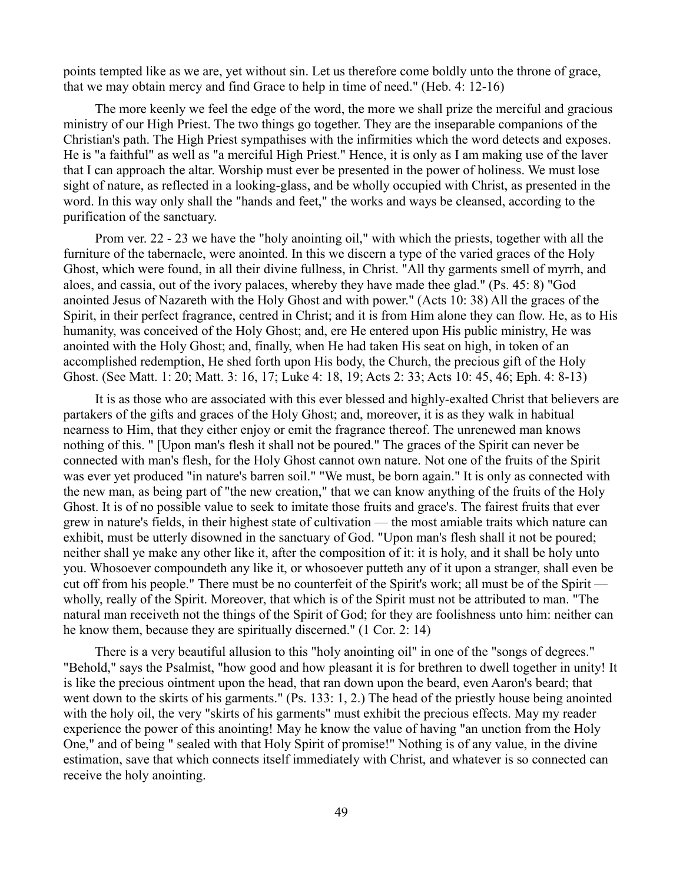points tempted like as we are, yet without sin. Let us therefore come boldly unto the throne of grace, that we may obtain mercy and find Grace to help in time of need." (Heb. 4: 12-16)

The more keenly we feel the edge of the word, the more we shall prize the merciful and gracious ministry of our High Priest. The two things go together. They are the inseparable companions of the Christian's path. The High Priest sympathises with the infirmities which the word detects and exposes. He is "a faithful" as well as "a merciful High Priest." Hence, it is only as I am making use of the laver that I can approach the altar. Worship must ever be presented in the power of holiness. We must lose sight of nature, as reflected in a looking-glass, and be wholly occupied with Christ, as presented in the word. In this way only shall the "hands and feet," the works and ways be cleansed, according to the purification of the sanctuary.

Prom ver. 22 - 23 we have the "holy anointing oil," with which the priests, together with all the furniture of the tabernacle, were anointed. In this we discern a type of the varied graces of the Holy Ghost, which were found, in all their divine fullness, in Christ. "All thy garments smell of myrrh, and aloes, and cassia, out of the ivory palaces, whereby they have made thee glad." (Ps. 45: 8) "God anointed Jesus of Nazareth with the Holy Ghost and with power." (Acts 10: 38) All the graces of the Spirit, in their perfect fragrance, centred in Christ; and it is from Him alone they can flow. He, as to His humanity, was conceived of the Holy Ghost; and, ere He entered upon His public ministry, He was anointed with the Holy Ghost; and, finally, when He had taken His seat on high, in token of an accomplished redemption, He shed forth upon His body, the Church, the precious gift of the Holy Ghost. (See Matt. 1: 20; Matt. 3: 16, 17; Luke 4: 18, 19; Acts 2: 33; Acts 10: 45, 46; Eph. 4: 8-13)

It is as those who are associated with this ever blessed and highly-exalted Christ that believers are partakers of the gifts and graces of the Holy Ghost; and, moreover, it is as they walk in habitual nearness to Him, that they either enjoy or emit the fragrance thereof. The unrenewed man knows nothing of this. " [Upon man's flesh it shall not be poured." The graces of the Spirit can never be connected with man's flesh, for the Holy Ghost cannot own nature. Not one of the fruits of the Spirit was ever yet produced "in nature's barren soil." "We must, be born again." It is only as connected with the new man, as being part of "the new creation," that we can know anything of the fruits of the Holy Ghost. It is of no possible value to seek to imitate those fruits and grace's. The fairest fruits that ever grew in nature's fields, in their highest state of cultivation — the most amiable traits which nature can exhibit, must be utterly disowned in the sanctuary of God. "Upon man's flesh shall it not be poured; neither shall ye make any other like it, after the composition of it: it is holy, and it shall be holy unto you. Whosoever compoundeth any like it, or whosoever putteth any of it upon a stranger, shall even be cut off from his people." There must be no counterfeit of the Spirit's work; all must be of the Spirit wholly, really of the Spirit. Moreover, that which is of the Spirit must not be attributed to man. "The natural man receiveth not the things of the Spirit of God; for they are foolishness unto him: neither can he know them, because they are spiritually discerned." (1 Cor. 2: 14)

There is a very beautiful allusion to this "holy anointing oil" in one of the "songs of degrees." "Behold," says the Psalmist, "how good and how pleasant it is for brethren to dwell together in unity! It is like the precious ointment upon the head, that ran down upon the beard, even Aaron's beard; that went down to the skirts of his garments." (Ps. 133: 1, 2.) The head of the priestly house being anointed with the holy oil, the very "skirts of his garments" must exhibit the precious effects. May my reader experience the power of this anointing! May he know the value of having "an unction from the Holy One," and of being " sealed with that Holy Spirit of promise!" Nothing is of any value, in the divine estimation, save that which connects itself immediately with Christ, and whatever is so connected can receive the holy anointing.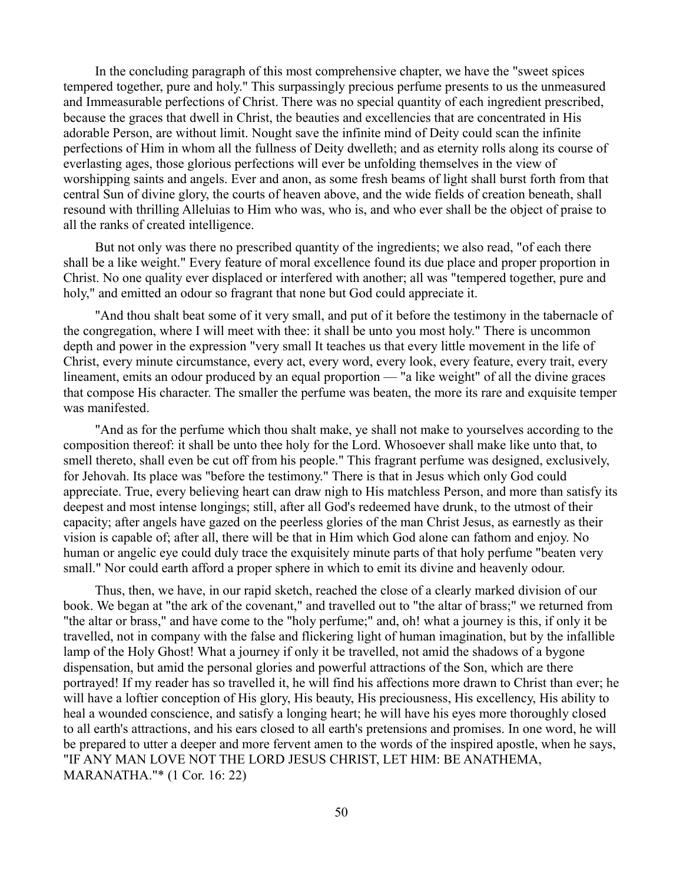In the concluding paragraph of this most comprehensive chapter, we have the "sweet spices tempered together, pure and holy." This surpassingly precious perfume presents to us the unmeasured and Immeasurable perfections of Christ. There was no special quantity of each ingredient prescribed, because the graces that dwell in Christ, the beauties and excellencies that are concentrated in His adorable Person, are without limit. Nought save the infinite mind of Deity could scan the infinite perfections of Him in whom all the fullness of Deity dwelleth; and as eternity rolls along its course of everlasting ages, those glorious perfections will ever be unfolding themselves in the view of worshipping saints and angels. Ever and anon, as some fresh beams of light shall burst forth from that central Sun of divine glory, the courts of heaven above, and the wide fields of creation beneath, shall resound with thrilling Alleluias to Him who was, who is, and who ever shall be the object of praise to all the ranks of created intelligence.

But not only was there no prescribed quantity of the ingredients; we also read, "of each there shall be a like weight." Every feature of moral excellence found its due place and proper proportion in Christ. No one quality ever displaced or interfered with another; all was "tempered together, pure and holy," and emitted an odour so fragrant that none but God could appreciate it.

"And thou shalt beat some of it very small, and put of it before the testimony in the tabernacle of the congregation, where I will meet with thee: it shall be unto you most holy." There is uncommon depth and power in the expression "very small It teaches us that every little movement in the life of Christ, every minute circumstance, every act, every word, every look, every feature, every trait, every lineament, emits an odour produced by an equal proportion — "a like weight" of all the divine graces that compose His character. The smaller the perfume was beaten, the more its rare and exquisite temper was manifested.

"And as for the perfume which thou shalt make, ye shall not make to yourselves according to the composition thereof: it shall be unto thee holy for the Lord. Whosoever shall make like unto that, to smell thereto, shall even be cut off from his people." This fragrant perfume was designed, exclusively, for Jehovah. Its place was "before the testimony." There is that in Jesus which only God could appreciate. True, every believing heart can draw nigh to His matchless Person, and more than satisfy its deepest and most intense longings; still, after all God's redeemed have drunk, to the utmost of their capacity; after angels have gazed on the peerless glories of the man Christ Jesus, as earnestly as their vision is capable of; after all, there will be that in Him which God alone can fathom and enjoy. No human or angelic eye could duly trace the exquisitely minute parts of that holy perfume "beaten very small." Nor could earth afford a proper sphere in which to emit its divine and heavenly odour.

Thus, then, we have, in our rapid sketch, reached the close of a clearly marked division of our book. We began at "the ark of the covenant," and travelled out to "the altar of brass;" we returned from "the altar or brass," and have come to the "holy perfume;" and, oh! what a journey is this, if only it be travelled, not in company with the false and flickering light of human imagination, but by the infallible lamp of the Holy Ghost! What a journey if only it be travelled, not amid the shadows of a bygone dispensation, but amid the personal glories and powerful attractions of the Son, which are there portrayed! If my reader has so travelled it, he will find his affections more drawn to Christ than ever; he will have a loftier conception of His glory, His beauty, His preciousness, His excellency, His ability to heal a wounded conscience, and satisfy a longing heart; he will have his eyes more thoroughly closed to all earth's attractions, and his ears closed to all earth's pretensions and promises. In one word, he will be prepared to utter a deeper and more fervent amen to the words of the inspired apostle, when he says, "IF ANY MAN LOVE NOT THE LORD JESUS CHRIST, LET HIM: BE ANATHEMA, MARANATHA."\* (1 Cor. 16: 22)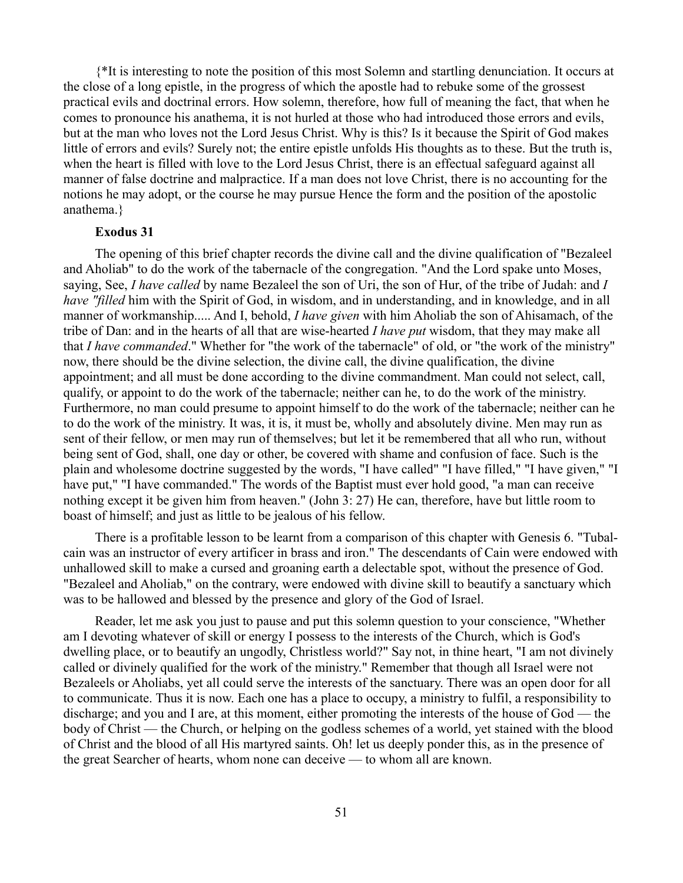{\*It is interesting to note the position of this most Solemn and startling denunciation. It occurs at the close of a long epistle, in the progress of which the apostle had to rebuke some of the grossest practical evils and doctrinal errors. How solemn, therefore, how full of meaning the fact, that when he comes to pronounce his anathema, it is not hurled at those who had introduced those errors and evils, but at the man who loves not the Lord Jesus Christ. Why is this? Is it because the Spirit of God makes little of errors and evils? Surely not; the entire epistle unfolds His thoughts as to these. But the truth is, when the heart is filled with love to the Lord Jesus Christ, there is an effectual safeguard against all manner of false doctrine and malpractice. If a man does not love Christ, there is no accounting for the notions he may adopt, or the course he may pursue Hence the form and the position of the apostolic anathema.}

#### **Exodus 31**

The opening of this brief chapter records the divine call and the divine qualification of "Bezaleel and Aholiab" to do the work of the tabernacle of the congregation. "And the Lord spake unto Moses, saying, See, *I have called* by name Bezaleel the son of Uri, the son of Hur, of the tribe of Judah: and *I have "filled* him with the Spirit of God, in wisdom, and in understanding, and in knowledge, and in all manner of workmanship..... And I, behold, *I have given* with him Aholiab the son of Ahisamach, of the tribe of Dan: and in the hearts of all that are wise-hearted *I have put* wisdom, that they may make all that *I have commanded*." Whether for "the work of the tabernacle" of old, or "the work of the ministry" now, there should be the divine selection, the divine call, the divine qualification, the divine appointment; and all must be done according to the divine commandment. Man could not select, call, qualify, or appoint to do the work of the tabernacle; neither can he, to do the work of the ministry. Furthermore, no man could presume to appoint himself to do the work of the tabernacle; neither can he to do the work of the ministry. It was, it is, it must be, wholly and absolutely divine. Men may run as sent of their fellow, or men may run of themselves; but let it be remembered that all who run, without being sent of God, shall, one day or other, be covered with shame and confusion of face. Such is the plain and wholesome doctrine suggested by the words, "I have called" "I have filled," "I have given," "I have put," "I have commanded." The words of the Baptist must ever hold good, "a man can receive nothing except it be given him from heaven." (John 3: 27) He can, therefore, have but little room to boast of himself; and just as little to be jealous of his fellow.

There is a profitable lesson to be learnt from a comparison of this chapter with Genesis 6. "Tubalcain was an instructor of every artificer in brass and iron." The descendants of Cain were endowed with unhallowed skill to make a cursed and groaning earth a delectable spot, without the presence of God. "Bezaleel and Aholiab," on the contrary, were endowed with divine skill to beautify a sanctuary which was to be hallowed and blessed by the presence and glory of the God of Israel.

Reader, let me ask you just to pause and put this solemn question to your conscience, "Whether am I devoting whatever of skill or energy I possess to the interests of the Church, which is God's dwelling place, or to beautify an ungodly, Christless world?" Say not, in thine heart, "I am not divinely called or divinely qualified for the work of the ministry." Remember that though all Israel were not Bezaleels or Aholiabs, yet all could serve the interests of the sanctuary. There was an open door for all to communicate. Thus it is now. Each one has a place to occupy, a ministry to fulfil, a responsibility to discharge; and you and I are, at this moment, either promoting the interests of the house of God — the body of Christ — the Church, or helping on the godless schemes of a world, yet stained with the blood of Christ and the blood of all His martyred saints. Oh! let us deeply ponder this, as in the presence of the great Searcher of hearts, whom none can deceive — to whom all are known.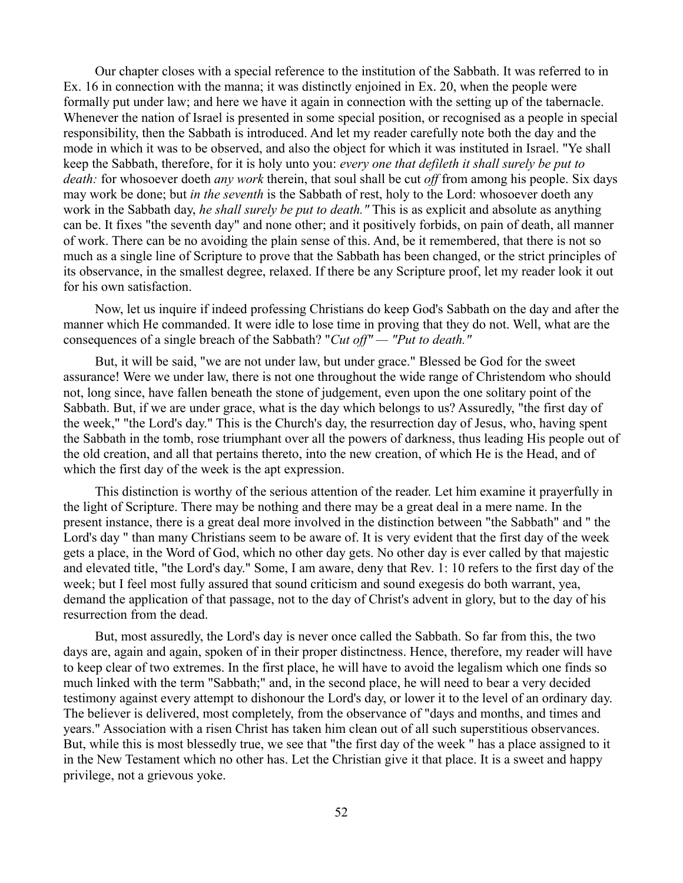Our chapter closes with a special reference to the institution of the Sabbath. It was referred to in Ex. 16 in connection with the manna; it was distinctly enjoined in Ex. 20, when the people were formally put under law; and here we have it again in connection with the setting up of the tabernacle. Whenever the nation of Israel is presented in some special position, or recognised as a people in special responsibility, then the Sabbath is introduced. And let my reader carefully note both the day and the mode in which it was to be observed, and also the object for which it was instituted in Israel. "Ye shall keep the Sabbath, therefore, for it is holy unto you: *every one that defileth it shall surely be put to death:* for whosoever doeth *any work* therein, that soul shall be cut *off* from among his people. Six days may work be done; but *in the seventh* is the Sabbath of rest, holy to the Lord: whosoever doeth any work in the Sabbath day, *he shall surely be put to death."* This is as explicit and absolute as anything can be. It fixes "the seventh day" and none other; and it positively forbids, on pain of death, all manner of work. There can be no avoiding the plain sense of this. And, be it remembered, that there is not so much as a single line of Scripture to prove that the Sabbath has been changed, or the strict principles of its observance, in the smallest degree, relaxed. If there be any Scripture proof, let my reader look it out for his own satisfaction.

Now, let us inquire if indeed professing Christians do keep God's Sabbath on the day and after the manner which He commanded. It were idle to lose time in proving that they do not. Well, what are the consequences of a single breach of the Sabbath? "*Cut off" — "Put to death."*

But, it will be said, "we are not under law, but under grace." Blessed be God for the sweet assurance! Were we under law, there is not one throughout the wide range of Christendom who should not, long since, have fallen beneath the stone of judgement, even upon the one solitary point of the Sabbath. But, if we are under grace, what is the day which belongs to us? Assuredly, "the first day of the week," "the Lord's day." This is the Church's day, the resurrection day of Jesus, who, having spent the Sabbath in the tomb, rose triumphant over all the powers of darkness, thus leading His people out of the old creation, and all that pertains thereto, into the new creation, of which He is the Head, and of which the first day of the week is the apt expression.

This distinction is worthy of the serious attention of the reader. Let him examine it prayerfully in the light of Scripture. There may be nothing and there may be a great deal in a mere name. In the present instance, there is a great deal more involved in the distinction between "the Sabbath" and " the Lord's day " than many Christians seem to be aware of. It is very evident that the first day of the week gets a place, in the Word of God, which no other day gets. No other day is ever called by that majestic and elevated title, "the Lord's day." Some, I am aware, deny that Rev. 1: 10 refers to the first day of the week; but I feel most fully assured that sound criticism and sound exegesis do both warrant, yea, demand the application of that passage, not to the day of Christ's advent in glory, but to the day of his resurrection from the dead.

But, most assuredly, the Lord's day is never once called the Sabbath. So far from this, the two days are, again and again, spoken of in their proper distinctness. Hence, therefore, my reader will have to keep clear of two extremes. In the first place, he will have to avoid the legalism which one finds so much linked with the term "Sabbath;" and, in the second place, he will need to bear a very decided testimony against every attempt to dishonour the Lord's day, or lower it to the level of an ordinary day. The believer is delivered, most completely, from the observance of "days and months, and times and years." Association with a risen Christ has taken him clean out of all such superstitious observances. But, while this is most blessedly true, we see that "the first day of the week " has a place assigned to it in the New Testament which no other has. Let the Christian give it that place. It is a sweet and happy privilege, not a grievous yoke.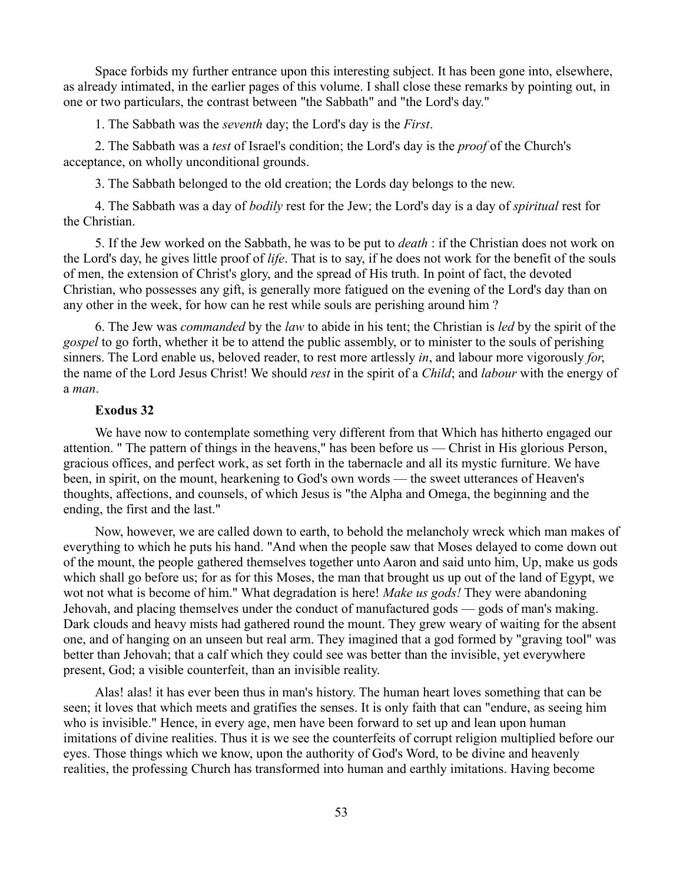Space forbids my further entrance upon this interesting subject. It has been gone into, elsewhere, as already intimated, in the earlier pages of this volume. I shall close these remarks by pointing out, in one or two particulars, the contrast between "the Sabbath" and "the Lord's day."

1. The Sabbath was the *seventh* day; the Lord's day is the *First*.

2. The Sabbath was a *test* of Israel's condition; the Lord's day is the *proof* of the Church's acceptance, on wholly unconditional grounds.

3. The Sabbath belonged to the old creation; the Lords day belongs to the new.

4. The Sabbath was a day of *bodily* rest for the Jew; the Lord's day is a day of *spiritual* rest for the Christian.

5. If the Jew worked on the Sabbath, he was to be put to *death* : if the Christian does not work on the Lord's day, he gives little proof of *life*. That is to say, if he does not work for the benefit of the souls of men, the extension of Christ's glory, and the spread of His truth. In point of fact, the devoted Christian, who possesses any gift, is generally more fatigued on the evening of the Lord's day than on any other in the week, for how can he rest while souls are perishing around him ?

6. The Jew was *commanded* by the *law* to abide in his tent; the Christian is *led* by the spirit of the *gospel* to go forth, whether it be to attend the public assembly, or to minister to the souls of perishing sinners. The Lord enable us, beloved reader, to rest more artlessly *in*, and labour more vigorously *for*, the name of the Lord Jesus Christ! We should *rest* in the spirit of a *Child*; and *labour* with the energy of a *man*.

### **Exodus 32**

We have now to contemplate something very different from that Which has hitherto engaged our attention. " The pattern of things in the heavens," has been before us — Christ in His glorious Person, gracious offices, and perfect work, as set forth in the tabernacle and all its mystic furniture. We have been, in spirit, on the mount, hearkening to God's own words — the sweet utterances of Heaven's thoughts, affections, and counsels, of which Jesus is "the Alpha and Omega, the beginning and the ending, the first and the last."

Now, however, we are called down to earth, to behold the melancholy wreck which man makes of everything to which he puts his hand. "And when the people saw that Moses delayed to come down out of the mount, the people gathered themselves together unto Aaron and said unto him, Up, make us gods which shall go before us; for as for this Moses, the man that brought us up out of the land of Egypt, we wot not what is become of him." What degradation is here! *Make us gods!* They were abandoning Jehovah, and placing themselves under the conduct of manufactured gods — gods of man's making. Dark clouds and heavy mists had gathered round the mount. They grew weary of waiting for the absent one, and of hanging on an unseen but real arm. They imagined that a god formed by "graving tool" was better than Jehovah; that a calf which they could see was better than the invisible, yet everywhere present, God; a visible counterfeit, than an invisible reality.

Alas! alas! it has ever been thus in man's history. The human heart loves something that can be seen; it loves that which meets and gratifies the senses. It is only faith that can "endure, as seeing him who is invisible." Hence, in every age, men have been forward to set up and lean upon human imitations of divine realities. Thus it is we see the counterfeits of corrupt religion multiplied before our eyes. Those things which we know, upon the authority of God's Word, to be divine and heavenly realities, the professing Church has transformed into human and earthly imitations. Having become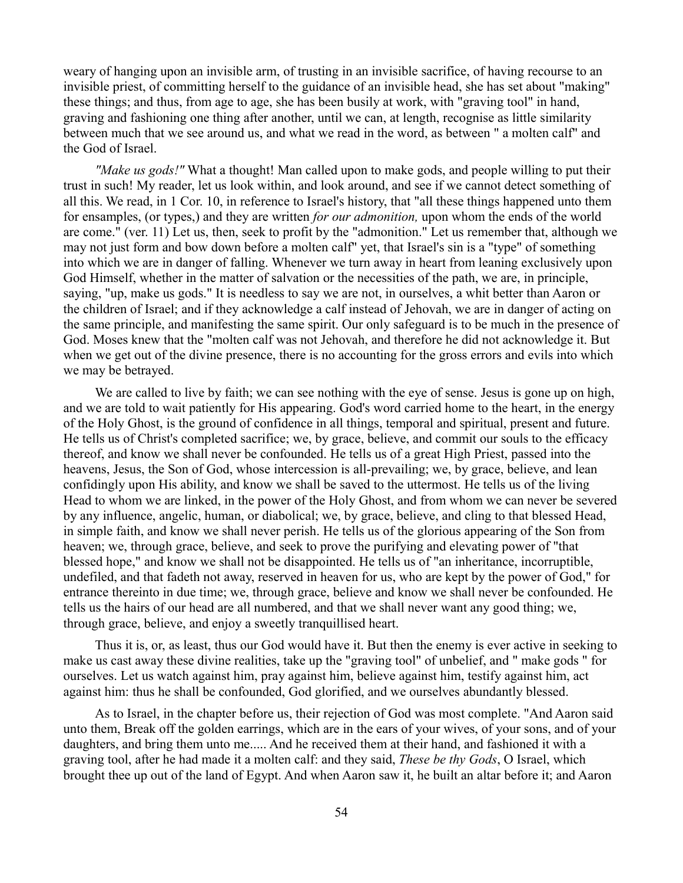weary of hanging upon an invisible arm, of trusting in an invisible sacrifice, of having recourse to an invisible priest, of committing herself to the guidance of an invisible head, she has set about "making" these things; and thus, from age to age, she has been busily at work, with "graving tool" in hand, graving and fashioning one thing after another, until we can, at length, recognise as little similarity between much that we see around us, and what we read in the word, as between " a molten calf" and the God of Israel.

*"Make us gods!"* What a thought! Man called upon to make gods, and people willing to put their trust in such! My reader, let us look within, and look around, and see if we cannot detect something of all this. We read, in 1 Cor. 10, in reference to Israel's history, that "all these things happened unto them for ensamples, (or types,) and they are written *for our admonition,* upon whom the ends of the world are come." (ver. 11) Let us, then, seek to profit by the "admonition." Let us remember that, although we may not just form and bow down before a molten calf" yet, that Israel's sin is a "type" of something into which we are in danger of falling. Whenever we turn away in heart from leaning exclusively upon God Himself, whether in the matter of salvation or the necessities of the path, we are, in principle, saying, "up, make us gods." It is needless to say we are not, in ourselves, a whit better than Aaron or the children of Israel; and if they acknowledge a calf instead of Jehovah, we are in danger of acting on the same principle, and manifesting the same spirit. Our only safeguard is to be much in the presence of God. Moses knew that the "molten calf was not Jehovah, and therefore he did not acknowledge it. But when we get out of the divine presence, there is no accounting for the gross errors and evils into which we may be betrayed.

We are called to live by faith; we can see nothing with the eye of sense. Jesus is gone up on high, and we are told to wait patiently for His appearing. God's word carried home to the heart, in the energy of the Holy Ghost, is the ground of confidence in all things, temporal and spiritual, present and future. He tells us of Christ's completed sacrifice; we, by grace, believe, and commit our souls to the efficacy thereof, and know we shall never be confounded. He tells us of a great High Priest, passed into the heavens, Jesus, the Son of God, whose intercession is all-prevailing; we, by grace, believe, and lean confidingly upon His ability, and know we shall be saved to the uttermost. He tells us of the living Head to whom we are linked, in the power of the Holy Ghost, and from whom we can never be severed by any influence, angelic, human, or diabolical; we, by grace, believe, and cling to that blessed Head, in simple faith, and know we shall never perish. He tells us of the glorious appearing of the Son from heaven; we, through grace, believe, and seek to prove the purifying and elevating power of "that blessed hope," and know we shall not be disappointed. He tells us of "an inheritance, incorruptible, undefiled, and that fadeth not away, reserved in heaven for us, who are kept by the power of God," for entrance thereinto in due time; we, through grace, believe and know we shall never be confounded. He tells us the hairs of our head are all numbered, and that we shall never want any good thing; we, through grace, believe, and enjoy a sweetly tranquillised heart.

Thus it is, or, as least, thus our God would have it. But then the enemy is ever active in seeking to make us cast away these divine realities, take up the "graving tool" of unbelief, and " make gods " for ourselves. Let us watch against him, pray against him, believe against him, testify against him, act against him: thus he shall be confounded, God glorified, and we ourselves abundantly blessed.

As to Israel, in the chapter before us, their rejection of God was most complete. "And Aaron said unto them, Break off the golden earrings, which are in the ears of your wives, of your sons, and of your daughters, and bring them unto me..... And he received them at their hand, and fashioned it with a graving tool, after he had made it a molten calf: and they said, *These be thy Gods*, O Israel, which brought thee up out of the land of Egypt. And when Aaron saw it, he built an altar before it; and Aaron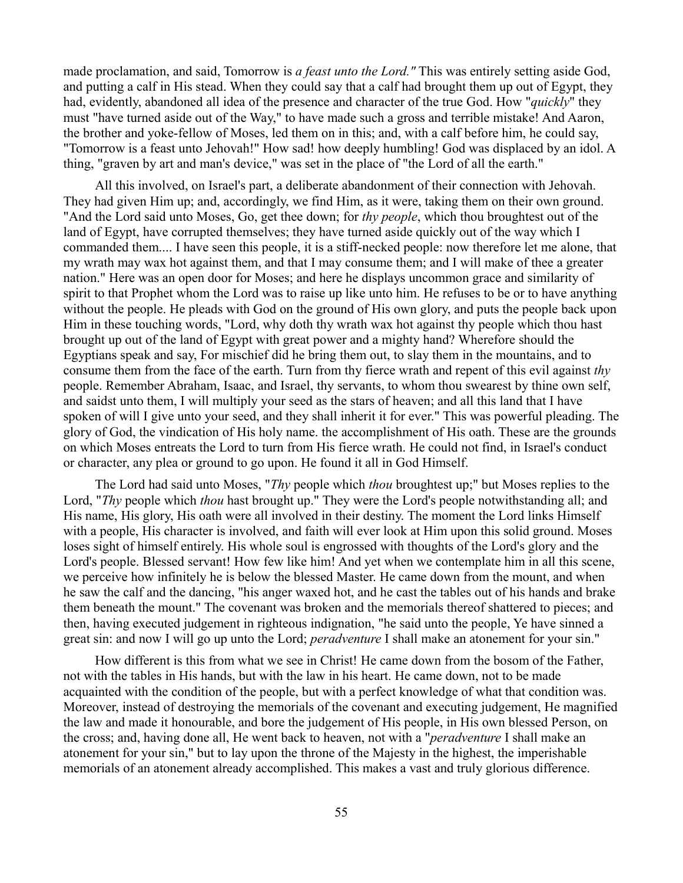made proclamation, and said, Tomorrow is *a feast unto the Lord."* This was entirely setting aside God, and putting a calf in His stead. When they could say that a calf had brought them up out of Egypt, they had, evidently, abandoned all idea of the presence and character of the true God. How "*quickly*" they must "have turned aside out of the Way," to have made such a gross and terrible mistake! And Aaron, the brother and yoke-fellow of Moses, led them on in this; and, with a calf before him, he could say, "Tomorrow is a feast unto Jehovah!" How sad! how deeply humbling! God was displaced by an idol. A thing, "graven by art and man's device," was set in the place of "the Lord of all the earth."

All this involved, on Israel's part, a deliberate abandonment of their connection with Jehovah. They had given Him up; and, accordingly, we find Him, as it were, taking them on their own ground. "And the Lord said unto Moses, Go, get thee down; for *thy people*, which thou broughtest out of the land of Egypt, have corrupted themselves; they have turned aside quickly out of the way which I commanded them.... I have seen this people, it is a stiff-necked people: now therefore let me alone, that my wrath may wax hot against them, and that I may consume them; and I will make of thee a greater nation." Here was an open door for Moses; and here he displays uncommon grace and similarity of spirit to that Prophet whom the Lord was to raise up like unto him. He refuses to be or to have anything without the people. He pleads with God on the ground of His own glory, and puts the people back upon Him in these touching words, "Lord, why doth thy wrath wax hot against thy people which thou hast brought up out of the land of Egypt with great power and a mighty hand? Wherefore should the Egyptians speak and say, For mischief did he bring them out, to slay them in the mountains, and to consume them from the face of the earth. Turn from thy fierce wrath and repent of this evil against *thy* people. Remember Abraham, Isaac, and Israel, thy servants, to whom thou swearest by thine own self, and saidst unto them, I will multiply your seed as the stars of heaven; and all this land that I have spoken of will I give unto your seed, and they shall inherit it for ever." This was powerful pleading. The glory of God, the vindication of His holy name. the accomplishment of His oath. These are the grounds on which Moses entreats the Lord to turn from His fierce wrath. He could not find, in Israel's conduct or character, any plea or ground to go upon. He found it all in God Himself.

The Lord had said unto Moses, "*Thy* people which *thou* broughtest up;" but Moses replies to the Lord, "*Thy* people which *thou* hast brought up." They were the Lord's people notwithstanding all; and His name, His glory, His oath were all involved in their destiny. The moment the Lord links Himself with a people, His character is involved, and faith will ever look at Him upon this solid ground. Moses loses sight of himself entirely. His whole soul is engrossed with thoughts of the Lord's glory and the Lord's people. Blessed servant! How few like him! And yet when we contemplate him in all this scene, we perceive how infinitely he is below the blessed Master. He came down from the mount, and when he saw the calf and the dancing, "his anger waxed hot, and he cast the tables out of his hands and brake them beneath the mount." The covenant was broken and the memorials thereof shattered to pieces; and then, having executed judgement in righteous indignation, "he said unto the people, Ye have sinned a great sin: and now I will go up unto the Lord; *peradventure* I shall make an atonement for your sin."

How different is this from what we see in Christ! He came down from the bosom of the Father, not with the tables in His hands, but with the law in his heart. He came down, not to be made acquainted with the condition of the people, but with a perfect knowledge of what that condition was. Moreover, instead of destroying the memorials of the covenant and executing judgement, He magnified the law and made it honourable, and bore the judgement of His people, in His own blessed Person, on the cross; and, having done all, He went back to heaven, not with a "*peradventure* I shall make an atonement for your sin," but to lay upon the throne of the Majesty in the highest, the imperishable memorials of an atonement already accomplished. This makes a vast and truly glorious difference.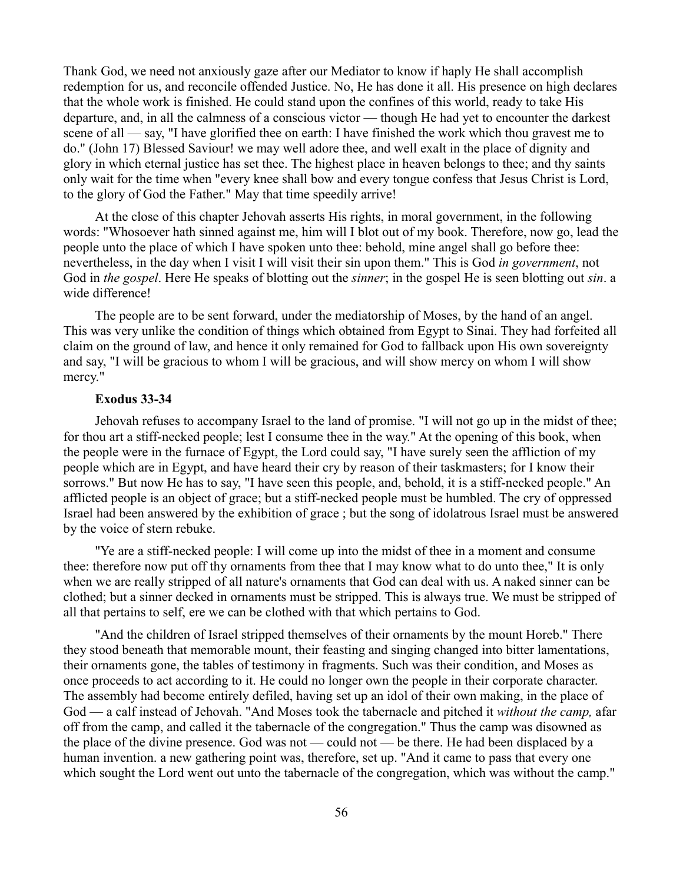Thank God, we need not anxiously gaze after our Mediator to know if haply He shall accomplish redemption for us, and reconcile offended Justice. No, He has done it all. His presence on high declares that the whole work is finished. He could stand upon the confines of this world, ready to take His departure, and, in all the calmness of a conscious victor — though He had yet to encounter the darkest scene of all — say, "I have glorified thee on earth: I have finished the work which thou gravest me to do." (John 17) Blessed Saviour! we may well adore thee, and well exalt in the place of dignity and glory in which eternal justice has set thee. The highest place in heaven belongs to thee; and thy saints only wait for the time when "every knee shall bow and every tongue confess that Jesus Christ is Lord, to the glory of God the Father." May that time speedily arrive!

At the close of this chapter Jehovah asserts His rights, in moral government, in the following words: "Whosoever hath sinned against me, him will I blot out of my book. Therefore, now go, lead the people unto the place of which I have spoken unto thee: behold, mine angel shall go before thee: nevertheless, in the day when I visit I will visit their sin upon them." This is God *in government*, not God in *the gospel*. Here He speaks of blotting out the *sinner*; in the gospel He is seen blotting out *sin*. a wide difference!

The people are to be sent forward, under the mediatorship of Moses, by the hand of an angel. This was very unlike the condition of things which obtained from Egypt to Sinai. They had forfeited all claim on the ground of law, and hence it only remained for God to fallback upon His own sovereignty and say, "I will be gracious to whom I will be gracious, and will show mercy on whom I will show mercy."

### **Exodus 33-34**

Jehovah refuses to accompany Israel to the land of promise. "I will not go up in the midst of thee; for thou art a stiff-necked people; lest I consume thee in the way." At the opening of this book, when the people were in the furnace of Egypt, the Lord could say, "I have surely seen the affliction of my people which are in Egypt, and have heard their cry by reason of their taskmasters; for I know their sorrows." But now He has to say, "I have seen this people, and, behold, it is a stiff-necked people." An afflicted people is an object of grace; but a stiff-necked people must be humbled. The cry of oppressed Israel had been answered by the exhibition of grace ; but the song of idolatrous Israel must be answered by the voice of stern rebuke.

"Ye are a stiff-necked people: I will come up into the midst of thee in a moment and consume thee: therefore now put off thy ornaments from thee that I may know what to do unto thee," It is only when we are really stripped of all nature's ornaments that God can deal with us. A naked sinner can be clothed; but a sinner decked in ornaments must be stripped. This is always true. We must be stripped of all that pertains to self, ere we can be clothed with that which pertains to God.

"And the children of Israel stripped themselves of their ornaments by the mount Horeb." There they stood beneath that memorable mount, their feasting and singing changed into bitter lamentations, their ornaments gone, the tables of testimony in fragments. Such was their condition, and Moses as once proceeds to act according to it. He could no longer own the people in their corporate character. The assembly had become entirely defiled, having set up an idol of their own making, in the place of God — a calf instead of Jehovah. "And Moses took the tabernacle and pitched it *without the camp,* afar off from the camp, and called it the tabernacle of the congregation." Thus the camp was disowned as the place of the divine presence. God was not — could not — be there. He had been displaced by a human invention. a new gathering point was, therefore, set up. "And it came to pass that every one which sought the Lord went out unto the tabernacle of the congregation, which was without the camp."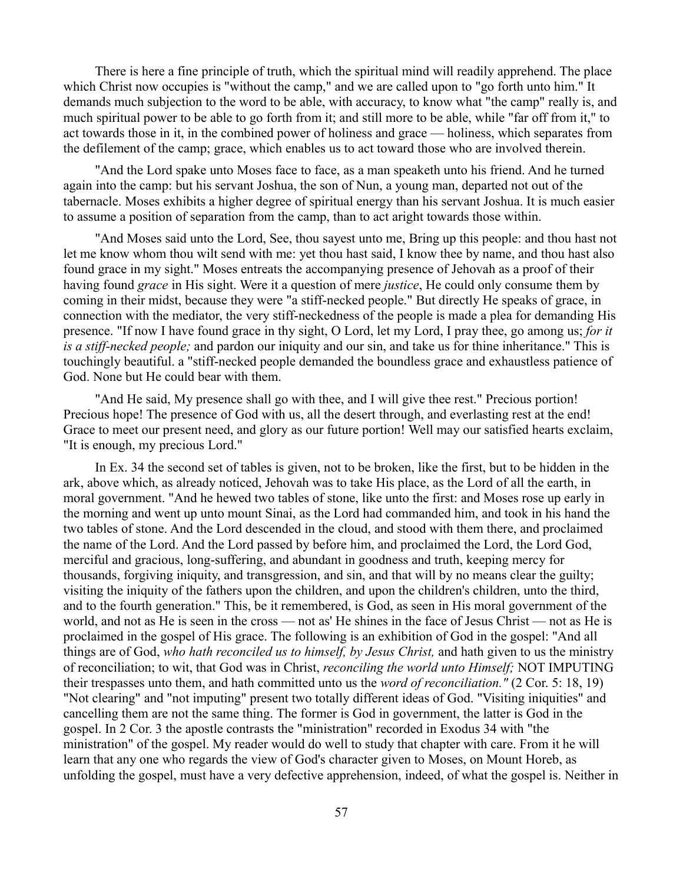There is here a fine principle of truth, which the spiritual mind will readily apprehend. The place which Christ now occupies is "without the camp," and we are called upon to "go forth unto him." It demands much subjection to the word to be able, with accuracy, to know what "the camp" really is, and much spiritual power to be able to go forth from it; and still more to be able, while "far off from it," to act towards those in it, in the combined power of holiness and grace — holiness, which separates from the defilement of the camp; grace, which enables us to act toward those who are involved therein.

"And the Lord spake unto Moses face to face, as a man speaketh unto his friend. And he turned again into the camp: but his servant Joshua, the son of Nun, a young man, departed not out of the tabernacle. Moses exhibits a higher degree of spiritual energy than his servant Joshua. It is much easier to assume a position of separation from the camp, than to act aright towards those within.

"And Moses said unto the Lord, See, thou sayest unto me, Bring up this people: and thou hast not let me know whom thou wilt send with me: yet thou hast said, I know thee by name, and thou hast also found grace in my sight." Moses entreats the accompanying presence of Jehovah as a proof of their having found *grace* in His sight. Were it a question of mere *justice*, He could only consume them by coming in their midst, because they were "a stiff-necked people." But directly He speaks of grace, in connection with the mediator, the very stiff-neckedness of the people is made a plea for demanding His presence. "If now I have found grace in thy sight, O Lord, let my Lord, I pray thee, go among us; *for it is a stiff-necked people;* and pardon our iniquity and our sin, and take us for thine inheritance." This is touchingly beautiful. a "stiff-necked people demanded the boundless grace and exhaustless patience of God. None but He could bear with them.

"And He said, My presence shall go with thee, and I will give thee rest." Precious portion! Precious hope! The presence of God with us, all the desert through, and everlasting rest at the end! Grace to meet our present need, and glory as our future portion! Well may our satisfied hearts exclaim, "It is enough, my precious Lord."

In Ex. 34 the second set of tables is given, not to be broken, like the first, but to be hidden in the ark, above which, as already noticed, Jehovah was to take His place, as the Lord of all the earth, in moral government. "And he hewed two tables of stone, like unto the first: and Moses rose up early in the morning and went up unto mount Sinai, as the Lord had commanded him, and took in his hand the two tables of stone. And the Lord descended in the cloud, and stood with them there, and proclaimed the name of the Lord. And the Lord passed by before him, and proclaimed the Lord, the Lord God, merciful and gracious, long-suffering, and abundant in goodness and truth, keeping mercy for thousands, forgiving iniquity, and transgression, and sin, and that will by no means clear the guilty; visiting the iniquity of the fathers upon the children, and upon the children's children, unto the third, and to the fourth generation." This, be it remembered, is God, as seen in His moral government of the world, and not as He is seen in the cross — not as' He shines in the face of Jesus Christ — not as He is proclaimed in the gospel of His grace. The following is an exhibition of God in the gospel: "And all things are of God, *who hath reconciled us to himself, by Jesus Christ,* and hath given to us the ministry of reconciliation; to wit, that God was in Christ, *reconciling the world unto Himself;* NOT IMPUTING their trespasses unto them, and hath committed unto us the *word of reconciliation."* (2 Cor. 5: 18, 19) "Not clearing" and "not imputing" present two totally different ideas of God. "Visiting iniquities" and cancelling them are not the same thing. The former is God in government, the latter is God in the gospel. In 2 Cor. 3 the apostle contrasts the "ministration" recorded in Exodus 34 with "the ministration" of the gospel. My reader would do well to study that chapter with care. From it he will learn that any one who regards the view of God's character given to Moses, on Mount Horeb, as unfolding the gospel, must have a very defective apprehension, indeed, of what the gospel is. Neither in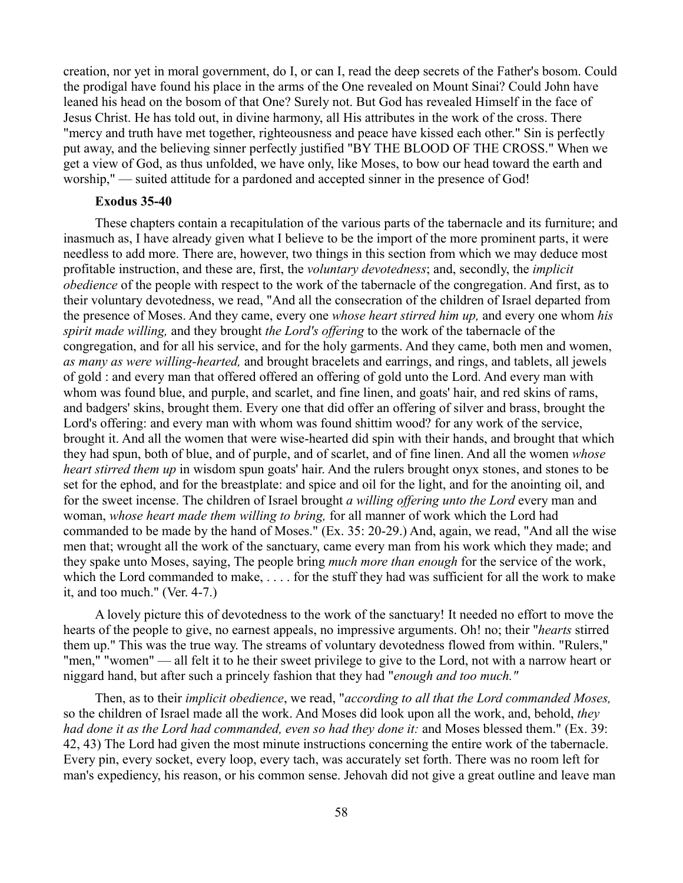creation, nor yet in moral government, do I, or can I, read the deep secrets of the Father's bosom. Could the prodigal have found his place in the arms of the One revealed on Mount Sinai? Could John have leaned his head on the bosom of that One? Surely not. But God has revealed Himself in the face of Jesus Christ. He has told out, in divine harmony, all His attributes in the work of the cross. There "mercy and truth have met together, righteousness and peace have kissed each other." Sin is perfectly put away, and the believing sinner perfectly justified "BY THE BLOOD OF THE CROSS." When we get a view of God, as thus unfolded, we have only, like Moses, to bow our head toward the earth and worship," — suited attitude for a pardoned and accepted sinner in the presence of God!

## **Exodus 35-40**

These chapters contain a recapitulation of the various parts of the tabernacle and its furniture; and inasmuch as, I have already given what I believe to be the import of the more prominent parts, it were needless to add more. There are, however, two things in this section from which we may deduce most profitable instruction, and these are, first, the *voluntary devotedness*; and, secondly, the *implicit obedience* of the people with respect to the work of the tabernacle of the congregation. And first, as to their voluntary devotedness, we read, "And all the consecration of the children of Israel departed from the presence of Moses. And they came, every one *whose heart stirred him up,* and every one whom *his spirit made willing,* and they brought *the Lord's offering* to the work of the tabernacle of the congregation, and for all his service, and for the holy garments. And they came, both men and women, *as many as were willing-hearted,* and brought bracelets and earrings, and rings, and tablets, all jewels of gold : and every man that offered offered an offering of gold unto the Lord. And every man with whom was found blue, and purple, and scarlet, and fine linen, and goats' hair, and red skins of rams, and badgers' skins, brought them. Every one that did offer an offering of silver and brass, brought the Lord's offering: and every man with whom was found shittim wood? for any work of the service, brought it. And all the women that were wise-hearted did spin with their hands, and brought that which they had spun, both of blue, and of purple, and of scarlet, and of fine linen. And all the women *whose heart stirred them up* in wisdom spun goats' hair. And the rulers brought onyx stones, and stones to be set for the ephod, and for the breastplate: and spice and oil for the light, and for the anointing oil, and for the sweet incense. The children of Israel brought *a willing offering unto the Lord* every man and woman, *whose heart made them willing to bring,* for all manner of work which the Lord had commanded to be made by the hand of Moses." (Ex. 35: 20-29.) And, again, we read, "And all the wise men that; wrought all the work of the sanctuary, came every man from his work which they made; and they spake unto Moses, saying, The people bring *much more than enough* for the service of the work, which the Lord commanded to make, ..., for the stuff they had was sufficient for all the work to make it, and too much." (Ver. 4-7.)

A lovely picture this of devotedness to the work of the sanctuary! It needed no effort to move the hearts of the people to give, no earnest appeals, no impressive arguments. Oh! no; their "*hearts* stirred them up." This was the true way. The streams of voluntary devotedness flowed from within. "Rulers," "men," "women" — all felt it to he their sweet privilege to give to the Lord, not with a narrow heart or niggard hand, but after such a princely fashion that they had "*enough and too much."*

Then, as to their *implicit obedience*, we read, "*according to all that the Lord commanded Moses,* so the children of Israel made all the work. And Moses did look upon all the work, and, behold, *they had done it as the Lord had commanded, even so had they done it:* and Moses blessed them." (Ex. 39: 42, 43) The Lord had given the most minute instructions concerning the entire work of the tabernacle. Every pin, every socket, every loop, every tach, was accurately set forth. There was no room left for man's expediency, his reason, or his common sense. Jehovah did not give a great outline and leave man